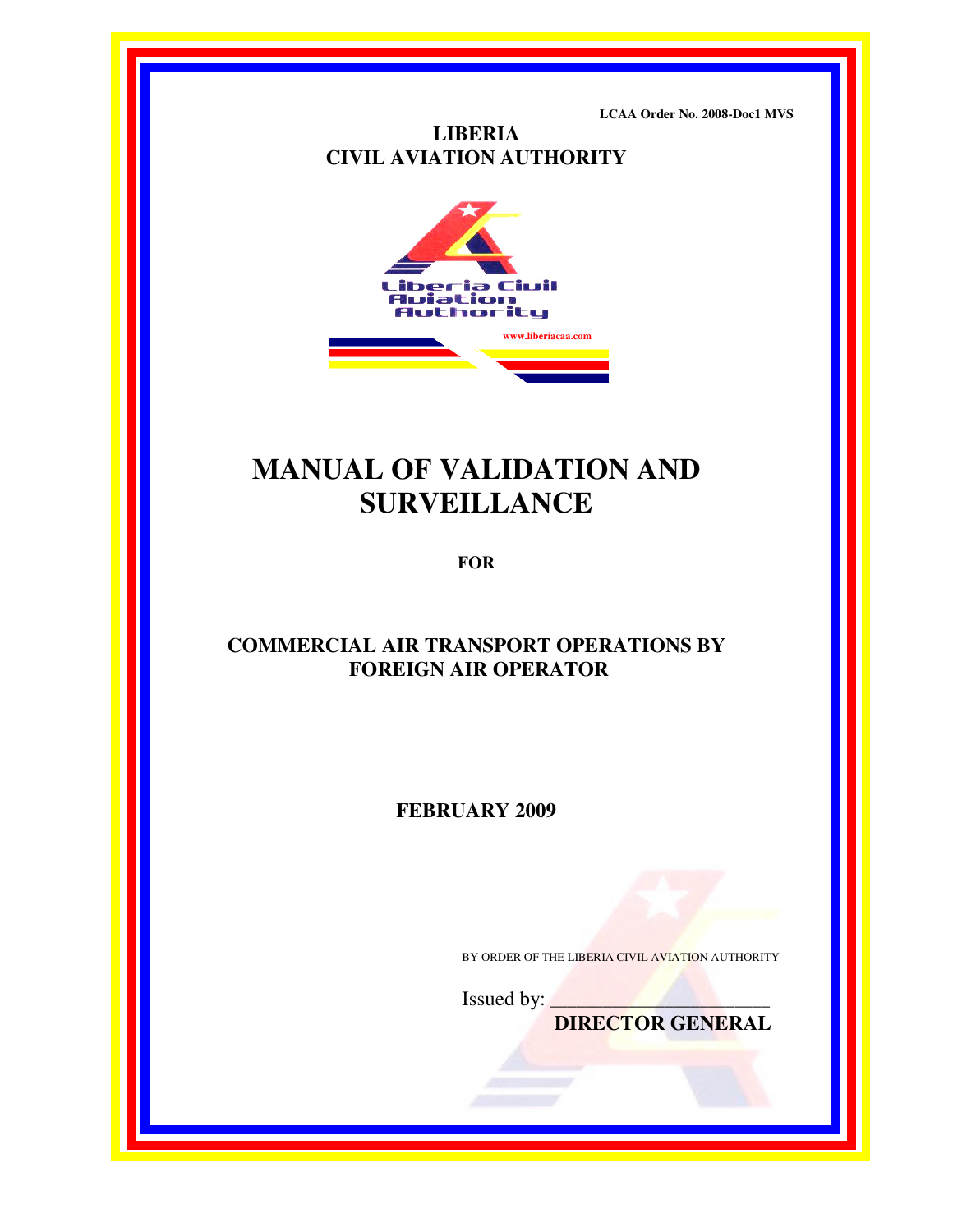**LCAA Order No. 2008-Doc1 MVS** 

LCAA Order No. 2008-Doc1MVS

# **LIBERIA CIVIL AVIATION AUTHORITY**



# **MANUAL OF VALIDATION AND SURVEILLANCE**

**FOR** 

# **COMMERCIAL AIR TRANSPORT OPERATIONS BY FOREIGN AIR OPERATOR**

**FEBRUARY 2009** 

BY ORDER OF THE LIBERIA CIVIL AVIATION AUTHORITY

Issued by:

 **DIRECTOR GENERAL**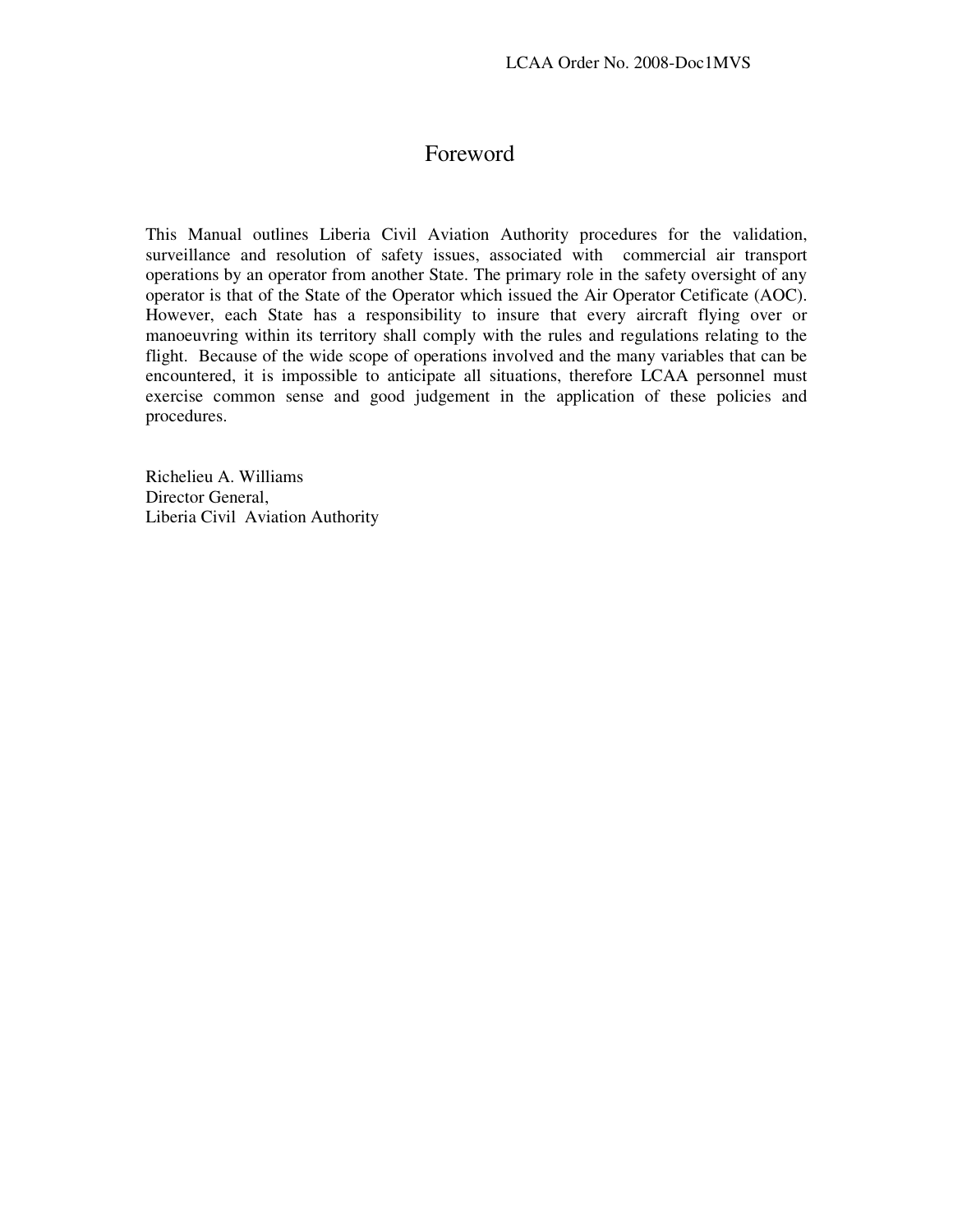# Foreword

This Manual outlines Liberia Civil Aviation Authority procedures for the validation, surveillance and resolution of safety issues, associated with commercial air transport operations by an operator from another State. The primary role in the safety oversight of any operator is that of the State of the Operator which issued the Air Operator Cetificate (AOC). However, each State has a responsibility to insure that every aircraft flying over or manoeuvring within its territory shall comply with the rules and regulations relating to the flight. Because of the wide scope of operations involved and the many variables that can be encountered, it is impossible to anticipate all situations, therefore LCAA personnel must exercise common sense and good judgement in the application of these policies and procedures.

Richelieu A. Williams Director General, Liberia Civil Aviation Authority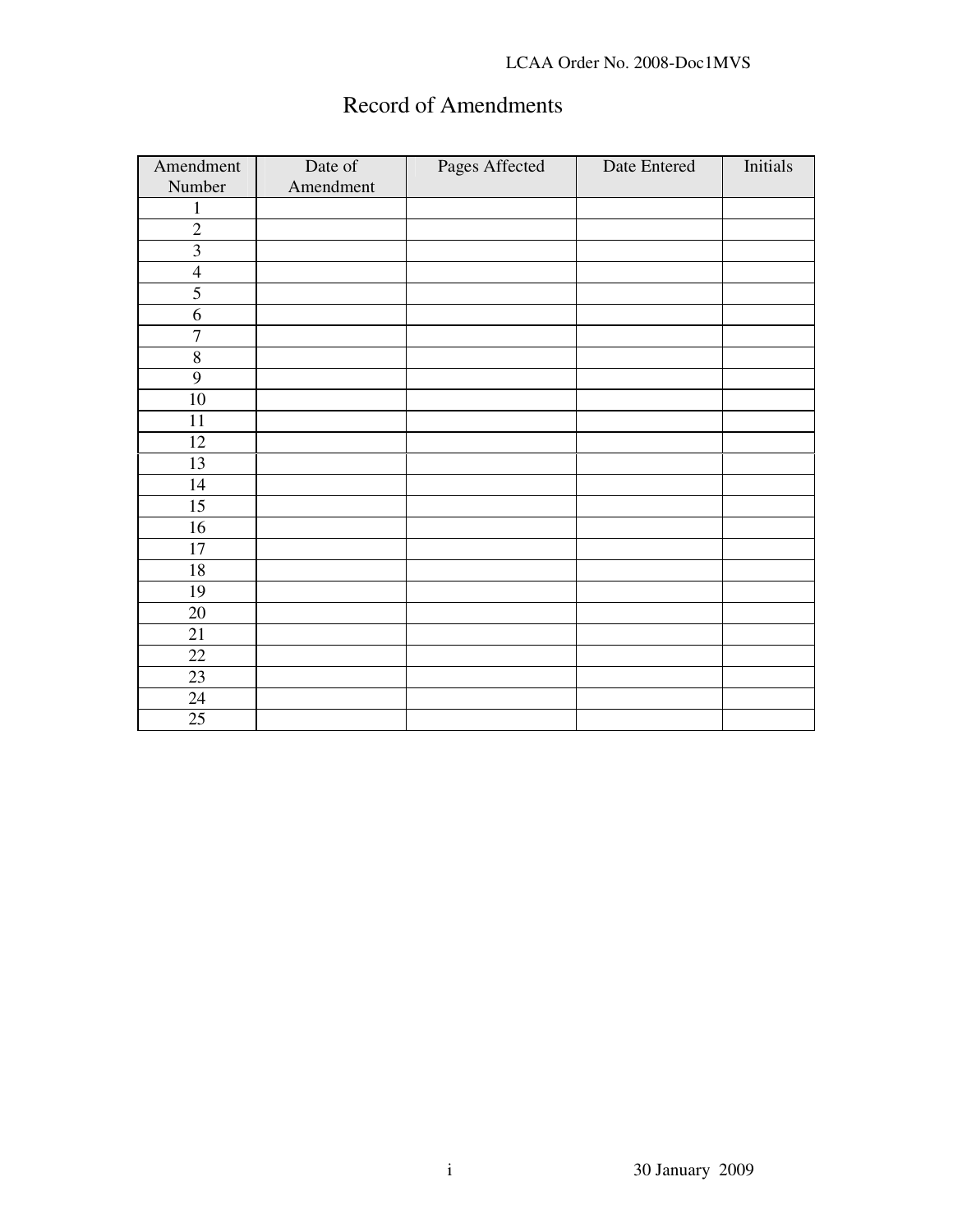| Amendment               | Date of   | Pages Affected | Date Entered | Initials |
|-------------------------|-----------|----------------|--------------|----------|
| Number                  | Amendment |                |              |          |
| $\mathbf{1}$            |           |                |              |          |
| $\overline{2}$          |           |                |              |          |
| $\overline{\mathbf{3}}$ |           |                |              |          |
| $\overline{4}$          |           |                |              |          |
| $\overline{5}$          |           |                |              |          |
| 6                       |           |                |              |          |
| $\overline{7}$          |           |                |              |          |
| $\overline{8}$          |           |                |              |          |
| $\overline{9}$          |           |                |              |          |
| $10\,$                  |           |                |              |          |
| $11\,$                  |           |                |              |          |
| 12                      |           |                |              |          |
| 13                      |           |                |              |          |
| 14                      |           |                |              |          |
| 15                      |           |                |              |          |
| 16                      |           |                |              |          |
| 17                      |           |                |              |          |
| $18\,$                  |           |                |              |          |
| 19                      |           |                |              |          |
| $20\,$                  |           |                |              |          |
| 21                      |           |                |              |          |
| 22                      |           |                |              |          |
| 23                      |           |                |              |          |
| $24\,$                  |           |                |              |          |
| $25\,$                  |           |                |              |          |

# Record of Amendments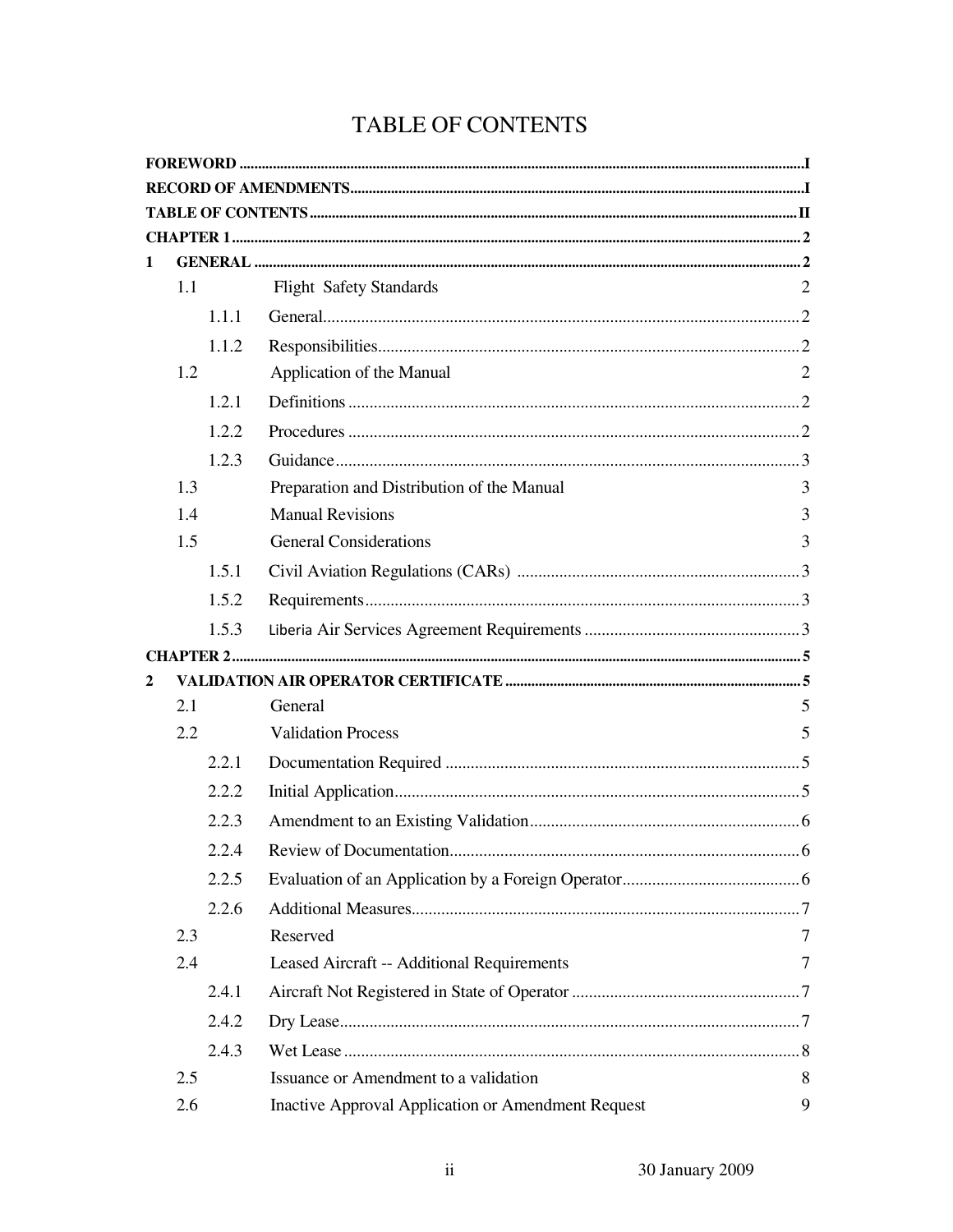# TABLE OF CONTENTS

| 1 |         |       |                                                    |   |
|---|---------|-------|----------------------------------------------------|---|
|   | 1.1     |       | Flight Safety Standards                            | 2 |
|   |         | 1.1.1 |                                                    |   |
|   |         | 1.1.2 |                                                    |   |
|   | 1.2     |       | Application of the Manual                          | 2 |
|   |         | 1.2.1 |                                                    |   |
|   |         | 1.2.2 |                                                    |   |
|   |         | 1.2.3 |                                                    |   |
|   | 1.3     |       | Preparation and Distribution of the Manual         | 3 |
|   | 1.4     |       | <b>Manual Revisions</b>                            | 3 |
|   | 1.5     |       | <b>General Considerations</b>                      | 3 |
|   |         | 1.5.1 |                                                    |   |
|   |         | 1.5.2 |                                                    |   |
|   |         | 1.5.3 |                                                    |   |
|   |         |       |                                                    |   |
| 2 |         |       |                                                    |   |
|   | 2.1     |       | General                                            | 5 |
|   | $2.2\,$ |       | <b>Validation Process</b>                          | 5 |
|   |         | 2.2.1 |                                                    |   |
|   |         | 2.2.2 |                                                    |   |
|   |         | 2.2.3 |                                                    |   |
|   |         | 2.2.4 | Review of Documentation.<br>. 6                    |   |
|   |         | 2.2.5 |                                                    |   |
|   |         | 2.2.6 |                                                    |   |
|   | 2.3     |       | Reserved                                           | 7 |
|   | 2.4     |       | Leased Aircraft -- Additional Requirements         | 7 |
|   |         | 2.4.1 |                                                    |   |
|   |         | 2.4.2 |                                                    |   |
|   |         | 2.4.3 |                                                    |   |
|   | 2.5     |       | Issuance or Amendment to a validation              | 8 |
|   | 2.6     |       | Inactive Approval Application or Amendment Request | 9 |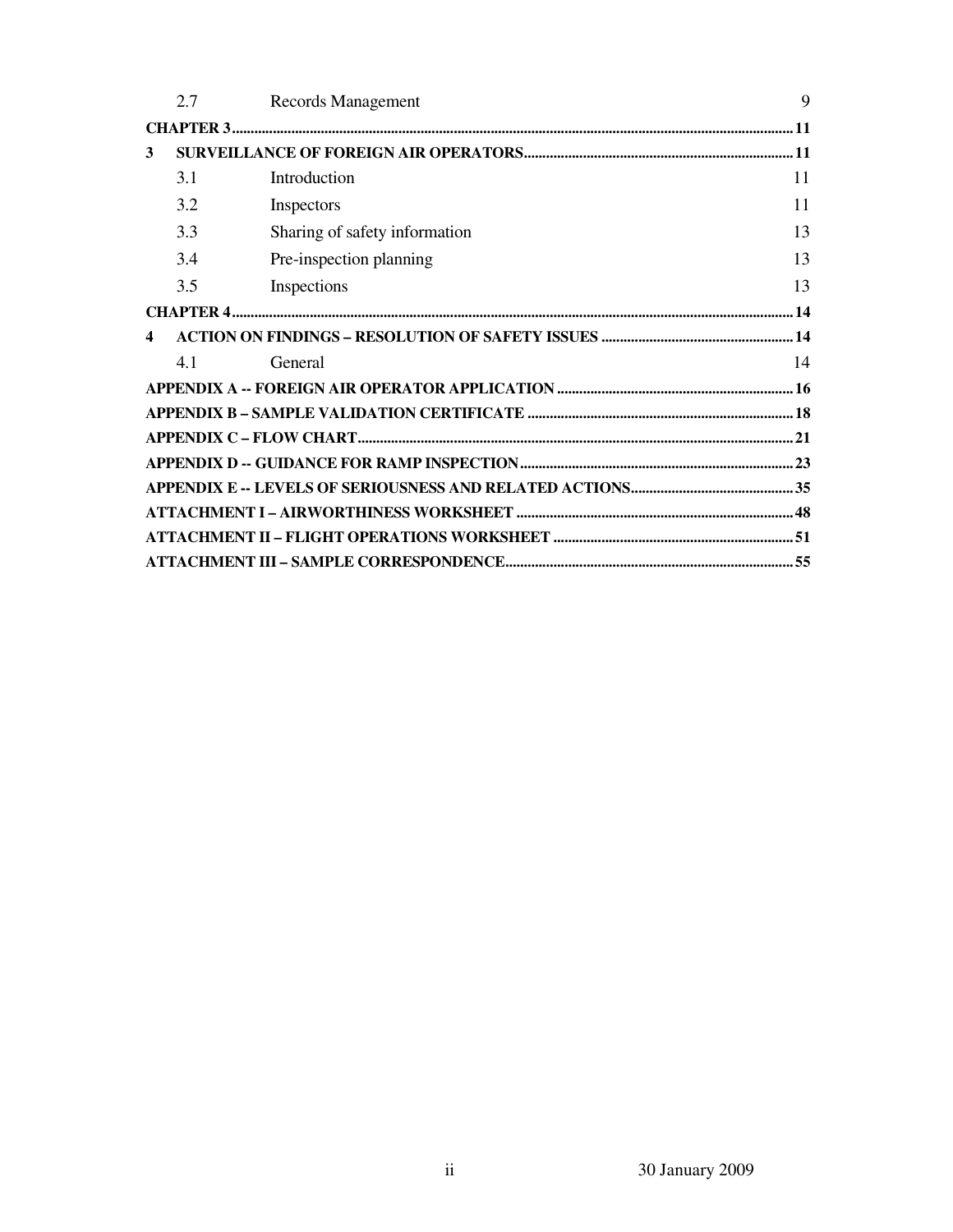|   | 2.7 | Records Management            | 9  |
|---|-----|-------------------------------|----|
|   |     |                               |    |
| 3 |     |                               |    |
|   | 3.1 | Introduction                  | 11 |
|   | 3.2 | Inspectors                    | 11 |
|   | 3.3 | Sharing of safety information | 13 |
|   | 3.4 | Pre-inspection planning       | 13 |
|   | 3.5 | Inspections                   | 13 |
|   |     |                               |    |
| 4 |     |                               |    |
|   | 4.1 | General                       | 14 |
|   |     |                               |    |
|   |     |                               |    |
|   |     |                               |    |
|   |     |                               |    |
|   |     |                               |    |
|   |     |                               |    |
|   |     |                               |    |
|   |     |                               |    |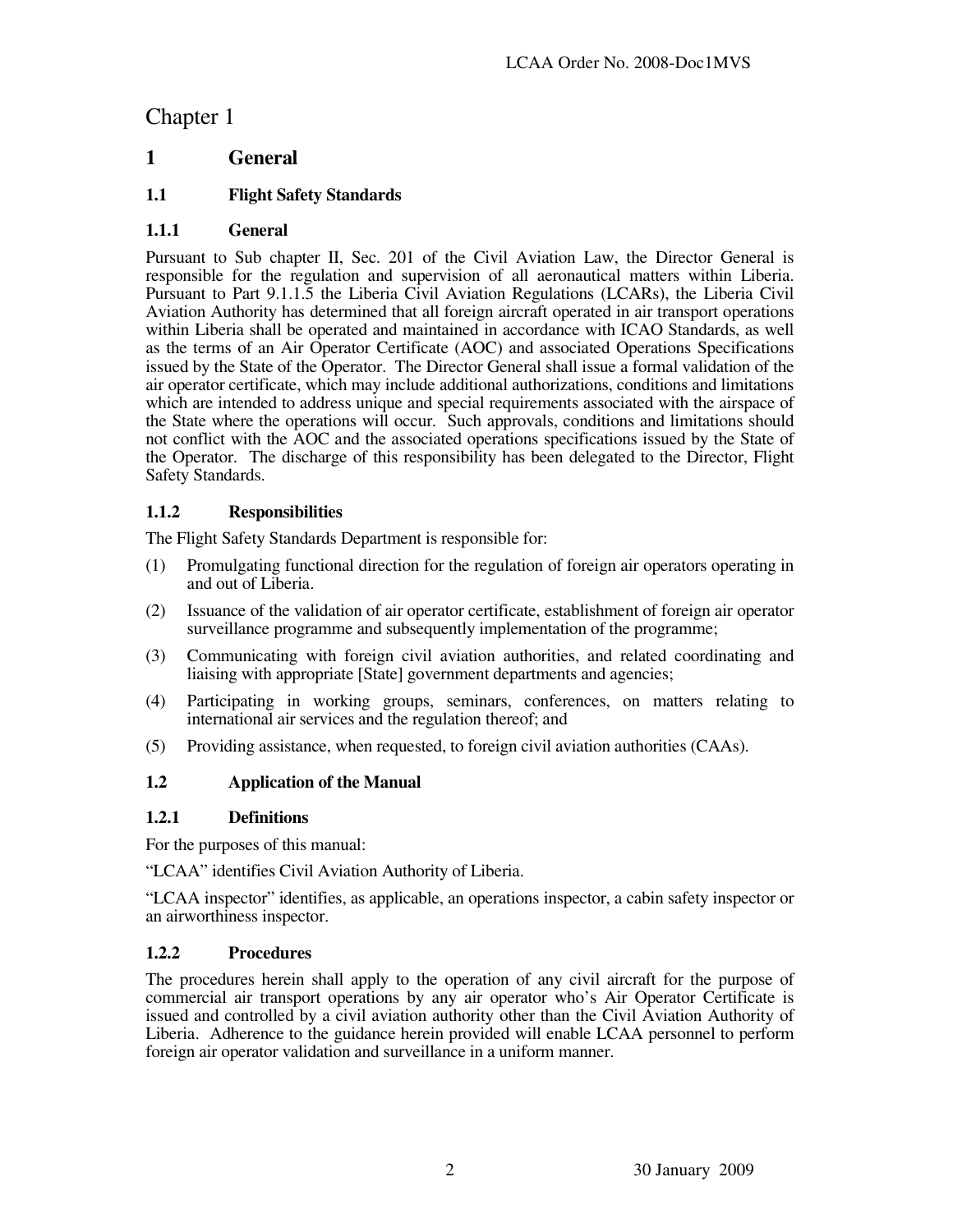# Chapter 1

# **1 General**

# **1.1 Flight Safety Standards**

# **1.1.1 General**

Pursuant to Sub chapter II, Sec. 201 of the Civil Aviation Law, the Director General is responsible for the regulation and supervision of all aeronautical matters within Liberia. Pursuant to Part 9.1.1.5 the Liberia Civil Aviation Regulations (LCARs), the Liberia Civil Aviation Authority has determined that all foreign aircraft operated in air transport operations within Liberia shall be operated and maintained in accordance with ICAO Standards, as well as the terms of an Air Operator Certificate (AOC) and associated Operations Specifications issued by the State of the Operator. The Director General shall issue a formal validation of the air operator certificate, which may include additional authorizations, conditions and limitations which are intended to address unique and special requirements associated with the airspace of the State where the operations will occur. Such approvals, conditions and limitations should not conflict with the AOC and the associated operations specifications issued by the State of the Operator. The discharge of this responsibility has been delegated to the Director, Flight Safety Standards.

# **1.1.2 Responsibilities**

The Flight Safety Standards Department is responsible for:

- (1) Promulgating functional direction for the regulation of foreign air operators operating in and out of Liberia.
- (2) Issuance of the validation of air operator certificate, establishment of foreign air operator surveillance programme and subsequently implementation of the programme;
- (3) Communicating with foreign civil aviation authorities, and related coordinating and liaising with appropriate [State] government departments and agencies;
- (4) Participating in working groups, seminars, conferences, on matters relating to international air services and the regulation thereof; and
- (5) Providing assistance, when requested, to foreign civil aviation authorities (CAAs).

# **1.2 Application of the Manual**

# **1.2.1 Definitions**

For the purposes of this manual:

"LCAA" identifies Civil Aviation Authority of Liberia.

"LCAA inspector" identifies, as applicable, an operations inspector, a cabin safety inspector or an airworthiness inspector.

# **1.2.2 Procedures**

The procedures herein shall apply to the operation of any civil aircraft for the purpose of commercial air transport operations by any air operator who's Air Operator Certificate is issued and controlled by a civil aviation authority other than the Civil Aviation Authority of Liberia. Adherence to the guidance herein provided will enable LCAA personnel to perform foreign air operator validation and surveillance in a uniform manner.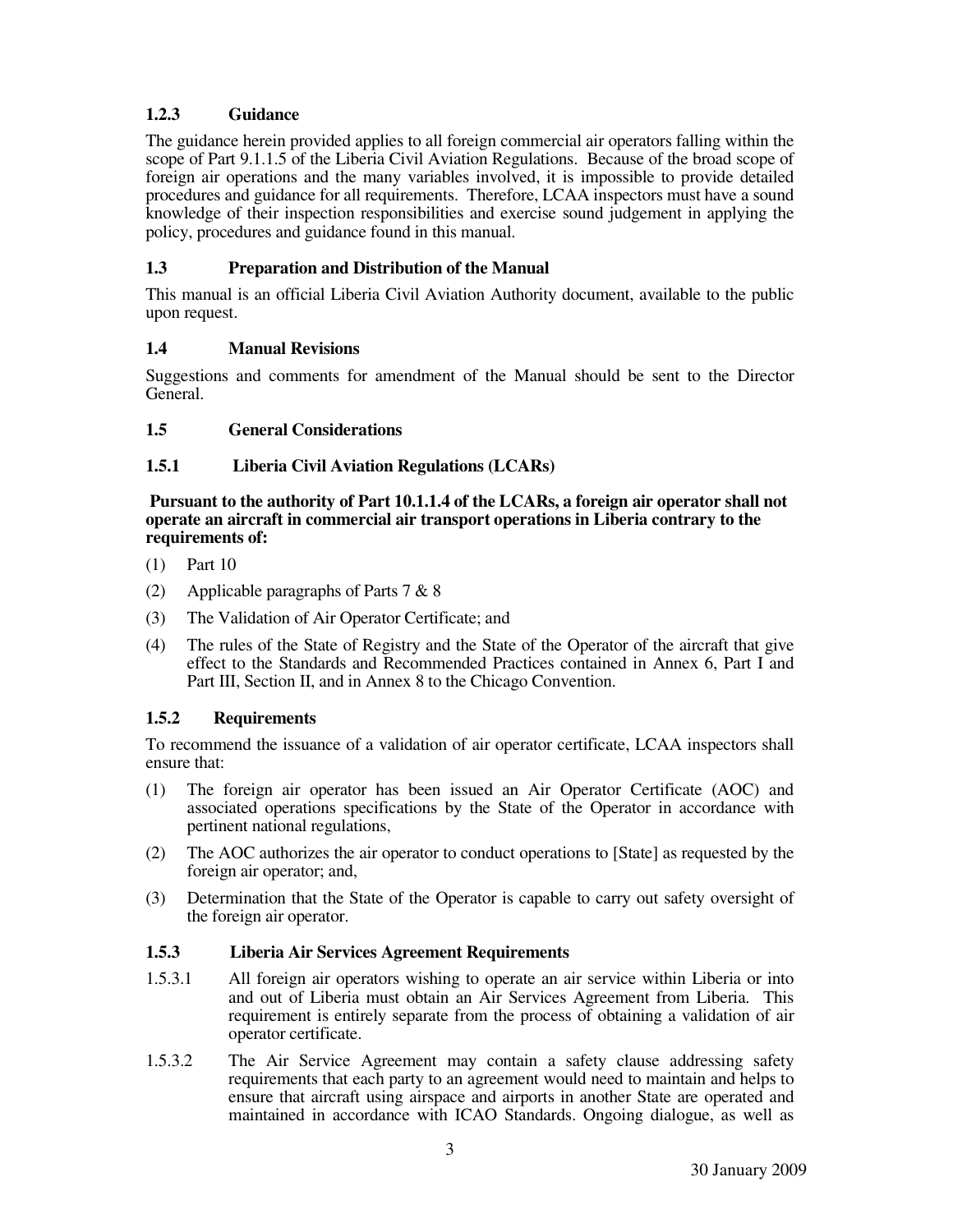# **1.2.3 Guidance**

The guidance herein provided applies to all foreign commercial air operators falling within the scope of Part 9.1.1.5 of the Liberia Civil Aviation Regulations. Because of the broad scope of foreign air operations and the many variables involved, it is impossible to provide detailed procedures and guidance for all requirements. Therefore, LCAA inspectors must have a sound knowledge of their inspection responsibilities and exercise sound judgement in applying the policy, procedures and guidance found in this manual.

# **1.3 Preparation and Distribution of the Manual**

This manual is an official Liberia Civil Aviation Authority document, available to the public upon request.

# **1.4 Manual Revisions**

Suggestions and comments for amendment of the Manual should be sent to the Director General.

# **1.5 General Considerations**

# **1.5.1 Liberia Civil Aviation Regulations (LCARs)**

 **Pursuant to the authority of Part 10.1.1.4 of the LCARs, a foreign air operator shall not operate an aircraft in commercial air transport operations in Liberia contrary to the requirements of:** 

- (1) Part 10
- (2) Applicable paragraphs of Parts 7 & 8
- (3) The Validation of Air Operator Certificate; and
- (4) The rules of the State of Registry and the State of the Operator of the aircraft that give effect to the Standards and Recommended Practices contained in Annex 6, Part I and Part III, Section II, and in Annex 8 to the Chicago Convention.

# **1.5.2 Requirements**

To recommend the issuance of a validation of air operator certificate, LCAA inspectors shall ensure that:

- (1) The foreign air operator has been issued an Air Operator Certificate (AOC) and associated operations specifications by the State of the Operator in accordance with pertinent national regulations,
- (2) The AOC authorizes the air operator to conduct operations to [State] as requested by the foreign air operator; and,
- (3) Determination that the State of the Operator is capable to carry out safety oversight of the foreign air operator.

#### **1.5.3 Liberia Air Services Agreement Requirements**

- 1.5.3.1 All foreign air operators wishing to operate an air service within Liberia or into and out of Liberia must obtain an Air Services Agreement from Liberia. This requirement is entirely separate from the process of obtaining a validation of air operator certificate.
- 1.5.3.2 The Air Service Agreement may contain a safety clause addressing safety requirements that each party to an agreement would need to maintain and helps to ensure that aircraft using airspace and airports in another State are operated and maintained in accordance with ICAO Standards. Ongoing dialogue, as well as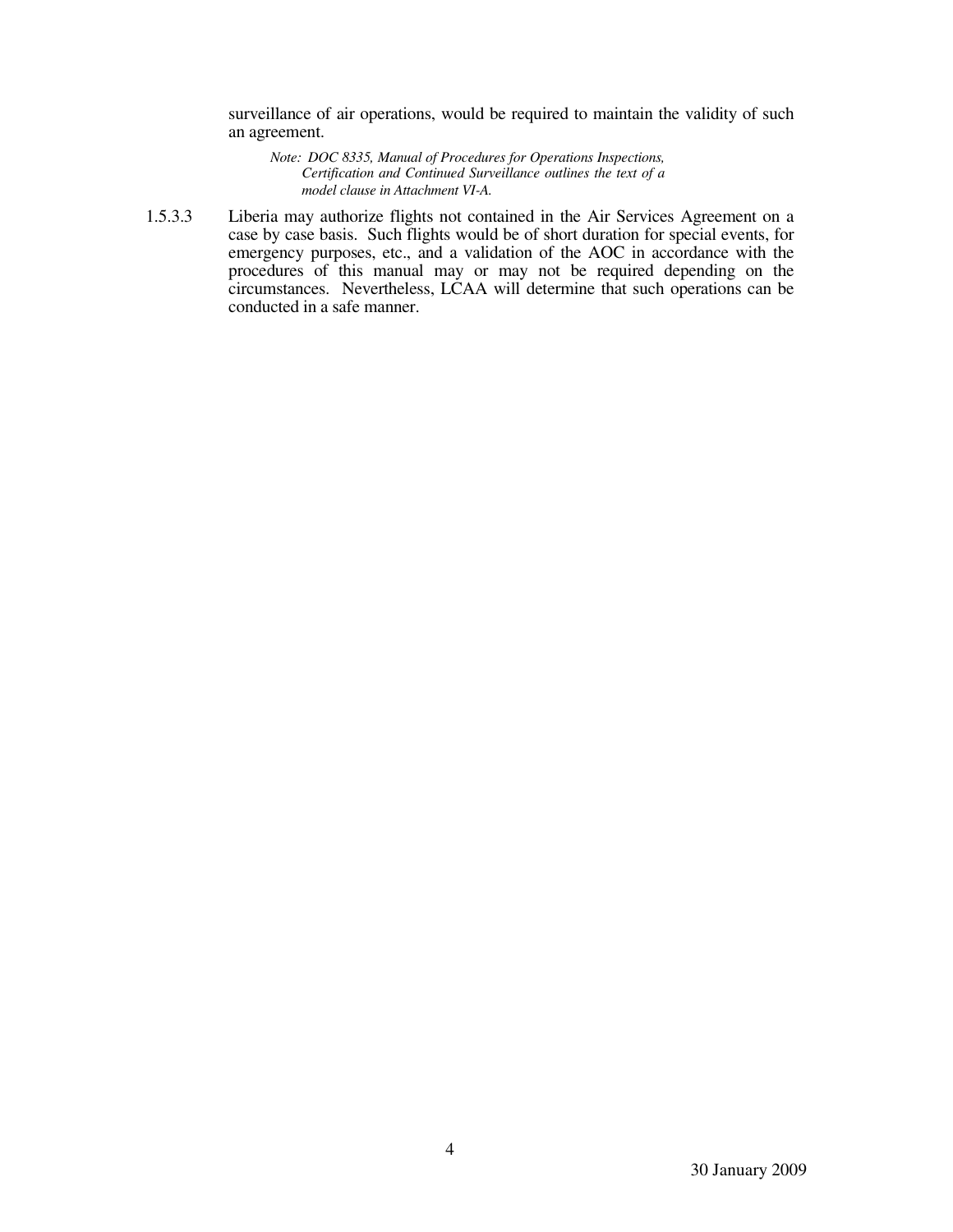surveillance of air operations, would be required to maintain the validity of such an agreement.

*Note: DOC 8335, Manual of Procedures for Operations Inspections, Certification and Continued Surveillance outlines the text of a model clause in Attachment VI-A.* 

1.5.3.3 Liberia may authorize flights not contained in the Air Services Agreement on a case by case basis. Such flights would be of short duration for special events, for emergency purposes, etc., and a validation of the AOC in accordance with the procedures of this manual may or may not be required depending on the circumstances. Nevertheless, LCAA will determine that such operations can be conducted in a safe manner.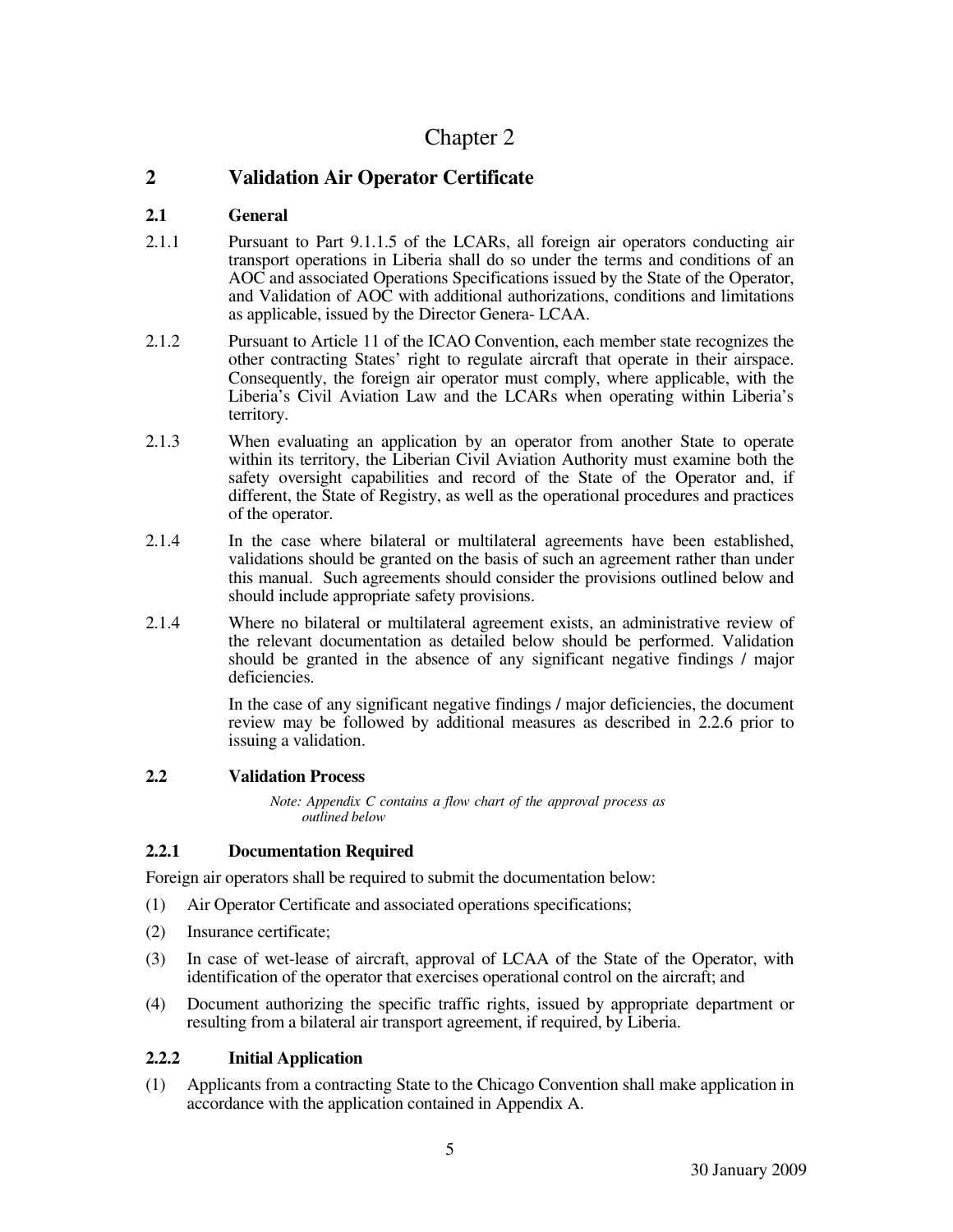# Chapter 2

# **2 Validation Air Operator Certificate**

# **2.1 General**

- 2.1.1 Pursuant to Part 9.1.1.5 of the LCARs, all foreign air operators conducting air transport operations in Liberia shall do so under the terms and conditions of an AOC and associated Operations Specifications issued by the State of the Operator, and Validation of AOC with additional authorizations, conditions and limitations as applicable, issued by the Director Genera- LCAA.
- 2.1.2 Pursuant to Article 11 of the ICAO Convention, each member state recognizes the other contracting States' right to regulate aircraft that operate in their airspace. Consequently, the foreign air operator must comply, where applicable, with the Liberia's Civil Aviation Law and the LCARs when operating within Liberia's territory.
- 2.1.3 When evaluating an application by an operator from another State to operate within its territory, the Liberian Civil Aviation Authority must examine both the safety oversight capabilities and record of the State of the Operator and, if different, the State of Registry, as well as the operational procedures and practices of the operator.
- 2.1.4 In the case where bilateral or multilateral agreements have been established, validations should be granted on the basis of such an agreement rather than under this manual. Such agreements should consider the provisions outlined below and should include appropriate safety provisions.
- 2.1.4 Where no bilateral or multilateral agreement exists, an administrative review of the relevant documentation as detailed below should be performed. Validation should be granted in the absence of any significant negative findings / major deficiencies.

 In the case of any significant negative findings / major deficiencies, the document review may be followed by additional measures as described in 2.2.6 prior to issuing a validation.

#### **2.2 Validation Process**

*Note: Appendix C contains a flow chart of the approval process as outlined below* 

# **2.2.1 Documentation Required**

Foreign air operators shall be required to submit the documentation below:

- (1) Air Operator Certificate and associated operations specifications;
- (2) Insurance certificate;
- (3) In case of wet-lease of aircraft, approval of LCAA of the State of the Operator, with identification of the operator that exercises operational control on the aircraft; and
- (4) Document authorizing the specific traffic rights, issued by appropriate department or resulting from a bilateral air transport agreement, if required, by Liberia.

# **2.2.2 Initial Application**

(1) Applicants from a contracting State to the Chicago Convention shall make application in accordance with the application contained in Appendix A.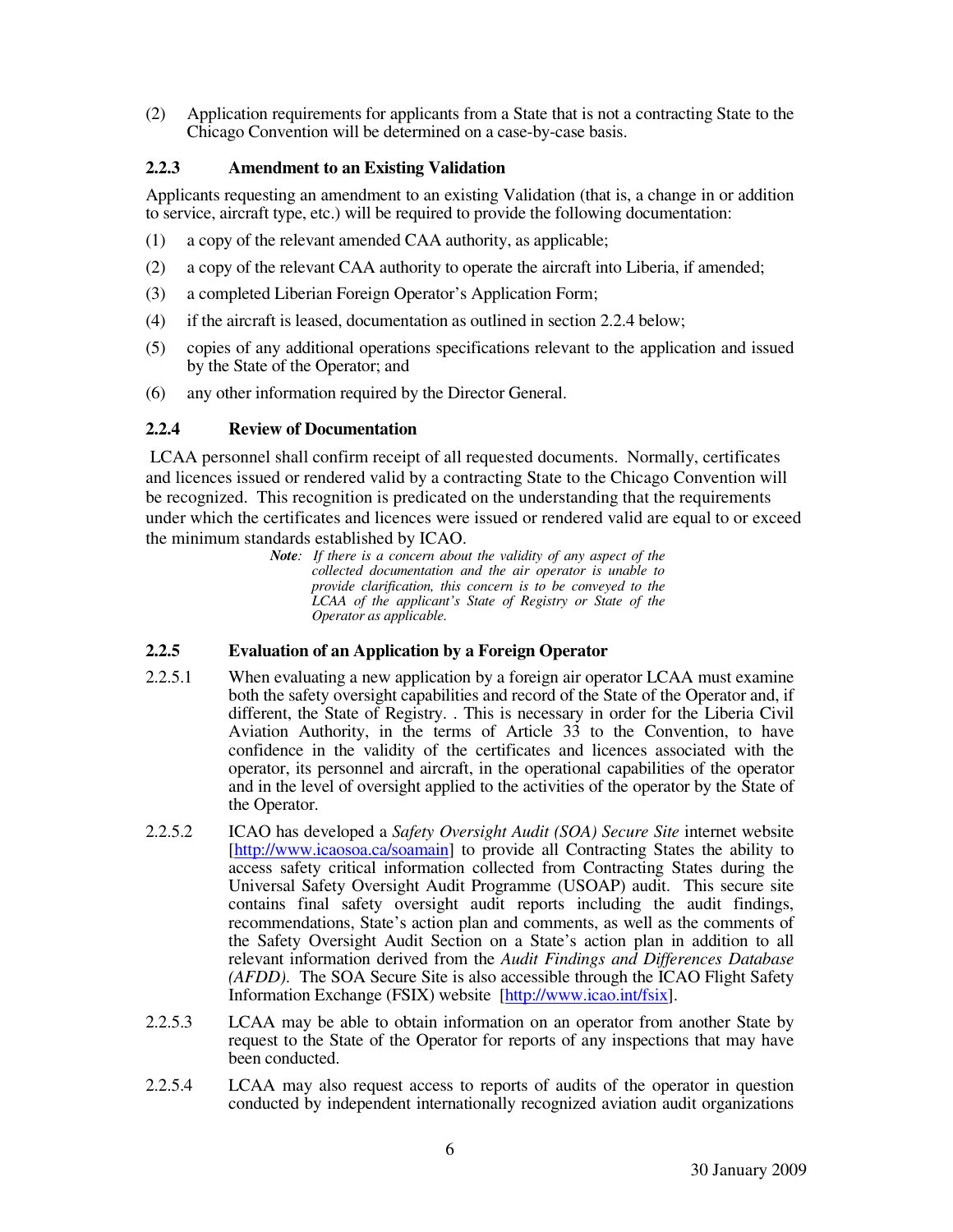(2) Application requirements for applicants from a State that is not a contracting State to the Chicago Convention will be determined on a case-by-case basis.

# **2.2.3 Amendment to an Existing Validation**

Applicants requesting an amendment to an existing Validation (that is, a change in or addition to service, aircraft type, etc.) will be required to provide the following documentation:

- (1) a copy of the relevant amended CAA authority, as applicable;
- (2) a copy of the relevant CAA authority to operate the aircraft into Liberia, if amended;
- (3) a completed Liberian Foreign Operator's Application Form;
- (4) if the aircraft is leased, documentation as outlined in section 2.2.4 below;
- (5) copies of any additional operations specifications relevant to the application and issued by the State of the Operator; and
- (6) any other information required by the Director General.

#### **2.2.4 Review of Documentation**

 LCAA personnel shall confirm receipt of all requested documents. Normally, certificates and licences issued or rendered valid by a contracting State to the Chicago Convention will be recognized. This recognition is predicated on the understanding that the requirements under which the certificates and licences were issued or rendered valid are equal to or exceed the minimum standards established by ICAO.

*Note: If there is a concern about the validity of any aspect of the collected documentation and the air operator is unable to provide clarification, this concern is to be conveyed to the LCAA of the applicant's State of Registry or State of the Operator as applicable.* 

#### **2.2.5 Evaluation of an Application by a Foreign Operator**

- 2.2.5.1 When evaluating a new application by a foreign air operator LCAA must examine both the safety oversight capabilities and record of the State of the Operator and, if different, the State of Registry. . This is necessary in order for the Liberia Civil Aviation Authority, in the terms of Article 33 to the Convention, to have confidence in the validity of the certificates and licences associated with the operator, its personnel and aircraft, in the operational capabilities of the operator and in the level of oversight applied to the activities of the operator by the State of the Operator.
- 2.2.5.2 ICAO has developed a *Safety Oversight Audit (SOA) Secure Site* internet website [http://www.icaosoa.ca/soamain] to provide all Contracting States the ability to access safety critical information collected from Contracting States during the Universal Safety Oversight Audit Programme (USOAP) audit. This secure site contains final safety oversight audit reports including the audit findings, recommendations, State's action plan and comments, as well as the comments of the Safety Oversight Audit Section on a State's action plan in addition to all relevant information derived from the *Audit Findings and Differences Database (AFDD)*. The SOA Secure Site is also accessible through the ICAO Flight Safety Information Exchange (FSIX) website [http://www.icao.int/fsix].
- 2.2.5.3 LCAA may be able to obtain information on an operator from another State by request to the State of the Operator for reports of any inspections that may have been conducted.
- 2.2.5.4 LCAA may also request access to reports of audits of the operator in question conducted by independent internationally recognized aviation audit organizations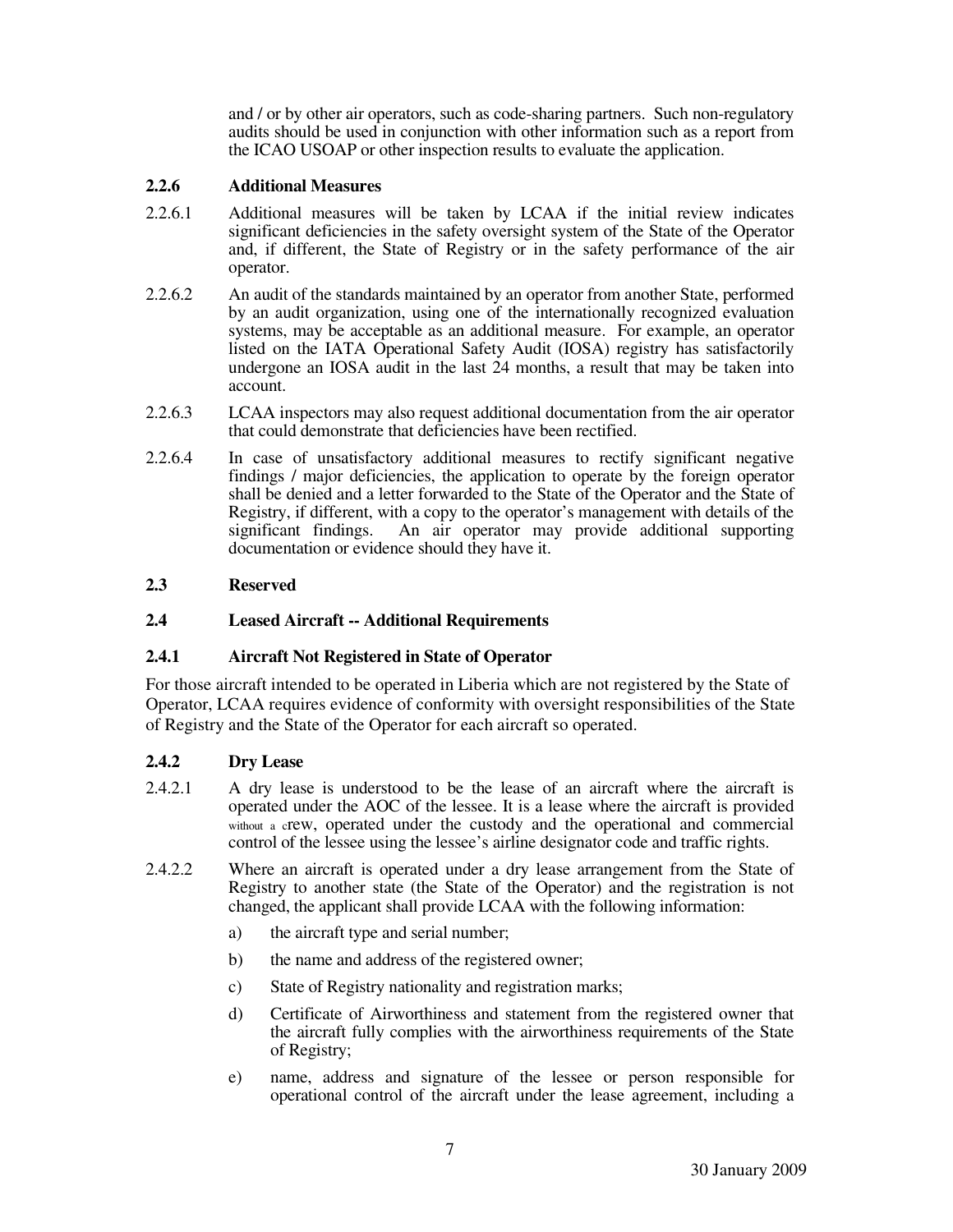and / or by other air operators, such as code-sharing partners. Such non-regulatory audits should be used in conjunction with other information such as a report from the ICAO USOAP or other inspection results to evaluate the application.

## **2.2.6 Additional Measures**

- 2.2.6.1 Additional measures will be taken by LCAA if the initial review indicates significant deficiencies in the safety oversight system of the State of the Operator and, if different, the State of Registry or in the safety performance of the air operator.
- 2.2.6.2 An audit of the standards maintained by an operator from another State, performed by an audit organization, using one of the internationally recognized evaluation systems, may be acceptable as an additional measure. For example, an operator listed on the IATA Operational Safety Audit (IOSA) registry has satisfactorily undergone an IOSA audit in the last 24 months, a result that may be taken into account.
- 2.2.6.3 LCAA inspectors may also request additional documentation from the air operator that could demonstrate that deficiencies have been rectified.
- 2.2.6.4 In case of unsatisfactory additional measures to rectify significant negative findings / major deficiencies, the application to operate by the foreign operator shall be denied and a letter forwarded to the State of the Operator and the State of Registry, if different, with a copy to the operator's management with details of the significant findings. An air operator may provide additional supporting documentation or evidence should they have it.

#### **2.3 Reserved**

#### **2.4 Leased Aircraft -- Additional Requirements**

#### **2.4.1 Aircraft Not Registered in State of Operator**

For those aircraft intended to be operated in Liberia which are not registered by the State of Operator, LCAA requires evidence of conformity with oversight responsibilities of the State of Registry and the State of the Operator for each aircraft so operated.

#### **2.4.2 Dry Lease**

- 2.4.2.1 A dry lease is understood to be the lease of an aircraft where the aircraft is operated under the AOC of the lessee. It is a lease where the aircraft is provided without a crew, operated under the custody and the operational and commercial control of the lessee using the lessee's airline designator code and traffic rights.
- 2.4.2.2 Where an aircraft is operated under a dry lease arrangement from the State of Registry to another state (the State of the Operator) and the registration is not changed, the applicant shall provide LCAA with the following information:
	- a) the aircraft type and serial number;
	- b) the name and address of the registered owner;
	- c) State of Registry nationality and registration marks;
	- d) Certificate of Airworthiness and statement from the registered owner that the aircraft fully complies with the airworthiness requirements of the State of Registry;
	- e) name, address and signature of the lessee or person responsible for operational control of the aircraft under the lease agreement, including a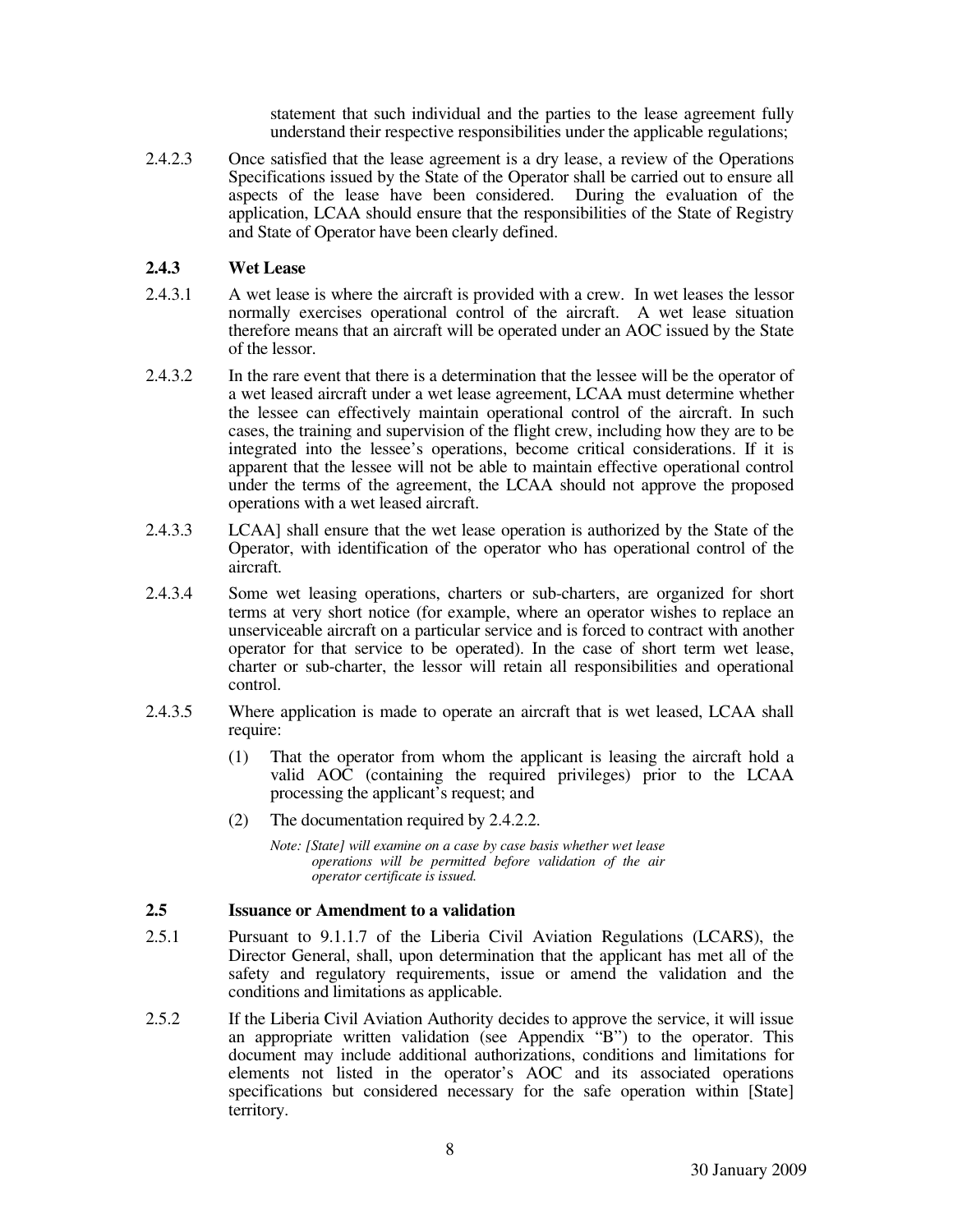statement that such individual and the parties to the lease agreement fully understand their respective responsibilities under the applicable regulations;

2.4.2.3 Once satisfied that the lease agreement is a dry lease, a review of the Operations Specifications issued by the State of the Operator shall be carried out to ensure all aspects of the lease have been considered. During the evaluation of the application, LCAA should ensure that the responsibilities of the State of Registry and State of Operator have been clearly defined.

#### **2.4.3 Wet Lease**

- 2.4.3.1 A wet lease is where the aircraft is provided with a crew. In wet leases the lessor normally exercises operational control of the aircraft. A wet lease situation therefore means that an aircraft will be operated under an AOC issued by the State of the lessor.
- 2.4.3.2 In the rare event that there is a determination that the lessee will be the operator of a wet leased aircraft under a wet lease agreement, LCAA must determine whether the lessee can effectively maintain operational control of the aircraft. In such cases, the training and supervision of the flight crew, including how they are to be integrated into the lessee's operations, become critical considerations. If it is apparent that the lessee will not be able to maintain effective operational control under the terms of the agreement, the LCAA should not approve the proposed operations with a wet leased aircraft.
- 2.4.3.3 LCAA] shall ensure that the wet lease operation is authorized by the State of the Operator, with identification of the operator who has operational control of the aircraft.
- 2.4.3.4 Some wet leasing operations, charters or sub-charters, are organized for short terms at very short notice (for example, where an operator wishes to replace an unserviceable aircraft on a particular service and is forced to contract with another operator for that service to be operated). In the case of short term wet lease, charter or sub-charter, the lessor will retain all responsibilities and operational control.
- 2.4.3.5 Where application is made to operate an aircraft that is wet leased, LCAA shall require:
	- (1) That the operator from whom the applicant is leasing the aircraft hold a valid AOC (containing the required privileges) prior to the LCAA processing the applicant's request; and
	- (2) The documentation required by 2.4.2.2.

*Note: [State] will examine on a case by case basis whether wet lease operations will be permitted before validation of the air operator certificate is issued.* 

#### **2.5 Issuance or Amendment to a validation**

- 2.5.1 Pursuant to 9.1.1.7 of the Liberia Civil Aviation Regulations (LCARS), the Director General, shall, upon determination that the applicant has met all of the safety and regulatory requirements, issue or amend the validation and the conditions and limitations as applicable.
- 2.5.2 If the Liberia Civil Aviation Authority decides to approve the service, it will issue an appropriate written validation (see Appendix "B") to the operator. This document may include additional authorizations, conditions and limitations for elements not listed in the operator's AOC and its associated operations specifications but considered necessary for the safe operation within [State] territory.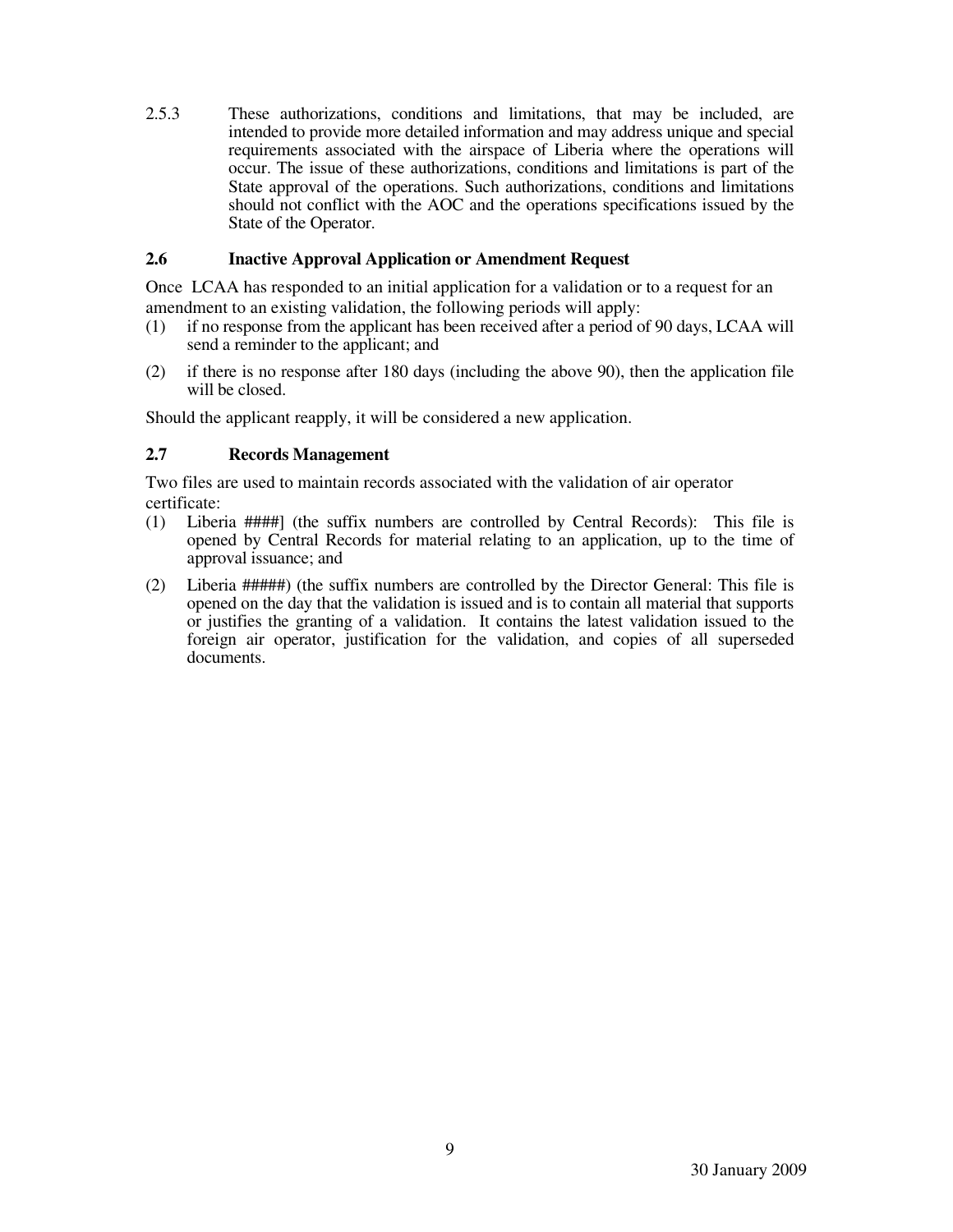2.5.3 These authorizations, conditions and limitations, that may be included, are intended to provide more detailed information and may address unique and special requirements associated with the airspace of Liberia where the operations will occur. The issue of these authorizations, conditions and limitations is part of the State approval of the operations. Such authorizations, conditions and limitations should not conflict with the AOC and the operations specifications issued by the State of the Operator.

## **2.6 Inactive Approval Application or Amendment Request**

Once LCAA has responded to an initial application for a validation or to a request for an amendment to an existing validation, the following periods will apply:

- (1) if no response from the applicant has been received after a period of 90 days, LCAA will send a reminder to the applicant; and
- (2) if there is no response after 180 days (including the above 90), then the application file will be closed.

Should the applicant reapply, it will be considered a new application.

# **2.7 Records Management**

Two files are used to maintain records associated with the validation of air operator certificate:

- (1) Liberia ####] (the suffix numbers are controlled by Central Records): This file is opened by Central Records for material relating to an application, up to the time of approval issuance; and
- (2) Liberia #####) (the suffix numbers are controlled by the Director General: This file is opened on the day that the validation is issued and is to contain all material that supports or justifies the granting of a validation. It contains the latest validation issued to the foreign air operator, justification for the validation, and copies of all superseded documents.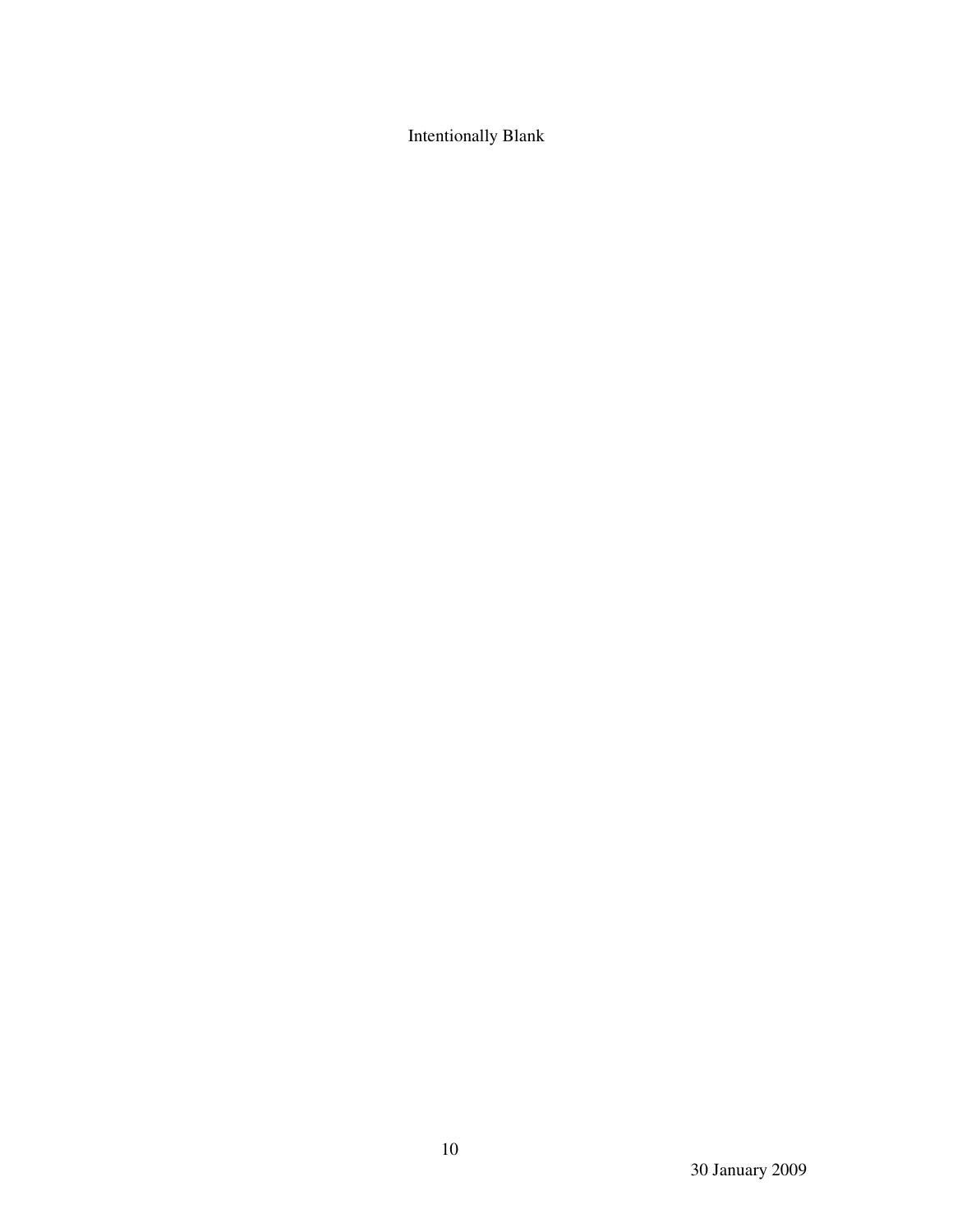Intentionally Blank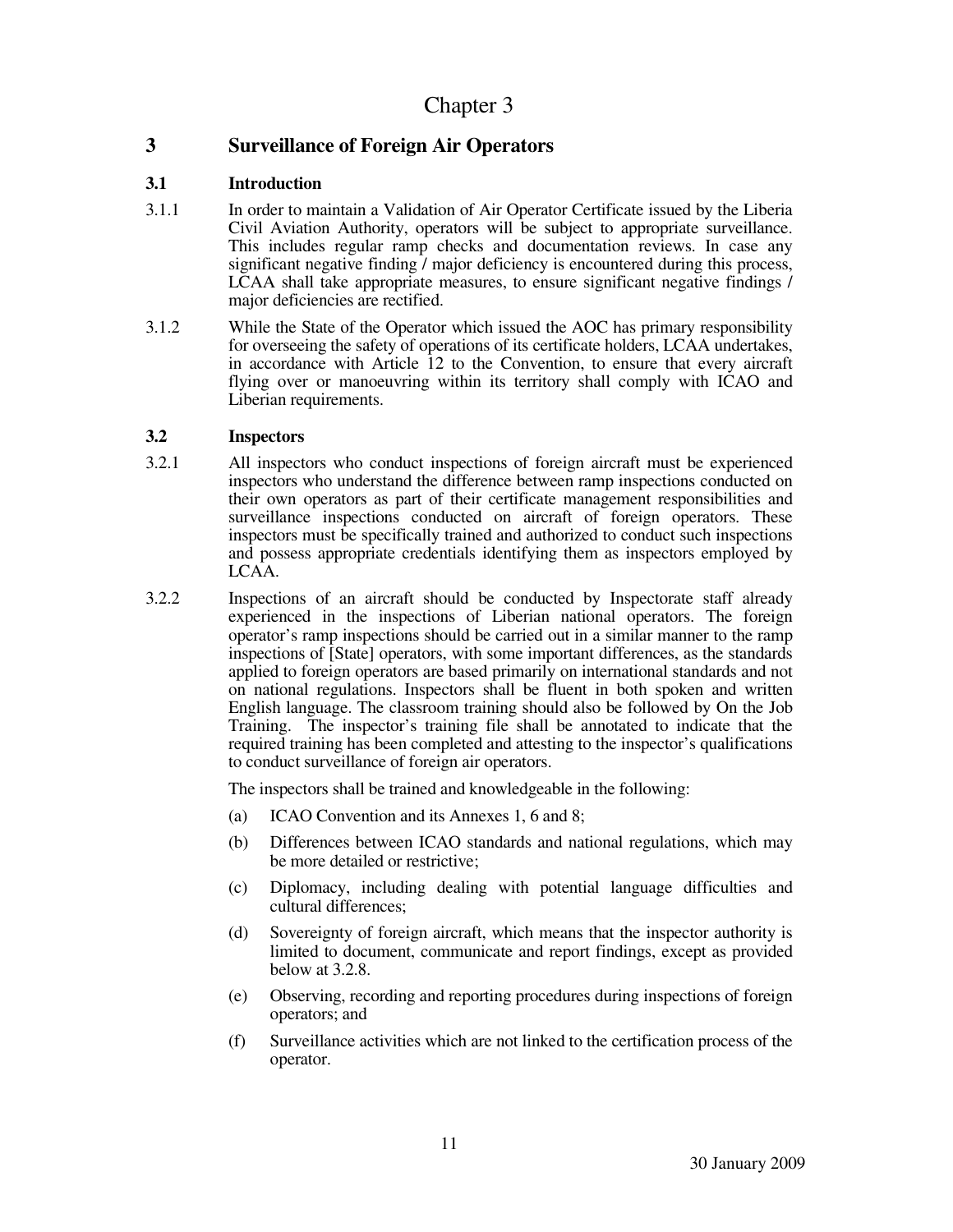# Chapter 3

# **3 Surveillance of Foreign Air Operators**

# **3.1 Introduction**

- 3.1.1 In order to maintain a Validation of Air Operator Certificate issued by the Liberia Civil Aviation Authority, operators will be subject to appropriate surveillance. This includes regular ramp checks and documentation reviews. In case any significant negative finding / major deficiency is encountered during this process, LCAA shall take appropriate measures, to ensure significant negative findings / major deficiencies are rectified.
- 3.1.2 While the State of the Operator which issued the AOC has primary responsibility for overseeing the safety of operations of its certificate holders, LCAA undertakes, in accordance with Article 12 to the Convention, to ensure that every aircraft flying over or manoeuvring within its territory shall comply with ICAO and Liberian requirements.

# **3.2 Inspectors**

- 3.2.1 All inspectors who conduct inspections of foreign aircraft must be experienced inspectors who understand the difference between ramp inspections conducted on their own operators as part of their certificate management responsibilities and surveillance inspections conducted on aircraft of foreign operators. These inspectors must be specifically trained and authorized to conduct such inspections and possess appropriate credentials identifying them as inspectors employed by LCAA.
- 3.2.2 Inspections of an aircraft should be conducted by Inspectorate staff already experienced in the inspections of Liberian national operators. The foreign operator's ramp inspections should be carried out in a similar manner to the ramp inspections of [State] operators, with some important differences, as the standards applied to foreign operators are based primarily on international standards and not on national regulations. Inspectors shall be fluent in both spoken and written English language. The classroom training should also be followed by On the Job Training. The inspector's training file shall be annotated to indicate that the required training has been completed and attesting to the inspector's qualifications to conduct surveillance of foreign air operators.

The inspectors shall be trained and knowledgeable in the following:

- (a) ICAO Convention and its Annexes 1, 6 and 8;
- (b) Differences between ICAO standards and national regulations, which may be more detailed or restrictive;
- (c) Diplomacy, including dealing with potential language difficulties and cultural differences;
- (d) Sovereignty of foreign aircraft, which means that the inspector authority is limited to document, communicate and report findings, except as provided below at 3.2.8.
- (e) Observing, recording and reporting procedures during inspections of foreign operators; and
- (f) Surveillance activities which are not linked to the certification process of the operator.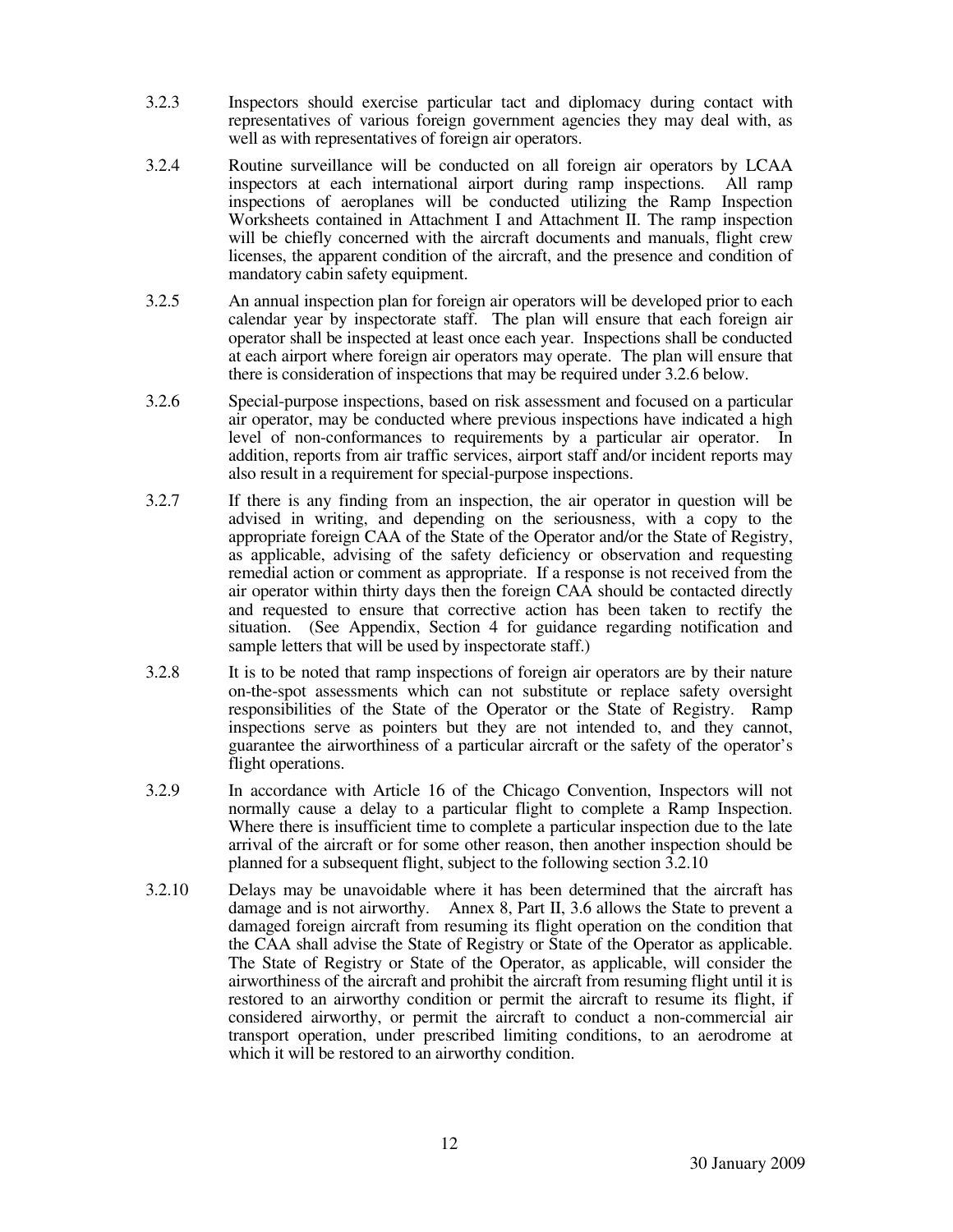- 3.2.3 Inspectors should exercise particular tact and diplomacy during contact with representatives of various foreign government agencies they may deal with, as well as with representatives of foreign air operators.
- 3.2.4 Routine surveillance will be conducted on all foreign air operators by LCAA inspectors at each international airport during ramp inspections. All ramp inspections of aeroplanes will be conducted utilizing the Ramp Inspection Worksheets contained in Attachment I and Attachment II. The ramp inspection will be chiefly concerned with the aircraft documents and manuals, flight crew licenses, the apparent condition of the aircraft, and the presence and condition of mandatory cabin safety equipment.
- 3.2.5 An annual inspection plan for foreign air operators will be developed prior to each calendar year by inspectorate staff. The plan will ensure that each foreign air operator shall be inspected at least once each year. Inspections shall be conducted at each airport where foreign air operators may operate. The plan will ensure that there is consideration of inspections that may be required under 3.2.6 below.
- 3.2.6 Special-purpose inspections, based on risk assessment and focused on a particular air operator, may be conducted where previous inspections have indicated a high level of non-conformances to requirements by a particular air operator. In addition, reports from air traffic services, airport staff and/or incident reports may also result in a requirement for special-purpose inspections.
- 3.2.7 If there is any finding from an inspection, the air operator in question will be advised in writing, and depending on the seriousness, with a copy to the appropriate foreign CAA of the State of the Operator and/or the State of Registry, as applicable, advising of the safety deficiency or observation and requesting remedial action or comment as appropriate. If a response is not received from the air operator within thirty days then the foreign CAA should be contacted directly and requested to ensure that corrective action has been taken to rectify the situation. (See Appendix, Section 4 for guidance regarding notification and sample letters that will be used by inspectorate staff.)
- 3.2.8 It is to be noted that ramp inspections of foreign air operators are by their nature on-the-spot assessments which can not substitute or replace safety oversight responsibilities of the State of the Operator or the State of Registry. Ramp inspections serve as pointers but they are not intended to, and they cannot, guarantee the airworthiness of a particular aircraft or the safety of the operator's flight operations.
- 3.2.9 In accordance with Article 16 of the Chicago Convention, Inspectors will not normally cause a delay to a particular flight to complete a Ramp Inspection. Where there is insufficient time to complete a particular inspection due to the late arrival of the aircraft or for some other reason, then another inspection should be planned for a subsequent flight, subject to the following section 3.2.10
- 3.2.10 Delays may be unavoidable where it has been determined that the aircraft has damage and is not airworthy. Annex 8, Part II, 3.6 allows the State to prevent a damaged foreign aircraft from resuming its flight operation on the condition that the CAA shall advise the State of Registry or State of the Operator as applicable. The State of Registry or State of the Operator, as applicable, will consider the airworthiness of the aircraft and prohibit the aircraft from resuming flight until it is restored to an airworthy condition or permit the aircraft to resume its flight, if considered airworthy, or permit the aircraft to conduct a non-commercial air transport operation, under prescribed limiting conditions, to an aerodrome at which it will be restored to an airworthy condition.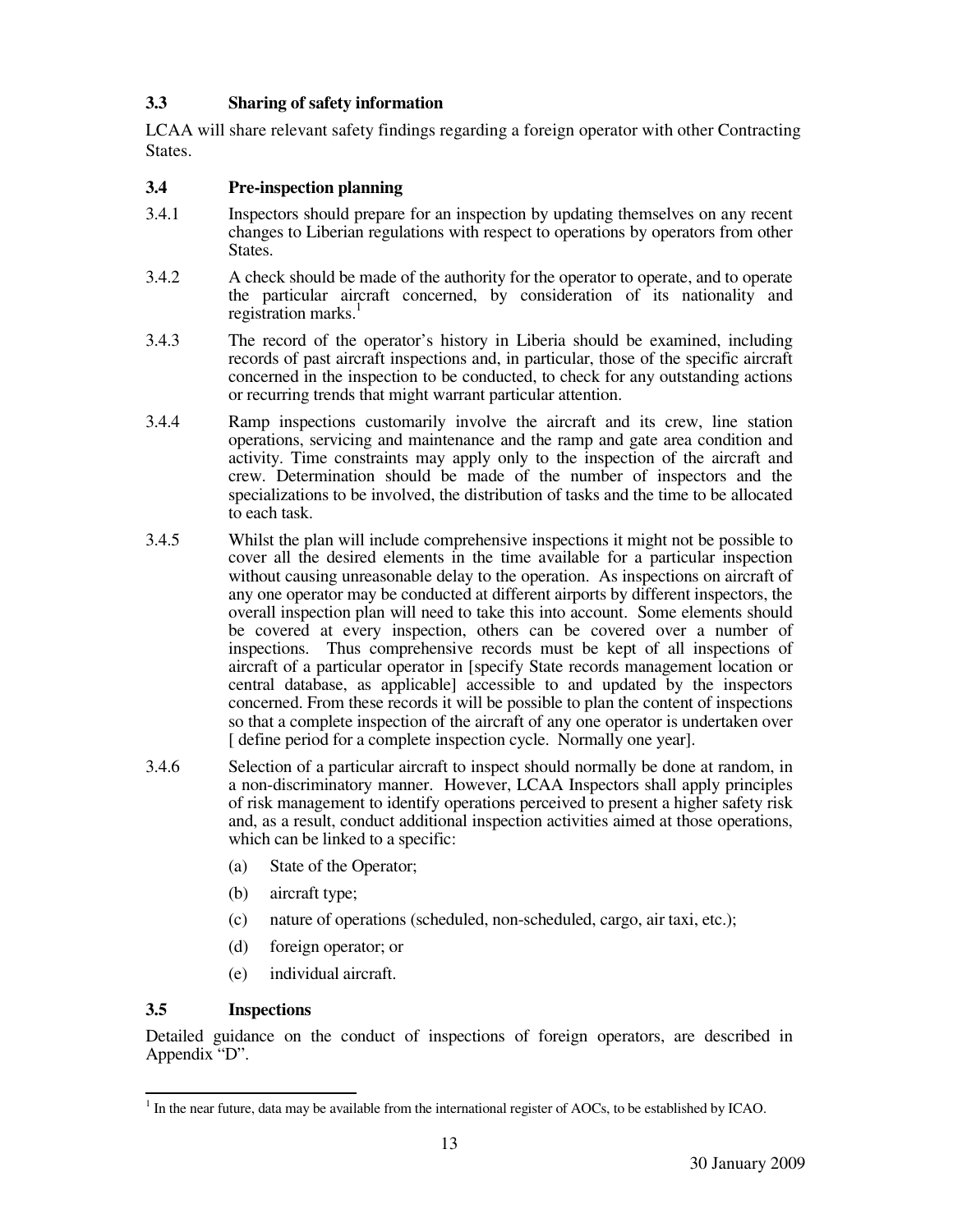# **3.3 Sharing of safety information**

LCAA will share relevant safety findings regarding a foreign operator with other Contracting States.

# **3.4 Pre-inspection planning**

- 3.4.1 Inspectors should prepare for an inspection by updating themselves on any recent changes to Liberian regulations with respect to operations by operators from other States.
- 3.4.2 A check should be made of the authority for the operator to operate, and to operate the particular aircraft concerned, by consideration of its nationality and registration marks. $<sup>1</sup>$ </sup>
- 3.4.3 The record of the operator's history in Liberia should be examined, including records of past aircraft inspections and, in particular, those of the specific aircraft concerned in the inspection to be conducted, to check for any outstanding actions or recurring trends that might warrant particular attention.
- 3.4.4 Ramp inspections customarily involve the aircraft and its crew, line station operations, servicing and maintenance and the ramp and gate area condition and activity. Time constraints may apply only to the inspection of the aircraft and crew. Determination should be made of the number of inspectors and the specializations to be involved, the distribution of tasks and the time to be allocated to each task.
- 3.4.5 Whilst the plan will include comprehensive inspections it might not be possible to cover all the desired elements in the time available for a particular inspection without causing unreasonable delay to the operation. As inspections on aircraft of any one operator may be conducted at different airports by different inspectors, the overall inspection plan will need to take this into account. Some elements should be covered at every inspection, others can be covered over a number of inspections. Thus comprehensive records must be kept of all inspections of aircraft of a particular operator in [specify State records management location or central database, as applicable] accessible to and updated by the inspectors concerned. From these records it will be possible to plan the content of inspections so that a complete inspection of the aircraft of any one operator is undertaken over [ define period for a complete inspection cycle. Normally one year].
- 3.4.6 Selection of a particular aircraft to inspect should normally be done at random, in a non-discriminatory manner. However, LCAA Inspectors shall apply principles of risk management to identify operations perceived to present a higher safety risk and, as a result, conduct additional inspection activities aimed at those operations, which can be linked to a specific:
	- (a) State of the Operator;
	- (b) aircraft type;
	- (c) nature of operations (scheduled, non-scheduled, cargo, air taxi, etc.);
	- (d) foreign operator; or
	- (e) individual aircraft.

# **3.5 Inspections**

Detailed guidance on the conduct of inspections of foreign operators, are described in Appendix "D".

 $\overline{1}$  $<sup>1</sup>$  In the near future, data may be available from the international register of AOCs, to be established by ICAO.</sup>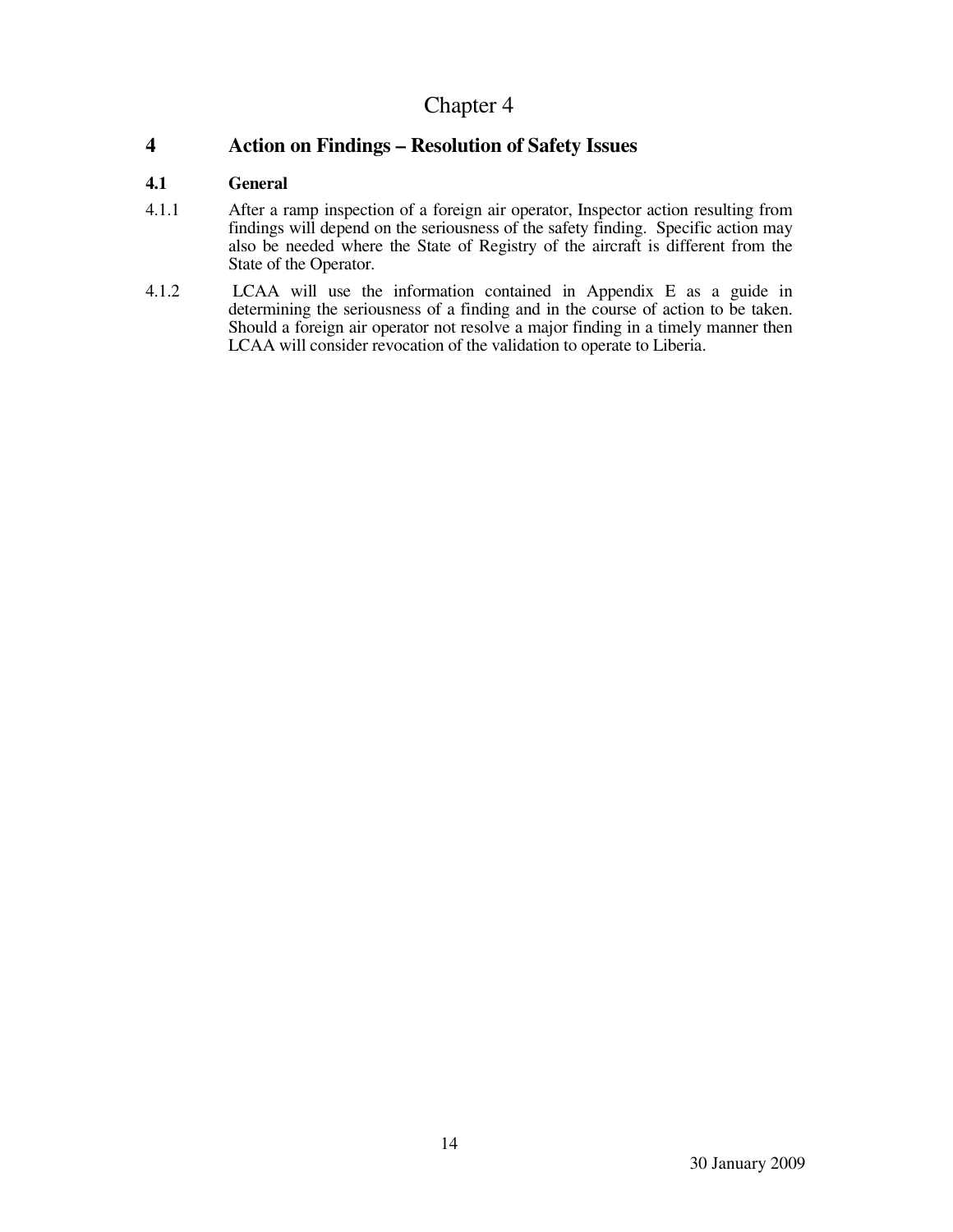# Chapter 4

# **4 Action on Findings – Resolution of Safety Issues**

# **4.1 General**

- 4.1.1 After a ramp inspection of a foreign air operator, Inspector action resulting from findings will depend on the seriousness of the safety finding. Specific action may also be needed where the State of Registry of the aircraft is different from the State of the Operator.
- 4.1.2 LCAA will use the information contained in Appendix E as a guide in determining the seriousness of a finding and in the course of action to be taken. Should a foreign air operator not resolve a major finding in a timely manner then LCAA will consider revocation of the validation to operate to Liberia.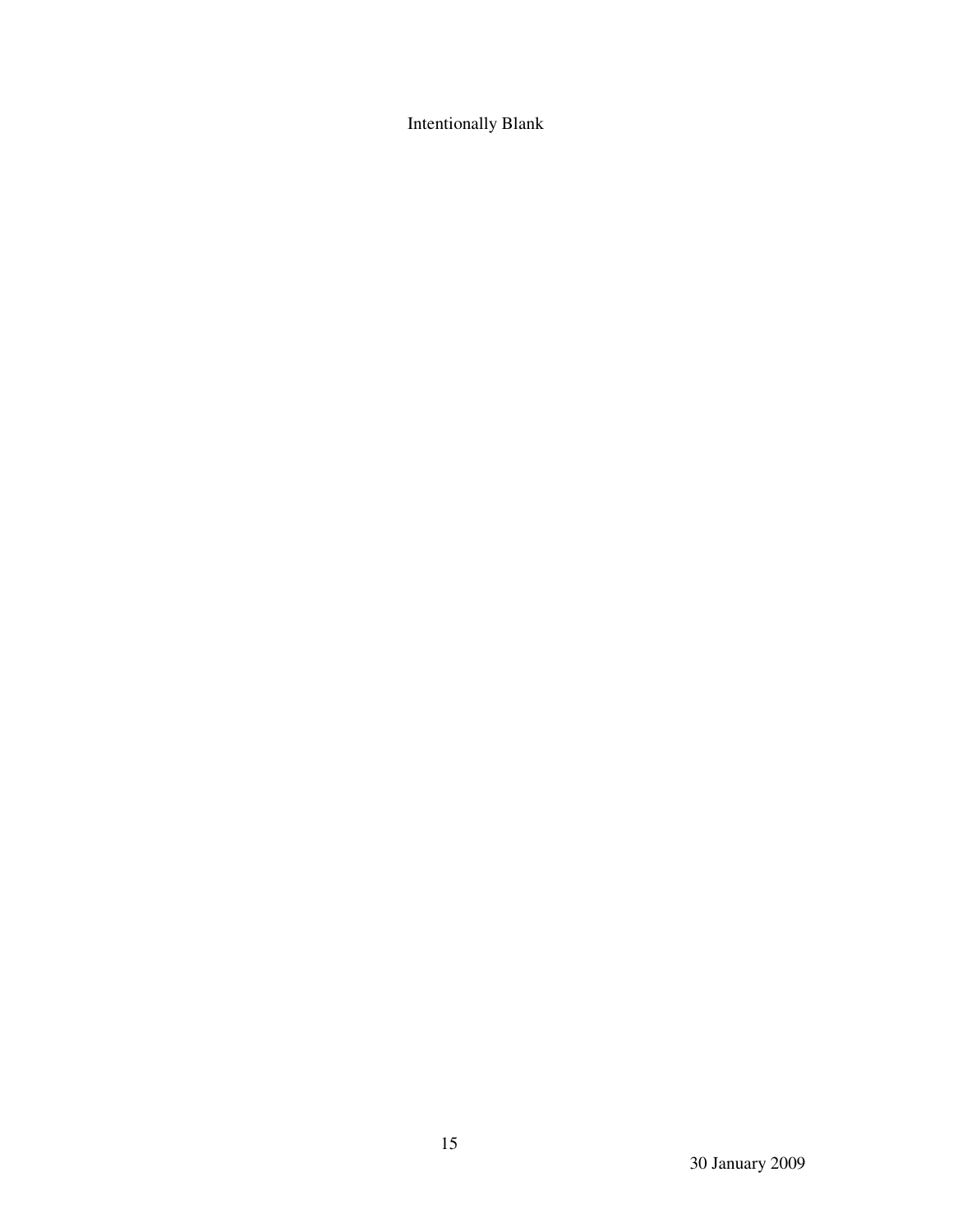Intentionally Blank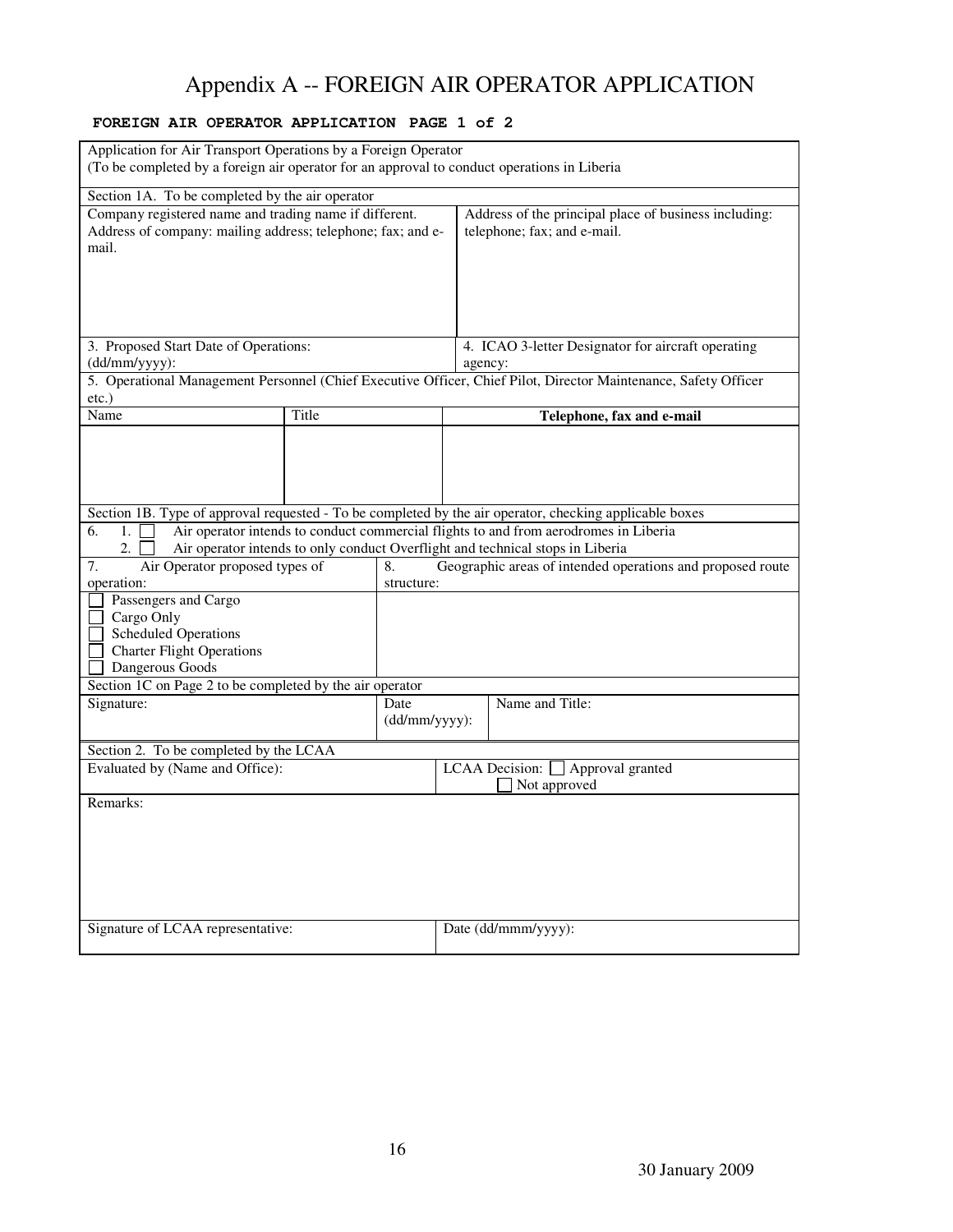# Appendix A -- FOREIGN AIR OPERATOR APPLICATION

# **FOREIGN AIR OPERATOR APPLICATION PAGE 1 of 2**

| Application for Air Transport Operations by a Foreign Operator<br>(To be completed by a foreign air operator for an approval to conduct operations in Liberia |       |               |         |                                                                                                                                                                        |  |
|---------------------------------------------------------------------------------------------------------------------------------------------------------------|-------|---------------|---------|------------------------------------------------------------------------------------------------------------------------------------------------------------------------|--|
| Section 1A. To be completed by the air operator                                                                                                               |       |               |         |                                                                                                                                                                        |  |
| Company registered name and trading name if different.<br>Address of company: mailing address; telephone; fax; and e-<br>mail.                                |       |               |         | Address of the principal place of business including:<br>telephone; fax; and e-mail.                                                                                   |  |
| 3. Proposed Start Date of Operations:<br>(dd/mm/yyyy):                                                                                                        |       |               | agency: | 4. ICAO 3-letter Designator for aircraft operating                                                                                                                     |  |
| $etc.$ )                                                                                                                                                      |       |               |         | 5. Operational Management Personnel (Chief Executive Officer, Chief Pilot, Director Maintenance, Safety Officer                                                        |  |
| Name                                                                                                                                                          | Title |               |         | Telephone, fax and e-mail                                                                                                                                              |  |
|                                                                                                                                                               |       |               |         |                                                                                                                                                                        |  |
|                                                                                                                                                               |       |               |         | Section 1B. Type of approval requested - To be completed by the air operator, checking applicable boxes                                                                |  |
| 6.<br>1.<br>2.                                                                                                                                                |       |               |         | Air operator intends to conduct commercial flights to and from aerodromes in Liberia<br>Air operator intends to only conduct Overflight and technical stops in Liberia |  |
| 7.<br>Air Operator proposed types of                                                                                                                          | 8.    |               |         | Geographic areas of intended operations and proposed route                                                                                                             |  |
| operation:                                                                                                                                                    |       | structure:    |         |                                                                                                                                                                        |  |
| Passengers and Cargo<br>Cargo Only<br><b>Scheduled Operations</b><br><b>Charter Flight Operations</b><br>Dangerous Goods                                      |       |               |         |                                                                                                                                                                        |  |
| Section 1C on Page 2 to be completed by the air operator                                                                                                      |       |               |         |                                                                                                                                                                        |  |
| Signature:                                                                                                                                                    | Date  | (dd/mm/yyyy): |         | Name and Title:                                                                                                                                                        |  |
| Section 2. To be completed by the LCAA                                                                                                                        |       |               |         |                                                                                                                                                                        |  |
| Evaluated by (Name and Office):                                                                                                                               |       |               |         | LCAA Decision: $\Box$ Approval granted<br>Not approved                                                                                                                 |  |
| Remarks:                                                                                                                                                      |       |               |         |                                                                                                                                                                        |  |
| Signature of LCAA representative:                                                                                                                             |       |               |         | Date (dd/mmm/yyyy):                                                                                                                                                    |  |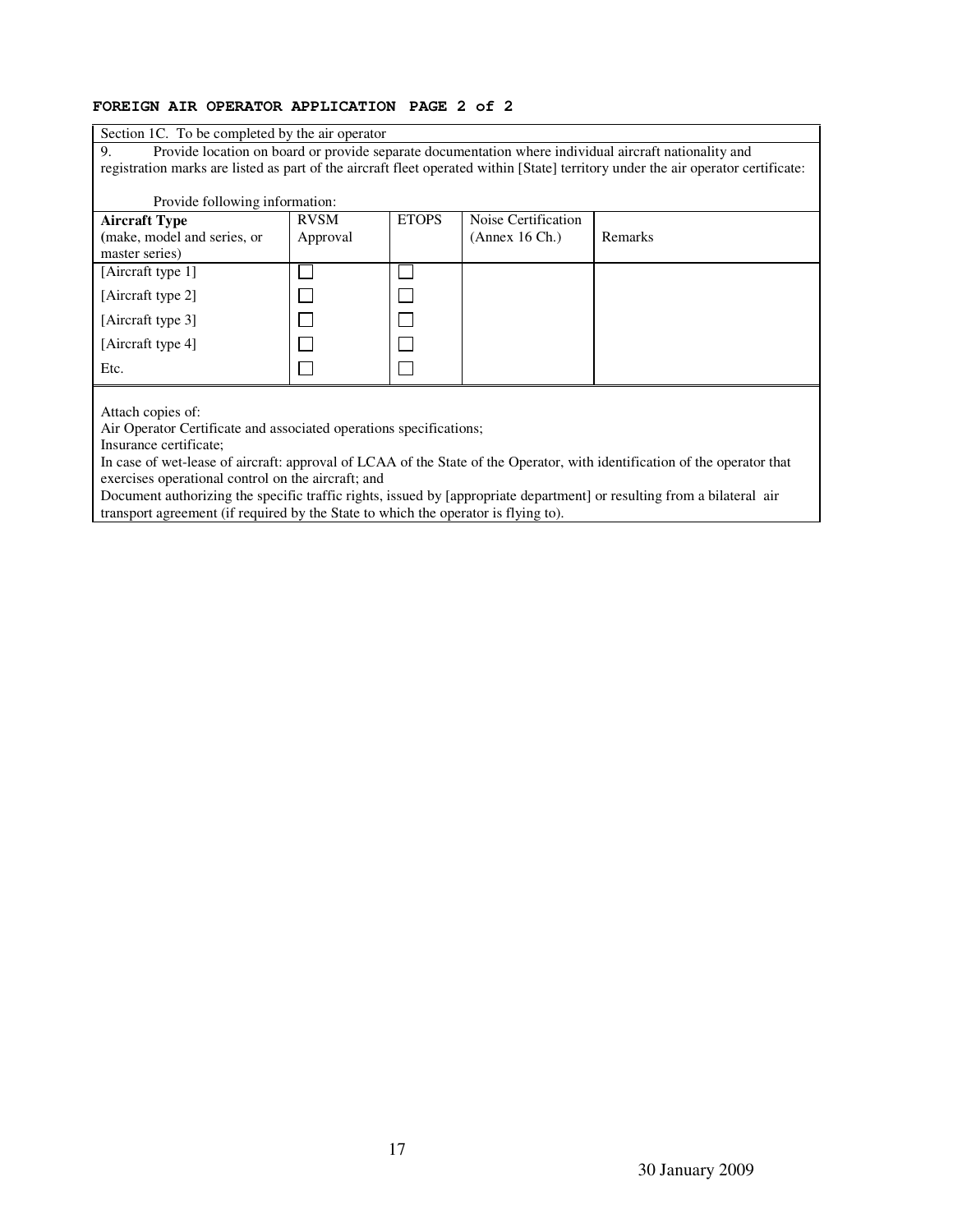#### **FOREIGN AIR OPERATOR APPLICATION PAGE 2 of 2**

Section 1C. To be completed by the air operator 9. Provide location on board or provide separate documentation where individual aircraft nationality and registration marks are listed as part of the aircraft fleet operated within [State] territory under the air operator certificate: Provide following information: **Aircraft Type**  RVSM ETOPS Noise Certification **(**make, model and series, or Approval (Annex 16 Ch.) Remarks master series) [Aircraft type 1]  $\Box$  $\Box$  $\Box$  $\Box$ [Aircraft type 2]  $\Box$  $\Box$ [Aircraft type 3] [Aircraft type 4]  $\Box$  $\Box$  $\Box$  $\Box$ Etc.

Attach copies of:

Air Operator Certificate and associated operations specifications;

Insurance certificate;

In case of wet-lease of aircraft: approval of LCAA of the State of the Operator, with identification of the operator that exercises operational control on the aircraft; and

Document authorizing the specific traffic rights, issued by [appropriate department] or resulting from a bilateral air transport agreement (if required by the State to which the operator is flying to).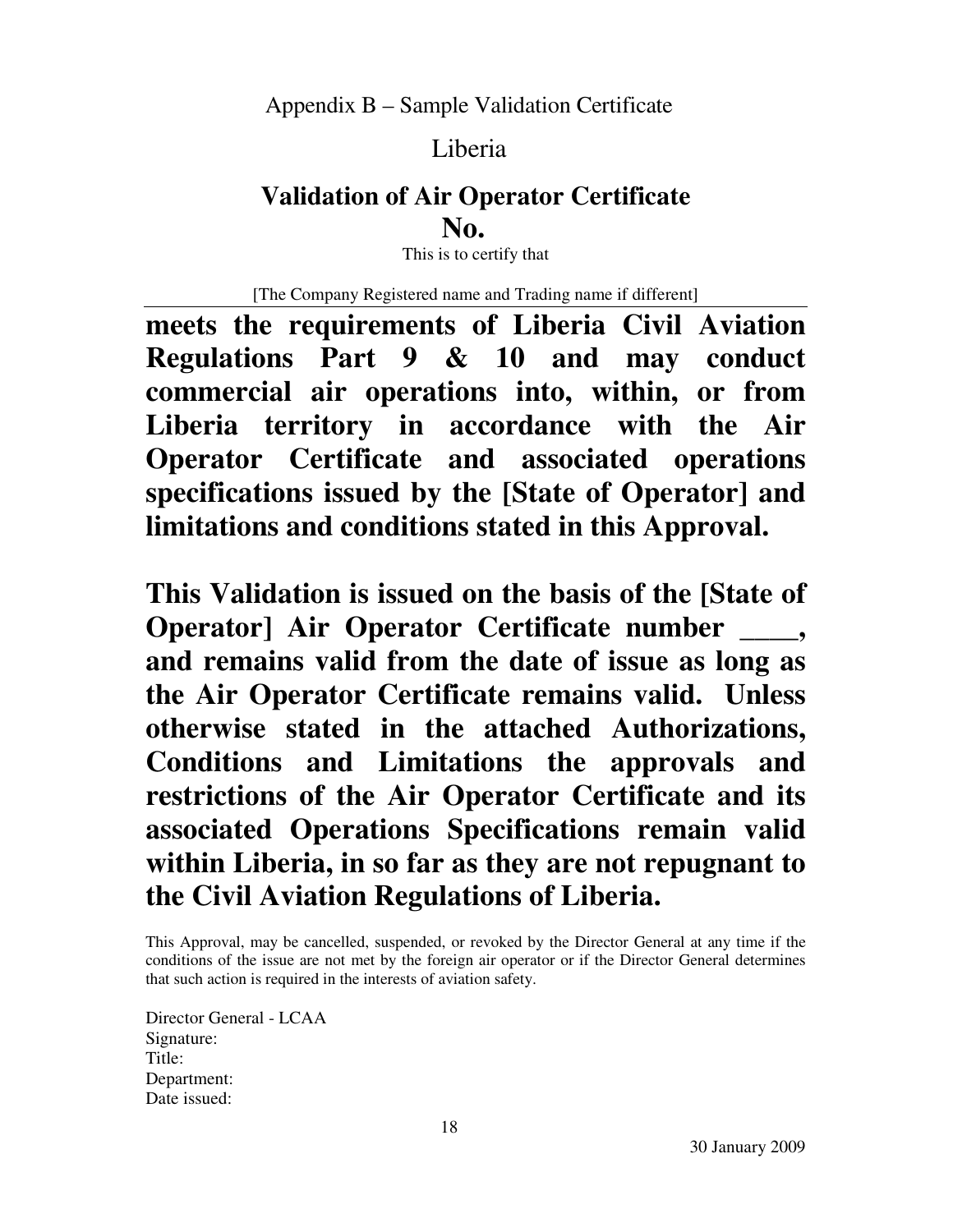Appendix B – Sample Validation Certificate

Liberia

# **Validation of Air Operator Certificate 12.12.23 No. No.**

This is to certify that

[The Company Registered name and Trading name if different]

**meets the requirements of Liberia Civil Aviation Regulations Part 9 & 10 and may conduct commercial air operations into, within, or from Liberia territory in accordance with the Air Operator Certificate and associated operations specifications issued by the [State of Operator] and limitations and conditions stated in this Approval.**

**This Validation is issued on the basis of the [State of Operator] Air Operator Certificate number \_\_\_\_, and remains valid from the date of issue as long as the Air Operator Certificate remains valid. Unless otherwise stated in the attached Authorizations, Conditions and Limitations the approvals and restrictions of the Air Operator Certificate and its associated Operations Specifications remain valid within Liberia, in so far as they are not repugnant to the Civil Aviation Regulations of Liberia.** 

This Approval, may be cancelled, suspended, or revoked by the Director General at any time if the conditions of the issue are not met by the foreign air operator or if the Director General determines that such action is required in the interests of aviation safety.

Director General - LCAA Signature: Title: Department: Date issued: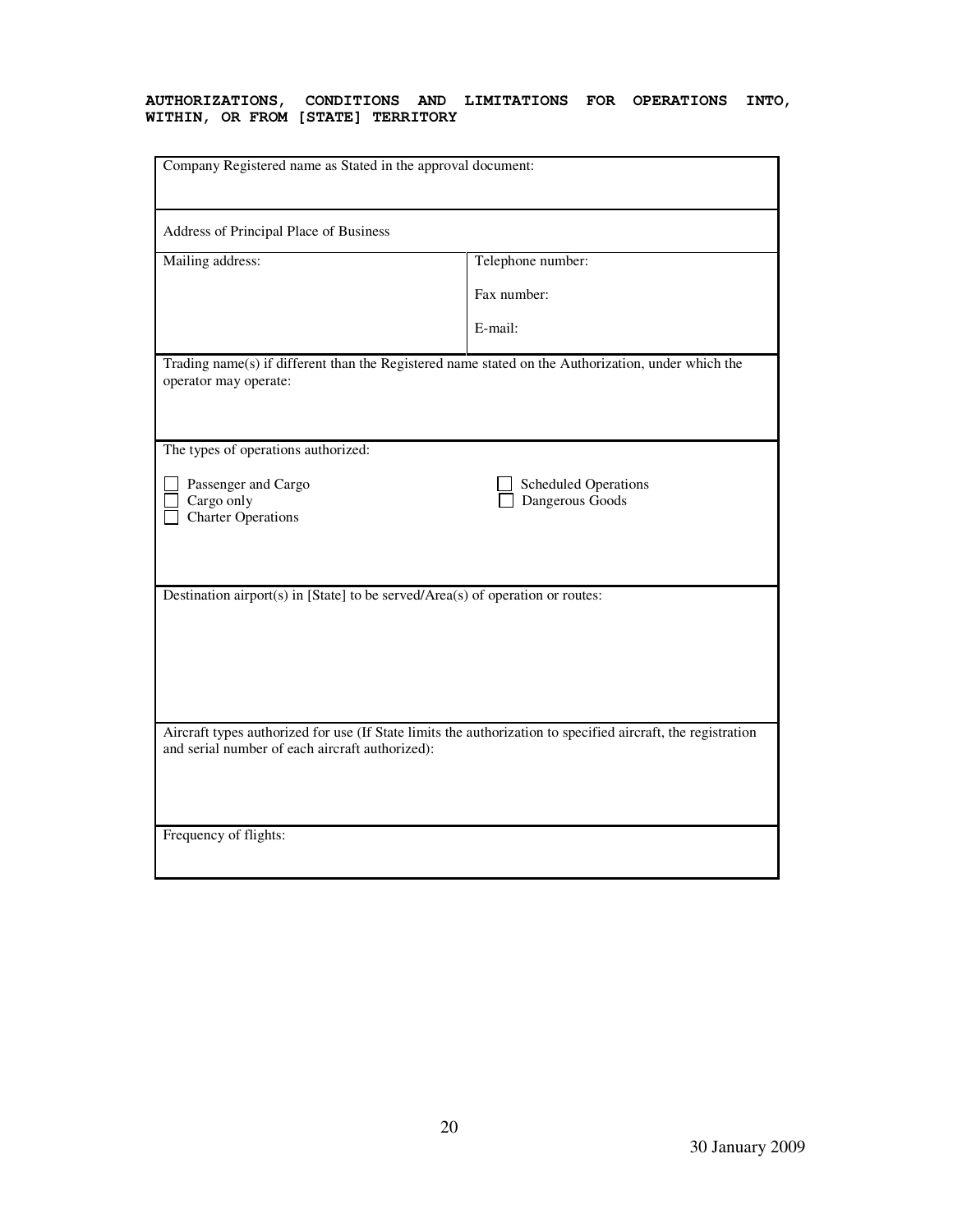#### **AUTHORIZATIONS, CONDITIONS AND LIMITATIONS FOR OPERATIONS INTO, WITHIN, OR FROM [STATE] TERRITORY**

| Company Registered name as Stated in the approval document:                                                                                                     |                                                                                                    |  |  |  |  |
|-----------------------------------------------------------------------------------------------------------------------------------------------------------------|----------------------------------------------------------------------------------------------------|--|--|--|--|
| Address of Principal Place of Business                                                                                                                          |                                                                                                    |  |  |  |  |
| Mailing address:                                                                                                                                                | Telephone number:                                                                                  |  |  |  |  |
|                                                                                                                                                                 | Fax number:                                                                                        |  |  |  |  |
|                                                                                                                                                                 | E-mail:                                                                                            |  |  |  |  |
| operator may operate:                                                                                                                                           | Trading name(s) if different than the Registered name stated on the Authorization, under which the |  |  |  |  |
| The types of operations authorized:                                                                                                                             |                                                                                                    |  |  |  |  |
| <b>Scheduled Operations</b><br>Passenger and Cargo<br>Cargo only<br>Dangerous Goods<br><b>Charter Operations</b>                                                |                                                                                                    |  |  |  |  |
| Destination airport(s) in [State] to be served/Area(s) of operation or routes:                                                                                  |                                                                                                    |  |  |  |  |
| Aircraft types authorized for use (If State limits the authorization to specified aircraft, the registration<br>and serial number of each aircraft authorized): |                                                                                                    |  |  |  |  |
| Frequency of flights:                                                                                                                                           |                                                                                                    |  |  |  |  |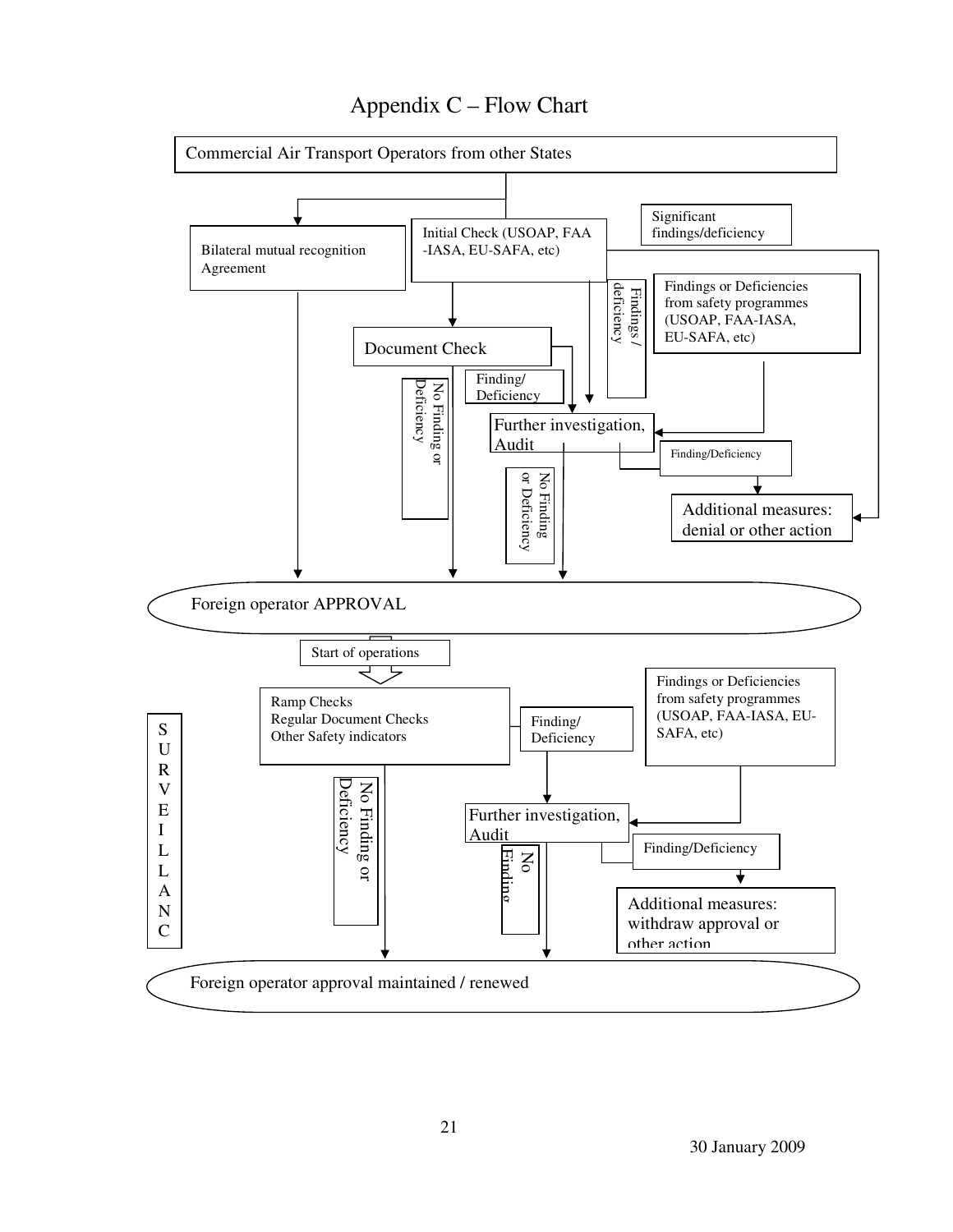

# Appendix C – Flow Chart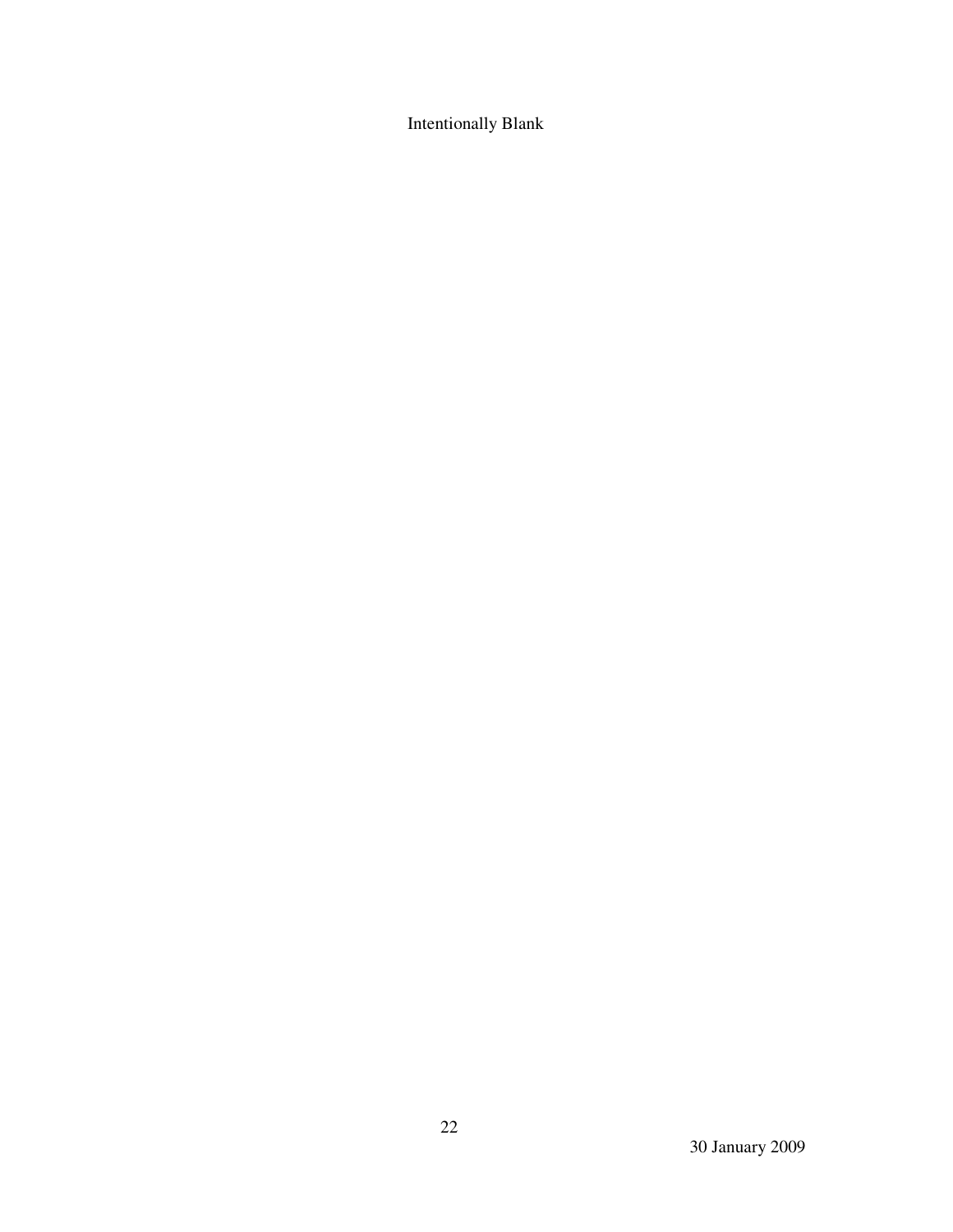Intentionally Blank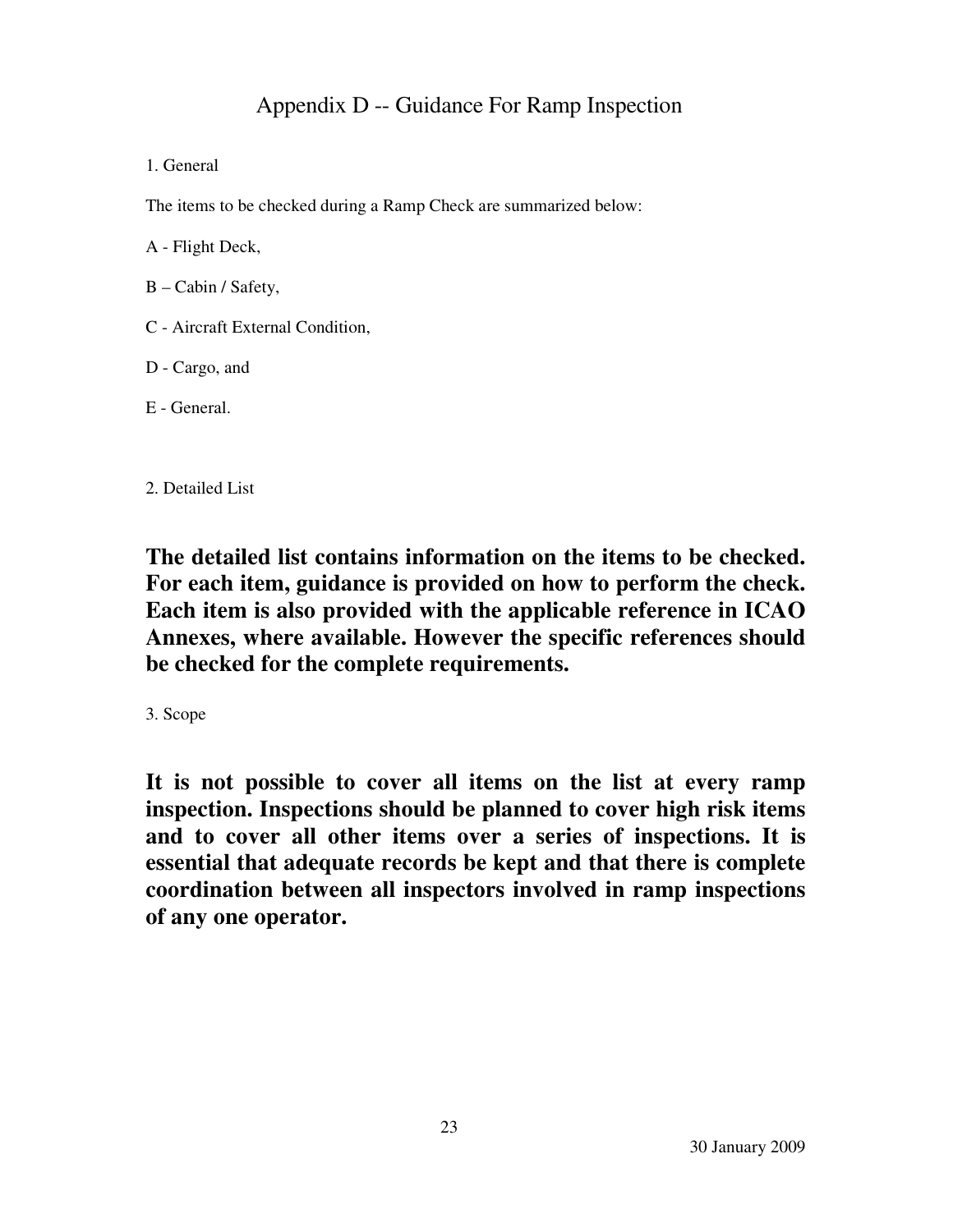# Appendix D -- Guidance For Ramp Inspection

1. General

The items to be checked during a Ramp Check are summarized below:

A - Flight Deck,

- B Cabin / Safety,
- C Aircraft External Condition,
- D Cargo, and

E - General.

2. Detailed List

**The detailed list contains information on the items to be checked. For each item, guidance is provided on how to perform the check. Each item is also provided with the applicable reference in ICAO Annexes, where available. However the specific references should be checked for the complete requirements.** 

3. Scope

**It is not possible to cover all items on the list at every ramp inspection. Inspections should be planned to cover high risk items and to cover all other items over a series of inspections. It is essential that adequate records be kept and that there is complete coordination between all inspectors involved in ramp inspections of any one operator.**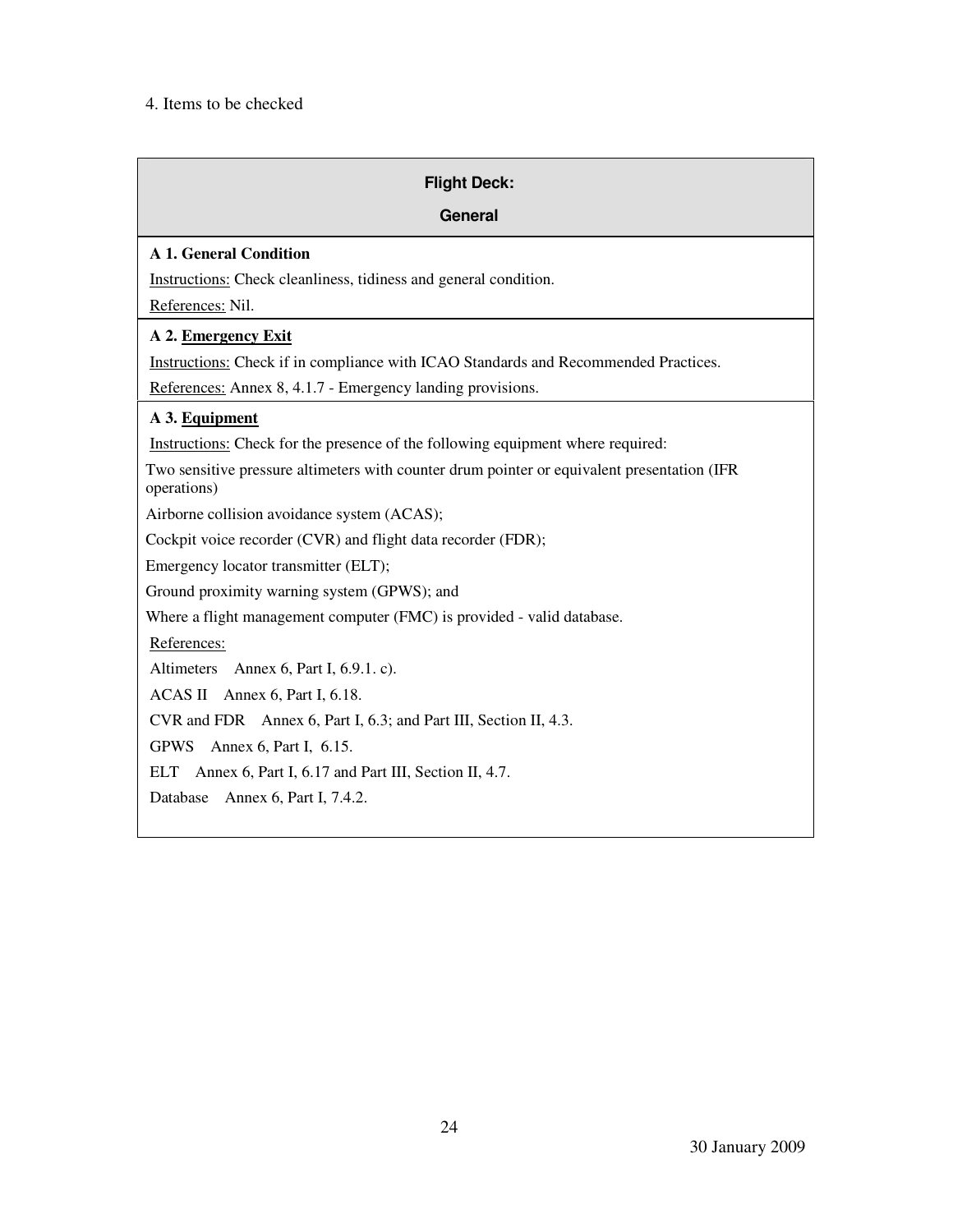# 4. Items to be checked

## **Flight Deck:**

#### **General**

#### **A 1. General Condition**

Instructions: Check cleanliness, tidiness and general condition.

References: Nil.

#### **A 2. Emergency Exit**

Instructions: Check if in compliance with ICAO Standards and Recommended Practices.

References: Annex 8, 4.1.7 - Emergency landing provisions.

# A 3. Equipment

Instructions: Check for the presence of the following equipment where required:

Two sensitive pressure altimeters with counter drum pointer or equivalent presentation (IFR operations)

Airborne collision avoidance system (ACAS);

Cockpit voice recorder (CVR) and flight data recorder (FDR);

Emergency locator transmitter (ELT);

Ground proximity warning system (GPWS); and

Where a flight management computer (FMC) is provided - valid database.

References:

Altimeters Annex 6, Part I, 6.9.1. c).

ACAS IIAnnex 6, Part I, 6.18.

CVR and FDR Annex 6, Part I, 6.3; and Part III, Section II, 4.3.

GPWSAnnex 6, Part I, 6.15.

ELT Annex 6, Part I, 6.17 and Part III, Section II, 4.7.

Database Annex 6, Part I, 7.4.2.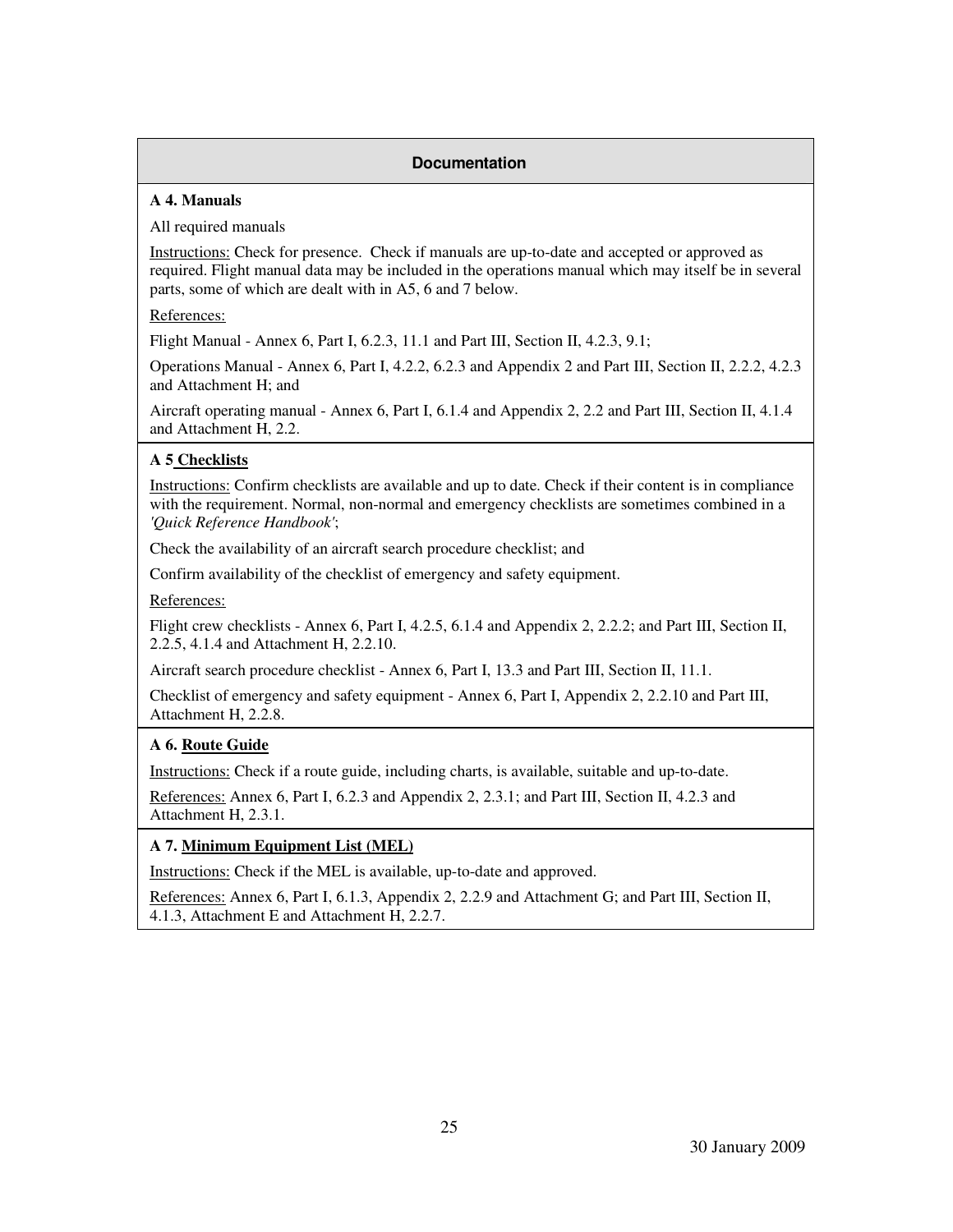#### **Documentation**

#### **A 4. Manuals**

All required manuals

Instructions: Check for presence. Check if manuals are up-to-date and accepted or approved as required. Flight manual data may be included in the operations manual which may itself be in several parts, some of which are dealt with in A5, 6 and 7 below.

#### References:

Flight Manual - Annex 6, Part I, 6.2.3, 11.1 and Part III, Section II, 4.2.3, 9.1;

Operations Manual - Annex 6, Part I, 4.2.2, 6.2.3 and Appendix 2 and Part III, Section II, 2.2.2, 4.2.3 and Attachment H; and

Aircraft operating manual - Annex 6, Part I, 6.1.4 and Appendix 2, 2.2 and Part III, Section II, 4.1.4 and Attachment H, 2.2.

#### **A 5 Checklists**

Instructions: Confirm checklists are available and up to date. Check if their content is in compliance with the requirement. Normal, non-normal and emergency checklists are sometimes combined in a *'Quick Reference Handbook'*;

Check the availability of an aircraft search procedure checklist; and

Confirm availability of the checklist of emergency and safety equipment.

References:

Flight crew checklists - Annex 6, Part I, 4.2.5, 6.1.4 and Appendix 2, 2.2.2; and Part III, Section II, 2.2.5, 4.1.4 and Attachment H, 2.2.10.

Aircraft search procedure checklist - Annex 6, Part I, 13.3 and Part III, Section II, 11.1.

Checklist of emergency and safety equipment - Annex 6, Part I, Appendix 2, 2.2.10 and Part III, Attachment H, 2.2.8.

#### **A 6. Route Guide**

Instructions: Check if a route guide, including charts, is available, suitable and up-to-date.

References: Annex 6, Part I, 6.2.3 and Appendix 2, 2.3.1; and Part III, Section II, 4.2.3 and Attachment H, 2.3.1.

#### **A 7. Minimum Equipment List (MEL)**

Instructions: Check if the MEL is available, up-to-date and approved.

References: Annex 6, Part I, 6.1.3, Appendix 2, 2.2.9 and Attachment G; and Part III, Section II, 4.1.3, Attachment E and Attachment H, 2.2.7.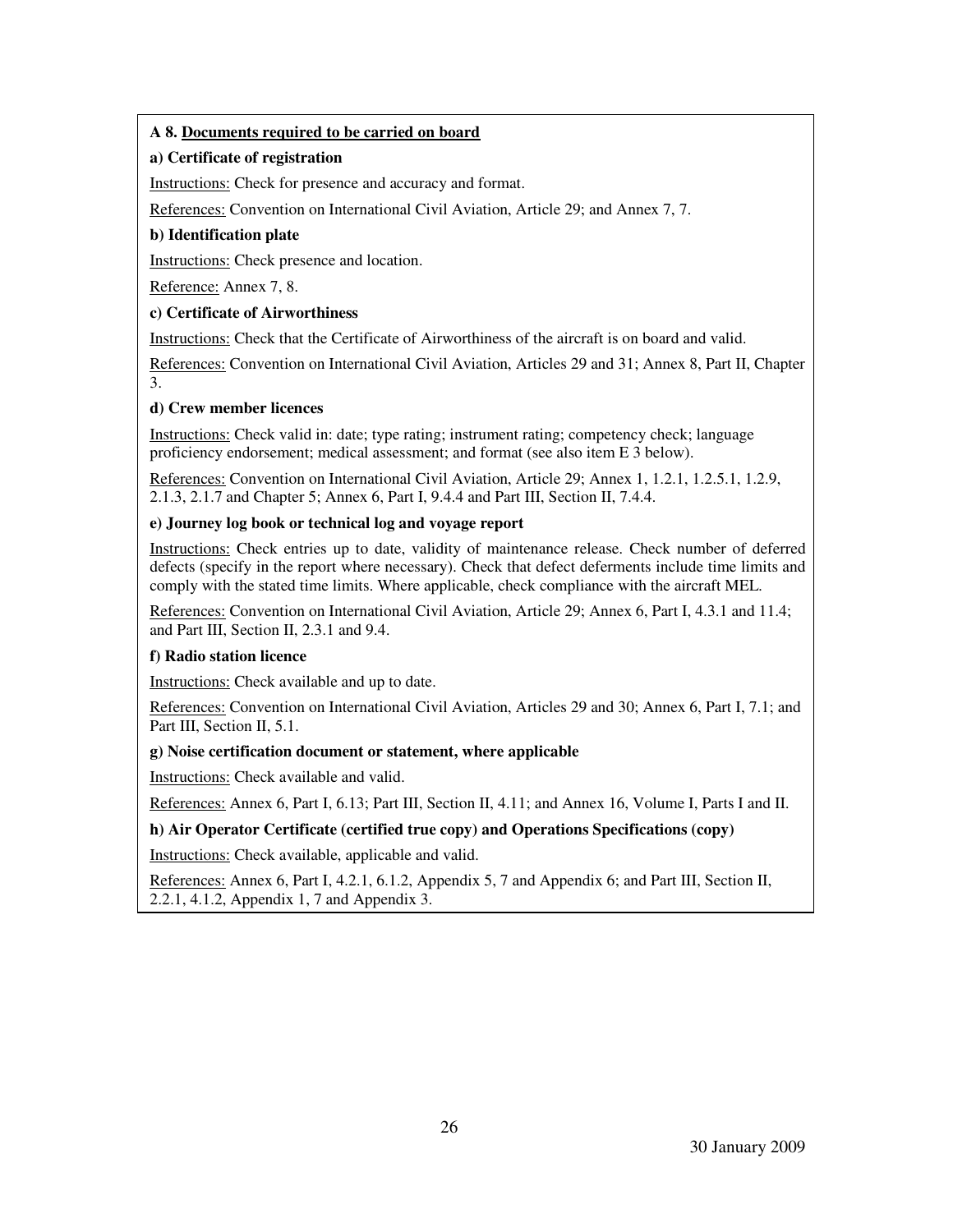### **A 8. Documents required to be carried on board**

## **a) Certificate of registration**

Instructions: Check for presence and accuracy and format.

References: Convention on International Civil Aviation, Article 29; and Annex 7, 7.

# **b) Identification plate**

Instructions: Check presence and location.

Reference: Annex 7, 8.

# **c) Certificate of Airworthiness**

Instructions: Check that the Certificate of Airworthiness of the aircraft is on board and valid.

References: Convention on International Civil Aviation, Articles 29 and 31; Annex 8, Part II, Chapter 3.

#### **d) Crew member licences**

Instructions: Check valid in: date; type rating; instrument rating; competency check; language proficiency endorsement; medical assessment; and format (see also item E 3 below).

References: Convention on International Civil Aviation, Article 29; Annex 1, 1.2.1, 1.2.5.1, 1.2.9, 2.1.3, 2.1.7 and Chapter 5; Annex 6, Part I, 9.4.4 and Part III, Section II, 7.4.4.

# **e) Journey log book or technical log and voyage report**

Instructions: Check entries up to date, validity of maintenance release. Check number of deferred defects (specify in the report where necessary). Check that defect deferments include time limits and comply with the stated time limits. Where applicable, check compliance with the aircraft MEL.

References: Convention on International Civil Aviation, Article 29; Annex 6, Part I, 4.3.1 and 11.4; and Part III, Section II, 2.3.1 and 9.4.

# **f) Radio station licence**

Instructions: Check available and up to date.

References: Convention on International Civil Aviation, Articles 29 and 30; Annex 6, Part I, 7.1; and Part III, Section II, 5.1.

# **g) Noise certification document or statement, where applicable**

Instructions: Check available and valid.

References: Annex 6, Part I, 6.13; Part III, Section II, 4.11; and Annex 16, Volume I, Parts I and II.

# **h) Air Operator Certificate (certified true copy) and Operations Specifications (copy)**

Instructions: Check available, applicable and valid.

References: Annex 6, Part I, 4.2.1, 6.1.2, Appendix 5, 7 and Appendix 6; and Part III, Section II, 2.2.1, 4.1.2, Appendix 1, 7 and Appendix 3.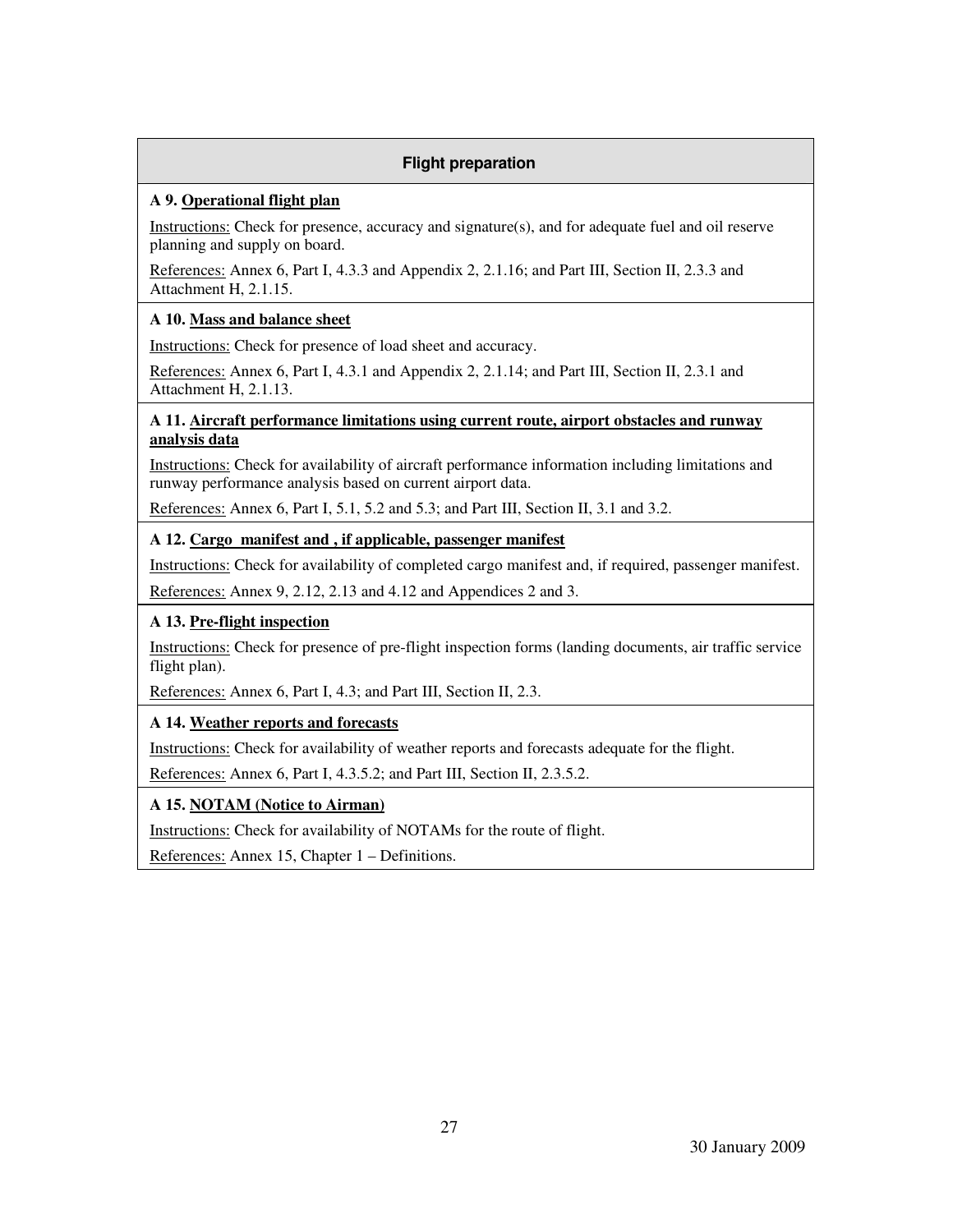# **Flight preparation**

## **A 9. Operational flight plan**

Instructions: Check for presence, accuracy and signature(s), and for adequate fuel and oil reserve planning and supply on board.

References: Annex 6, Part I, 4.3.3 and Appendix 2, 2.1.16; and Part III, Section II, 2.3.3 and Attachment H, 2.1.15.

#### **A 10. Mass and balance sheet**

Instructions: Check for presence of load sheet and accuracy.

References: Annex 6, Part I, 4.3.1 and Appendix 2, 2.1.14; and Part III, Section II, 2.3.1 and Attachment H, 2.1.13.

## **A 11. Aircraft performance limitations using current route, airport obstacles and runway analysis data**

Instructions: Check for availability of aircraft performance information including limitations and runway performance analysis based on current airport data.

References: Annex 6, Part I, 5.1, 5.2 and 5.3; and Part III, Section II, 3.1 and 3.2.

#### **A 12. Cargo manifest and , if applicable, passenger manifest**

Instructions: Check for availability of completed cargo manifest and, if required, passenger manifest.

References: Annex 9, 2.12, 2.13 and 4.12 and Appendices 2 and 3.

# **A 13. Pre-flight inspection**

Instructions: Check for presence of pre-flight inspection forms (landing documents, air traffic service flight plan).

References: Annex 6, Part I, 4.3; and Part III, Section II, 2.3.

#### **A 14. Weather reports and forecasts**

Instructions: Check for availability of weather reports and forecasts adequate for the flight.

References: Annex 6, Part I, 4.3.5.2; and Part III, Section II, 2.3.5.2.

# **A 15. NOTAM (Notice to Airman)**

Instructions: Check for availability of NOTAMs for the route of flight.

References: Annex 15, Chapter 1 – Definitions.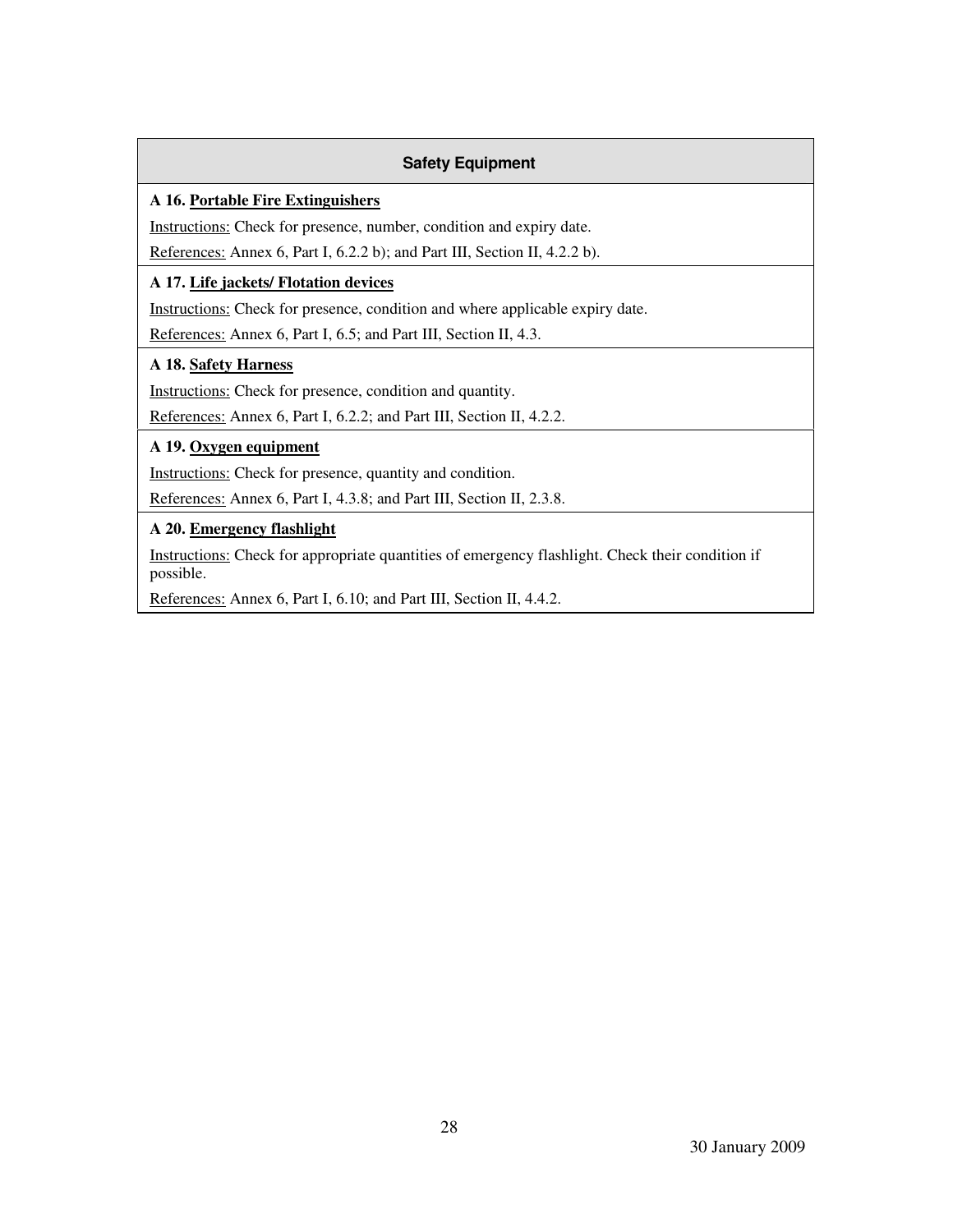# **Safety Equipment**

# **A 16. Portable Fire Extinguishers**

Instructions: Check for presence, number, condition and expiry date.

References: Annex 6, Part I, 6.2.2 b); and Part III, Section II, 4.2.2 b).

# **A 17. Life jackets/ Flotation devices**

Instructions: Check for presence, condition and where applicable expiry date.

References: Annex 6, Part I, 6.5; and Part III, Section II, 4.3.

# **A 18. Safety Harness**

Instructions: Check for presence, condition and quantity.

References: Annex 6, Part I, 6.2.2; and Part III, Section II, 4.2.2.

# **A 19. Oxygen equipment**

Instructions: Check for presence, quantity and condition.

References: Annex 6, Part I, 4.3.8; and Part III, Section II, 2.3.8.

# **A 20. Emergency flashlight**

Instructions: Check for appropriate quantities of emergency flashlight. Check their condition if possible.

References: Annex 6, Part I, 6.10; and Part III, Section II, 4.4.2.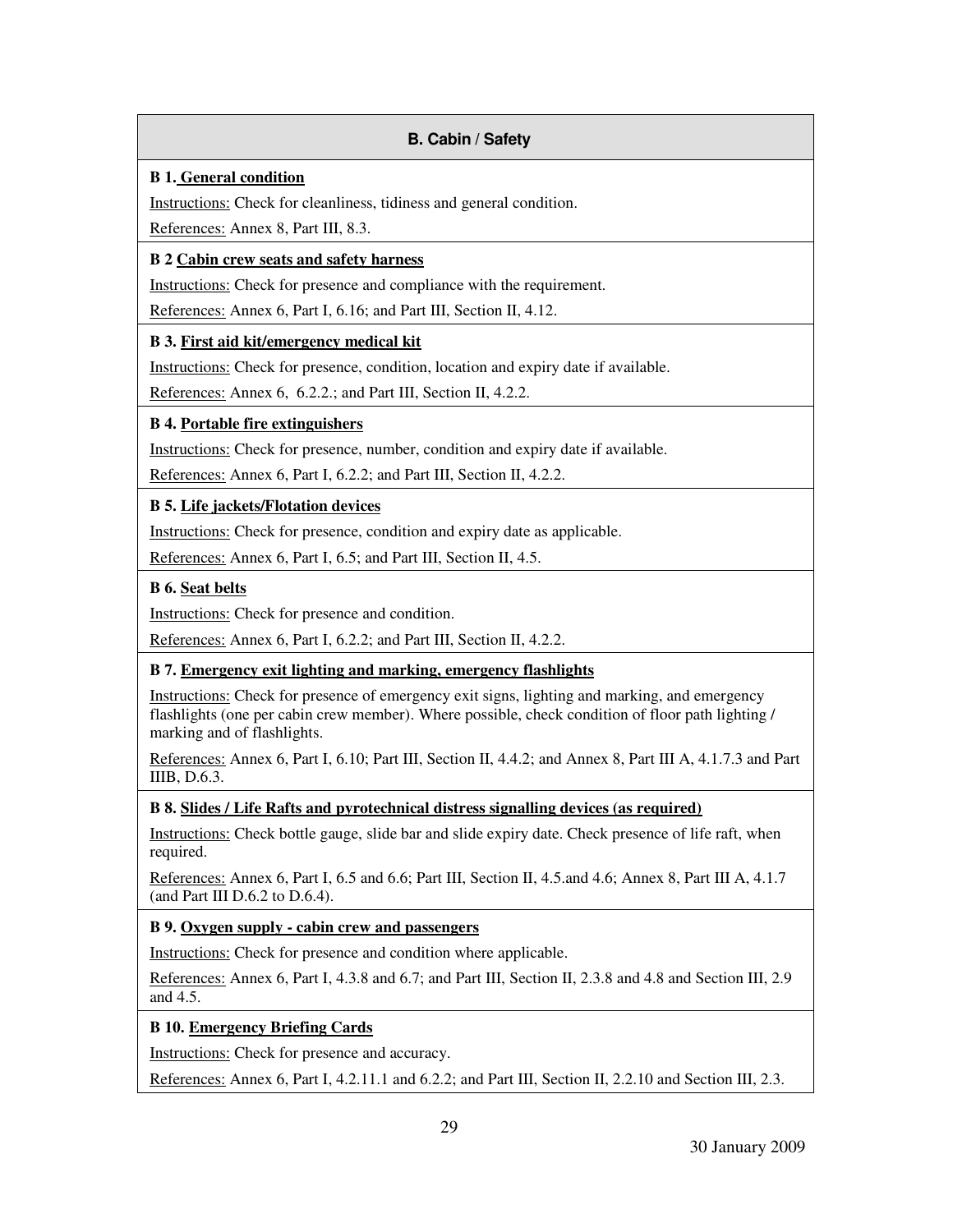# **B. Cabin / Safety**

## **B 1. General condition**

Instructions: Check for cleanliness, tidiness and general condition.

References: Annex 8, Part III, 8.3.

# **B 2 Cabin crew seats and safety harness**

Instructions: Check for presence and compliance with the requirement.

References: Annex 6, Part I, 6.16; and Part III, Section II, 4.12.

# **B 3. First aid kit/emergency medical kit**

Instructions: Check for presence, condition, location and expiry date if available.

References: Annex 6, 6.2.2.; and Part III, Section II, 4.2.2.

# **B 4. Portable fire extinguishers**

Instructions: Check for presence, number, condition and expiry date if available.

References: Annex 6, Part I, 6.2.2; and Part III, Section II, 4.2.2.

# **B 5. Life jackets/Flotation devices**

Instructions: Check for presence, condition and expiry date as applicable.

References: Annex 6, Part I, 6.5; and Part III, Section II, 4.5.

# **B 6. Seat belts**

Instructions: Check for presence and condition.

References: Annex 6, Part I, 6.2.2; and Part III, Section II, 4.2.2.

#### **B 7. Emergency exit lighting and marking, emergency flashlights**

Instructions: Check for presence of emergency exit signs, lighting and marking, and emergency flashlights (one per cabin crew member). Where possible, check condition of floor path lighting / marking and of flashlights.

References: Annex 6, Part I, 6.10; Part III, Section II, 4.4.2; and Annex 8, Part III A, 4.1.7.3 and Part IIIB, D.6.3.

#### **B 8. Slides / Life Rafts and pyrotechnical distress signalling devices (as required)**

Instructions: Check bottle gauge, slide bar and slide expiry date. Check presence of life raft, when required.

References: Annex 6, Part I, 6.5 and 6.6; Part III, Section II, 4.5.and 4.6; Annex 8, Part III A, 4.1.7 (and Part III D.6.2 to D.6.4).

#### **B 9. Oxygen supply - cabin crew and passengers**

Instructions: Check for presence and condition where applicable.

References: Annex 6, Part I, 4.3.8 and 6.7; and Part III, Section II, 2.3.8 and 4.8 and Section III, 2.9 and 4.5.

#### **B 10. Emergency Briefing Cards**

Instructions: Check for presence and accuracy.

References: Annex 6, Part I, 4.2.11.1 and 6.2.2; and Part III, Section II, 2.2.10 and Section III, 2.3.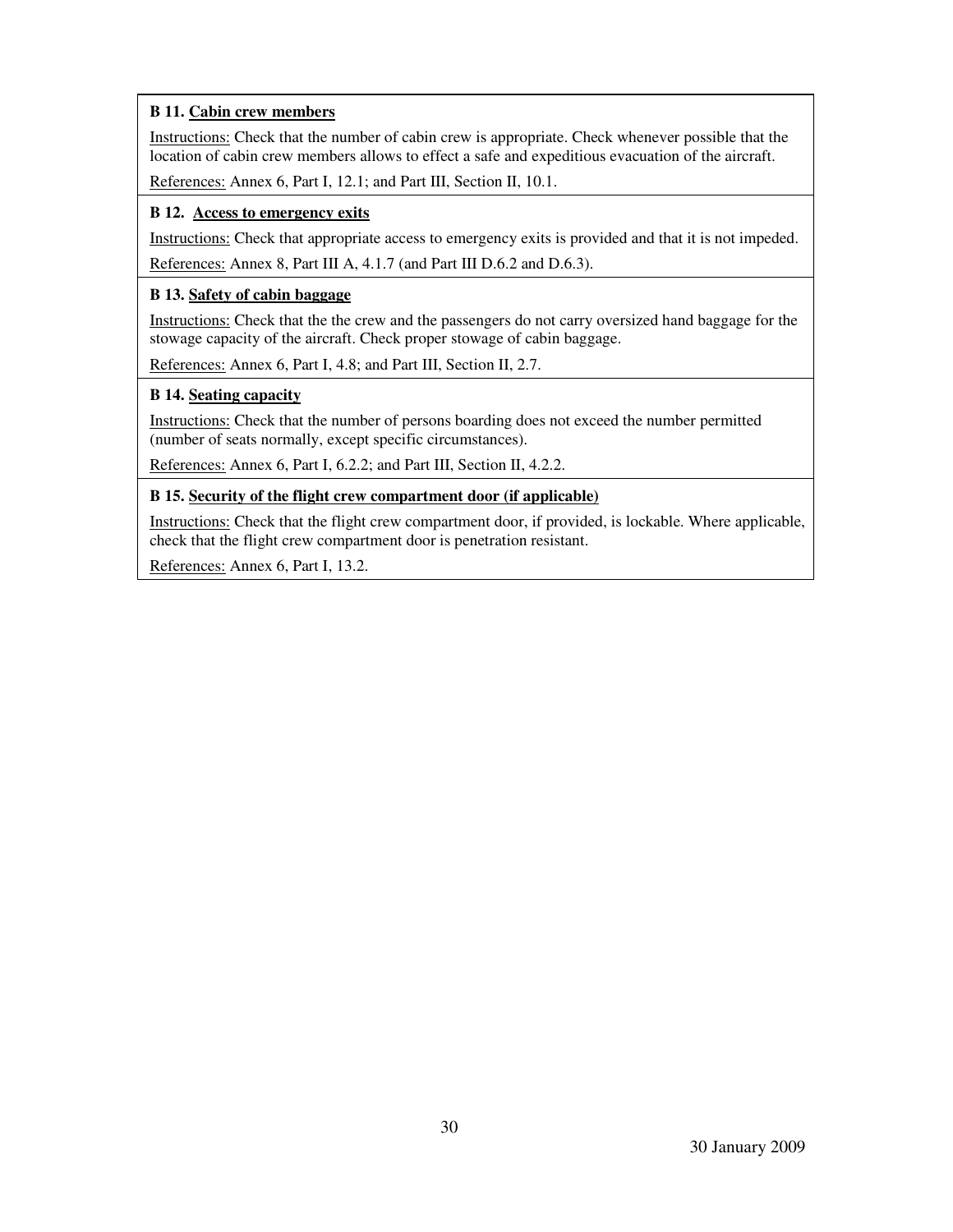## **B 11. Cabin crew members**

Instructions: Check that the number of cabin crew is appropriate. Check whenever possible that the location of cabin crew members allows to effect a safe and expeditious evacuation of the aircraft.

References: Annex 6, Part I, 12.1; and Part III, Section II, 10.1.

#### **B 12. Access to emergency exits**

Instructions: Check that appropriate access to emergency exits is provided and that it is not impeded.

References: Annex 8, Part III A, 4.1.7 (and Part III D.6.2 and D.6.3).

#### **B 13. Safety of cabin baggage**

Instructions: Check that the the crew and the passengers do not carry oversized hand baggage for the stowage capacity of the aircraft. Check proper stowage of cabin baggage.

References: Annex 6, Part I, 4.8; and Part III, Section II, 2.7.

#### **B 14. Seating capacity**

Instructions: Check that the number of persons boarding does not exceed the number permitted (number of seats normally, except specific circumstances).

References: Annex 6, Part I, 6.2.2; and Part III, Section II, 4.2.2.

#### **B 15. Security of the flight crew compartment door (if applicable)**

Instructions: Check that the flight crew compartment door, if provided, is lockable. Where applicable, check that the flight crew compartment door is penetration resistant.

References: Annex 6, Part I, 13.2.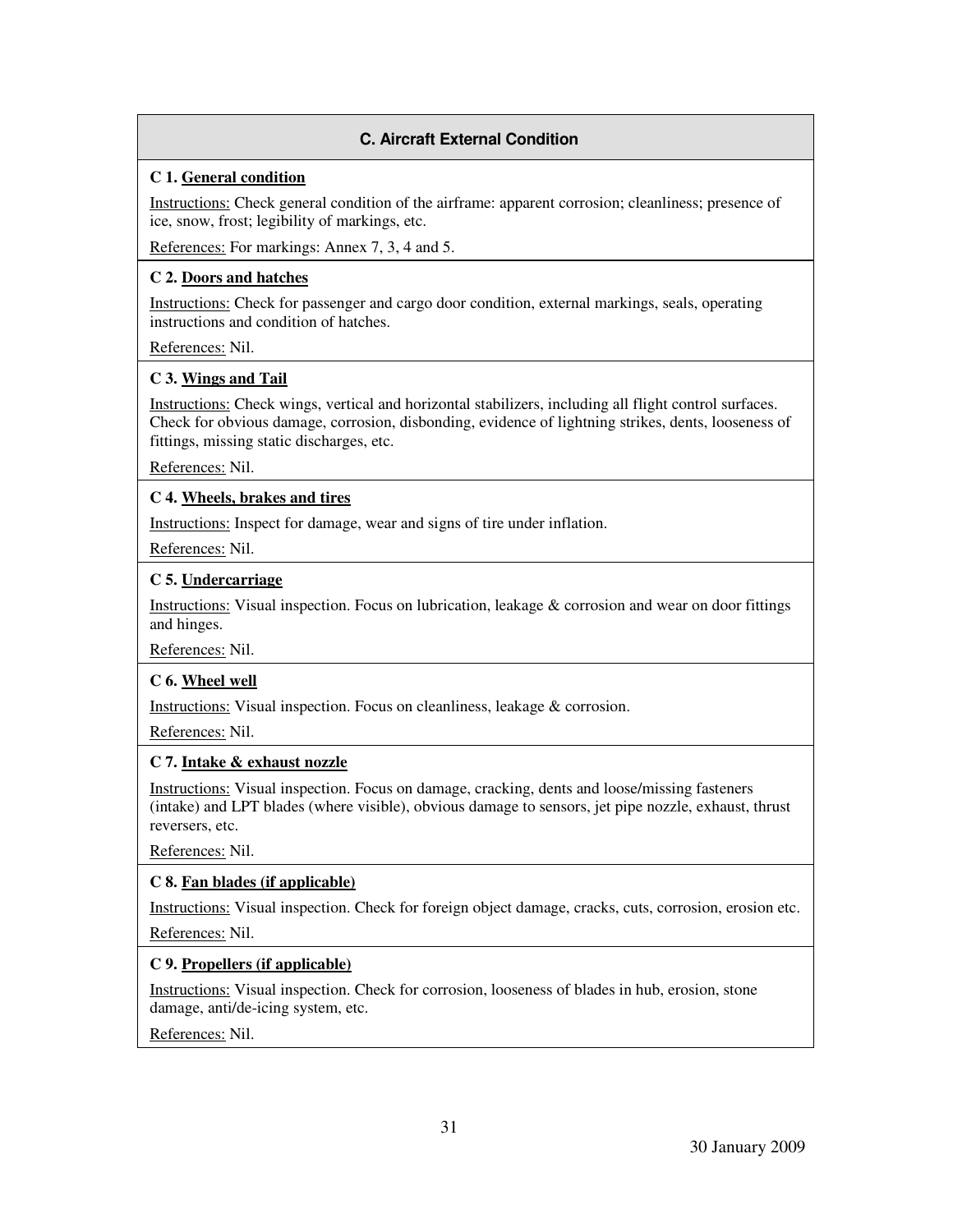# **C. Aircraft External Condition**

#### **C 1. General condition**

Instructions: Check general condition of the airframe: apparent corrosion; cleanliness; presence of ice, snow, frost; legibility of markings, etc.

References: For markings: Annex 7, 3, 4 and 5.

## **C 2. Doors and hatches**

Instructions: Check for passenger and cargo door condition, external markings, seals, operating instructions and condition of hatches.

References: Nil.

#### **C 3. Wings and Tail**

Instructions: Check wings, vertical and horizontal stabilizers, including all flight control surfaces. Check for obvious damage, corrosion, disbonding, evidence of lightning strikes, dents, looseness of fittings, missing static discharges, etc.

References: Nil.

#### **C 4. Wheels, brakes and tires**

Instructions: Inspect for damage, wear and signs of tire under inflation.

References: Nil.

#### **C 5. Undercarriage**

Instructions: Visual inspection. Focus on lubrication, leakage & corrosion and wear on door fittings and hinges.

References: Nil.

# **C 6. Wheel well**

Instructions: Visual inspection. Focus on cleanliness, leakage & corrosion.

References: Nil.

# **C 7. Intake & exhaust nozzle**

Instructions: Visual inspection. Focus on damage, cracking, dents and loose/missing fasteners (intake) and LPT blades (where visible), obvious damage to sensors, jet pipe nozzle, exhaust, thrust reversers, etc.

References: Nil.

#### **C 8. Fan blades (if applicable)**

Instructions: Visual inspection. Check for foreign object damage, cracks, cuts, corrosion, erosion etc. References: Nil.

#### **C 9. Propellers (if applicable)**

Instructions: Visual inspection. Check for corrosion, looseness of blades in hub, erosion, stone damage, anti/de-icing system, etc.

References: Nil.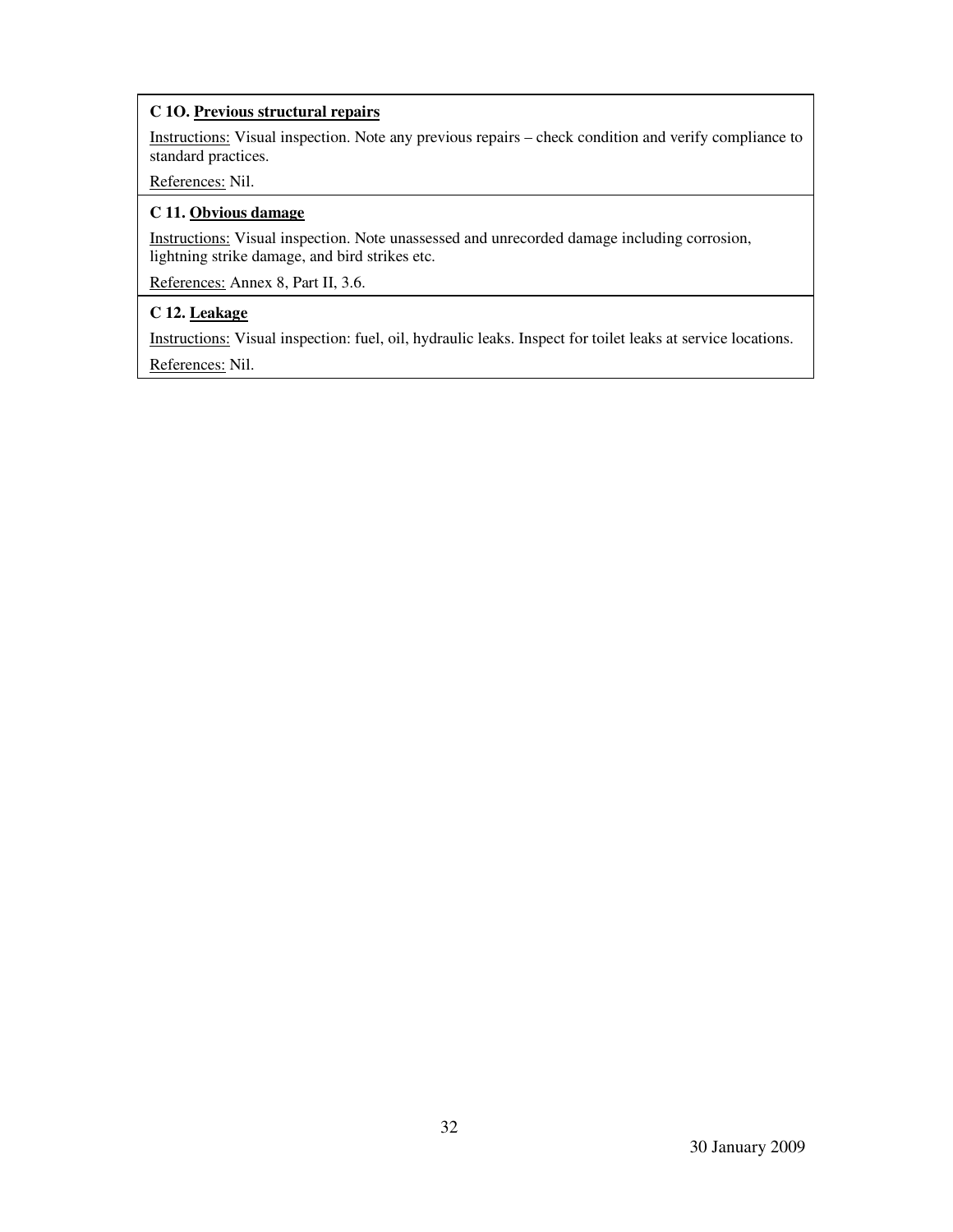### **C 1O. Previous structural repairs**

Instructions: Visual inspection. Note any previous repairs – check condition and verify compliance to standard practices.

References: Nil.

# **C 11. Obvious damage**

Instructions: Visual inspection. Note unassessed and unrecorded damage including corrosion, lightning strike damage, and bird strikes etc.

References: Annex 8, Part II, 3.6.

# **C 12. Leakage**

Instructions: Visual inspection: fuel, oil, hydraulic leaks. Inspect for toilet leaks at service locations. References: Nil.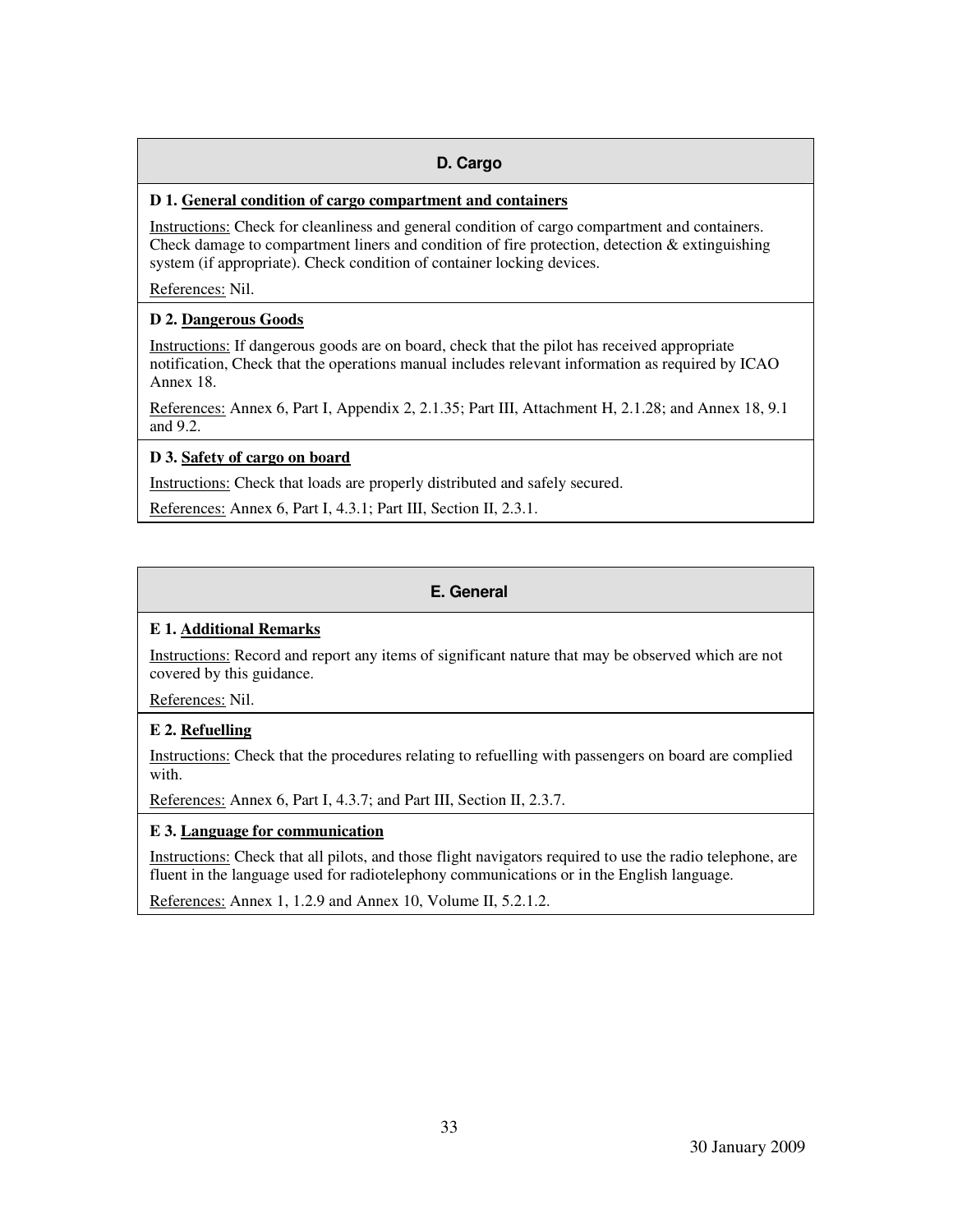# **D. Cargo**

## **D 1. General condition of cargo compartment and containers**

Instructions: Check for cleanliness and general condition of cargo compartment and containers. Check damage to compartment liners and condition of fire protection, detection  $\&$  extinguishing system (if appropriate). Check condition of container locking devices.

References: Nil.

# **D 2. Dangerous Goods**

Instructions: If dangerous goods are on board, check that the pilot has received appropriate notification, Check that the operations manual includes relevant information as required by ICAO Annex 18.

References: Annex 6, Part I, Appendix 2, 2.1.35; Part III, Attachment H, 2.1.28; and Annex 18, 9.1 and 9.2.

# **D 3. Safety of cargo on board**

Instructions: Check that loads are properly distributed and safely secured.

References: Annex 6, Part I, 4.3.1; Part III, Section II, 2.3.1.

# **E. General**

#### **E 1. Additional Remarks**

Instructions: Record and report any items of significant nature that may be observed which are not covered by this guidance.

References: Nil.

# **E 2. Refuelling**

Instructions: Check that the procedures relating to refuelling with passengers on board are complied with.

References: Annex 6, Part I, 4.3.7; and Part III, Section II, 2.3.7.

#### **E 3. Language for communication**

Instructions: Check that all pilots, and those flight navigators required to use the radio telephone, are fluent in the language used for radiotelephony communications or in the English language.

References: Annex 1, 1.2.9 and Annex 10, Volume II, 5.2.1.2.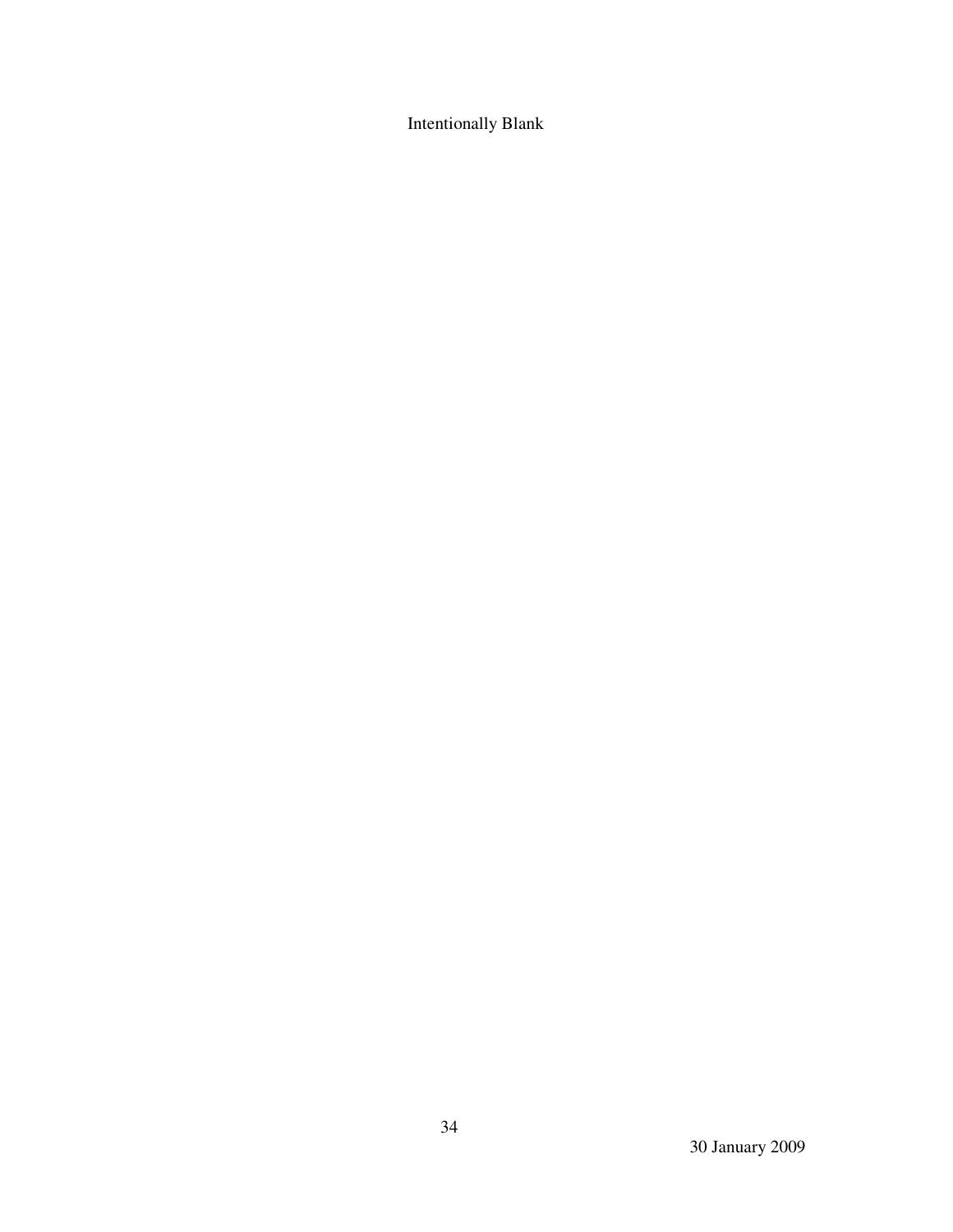Intentionally Blank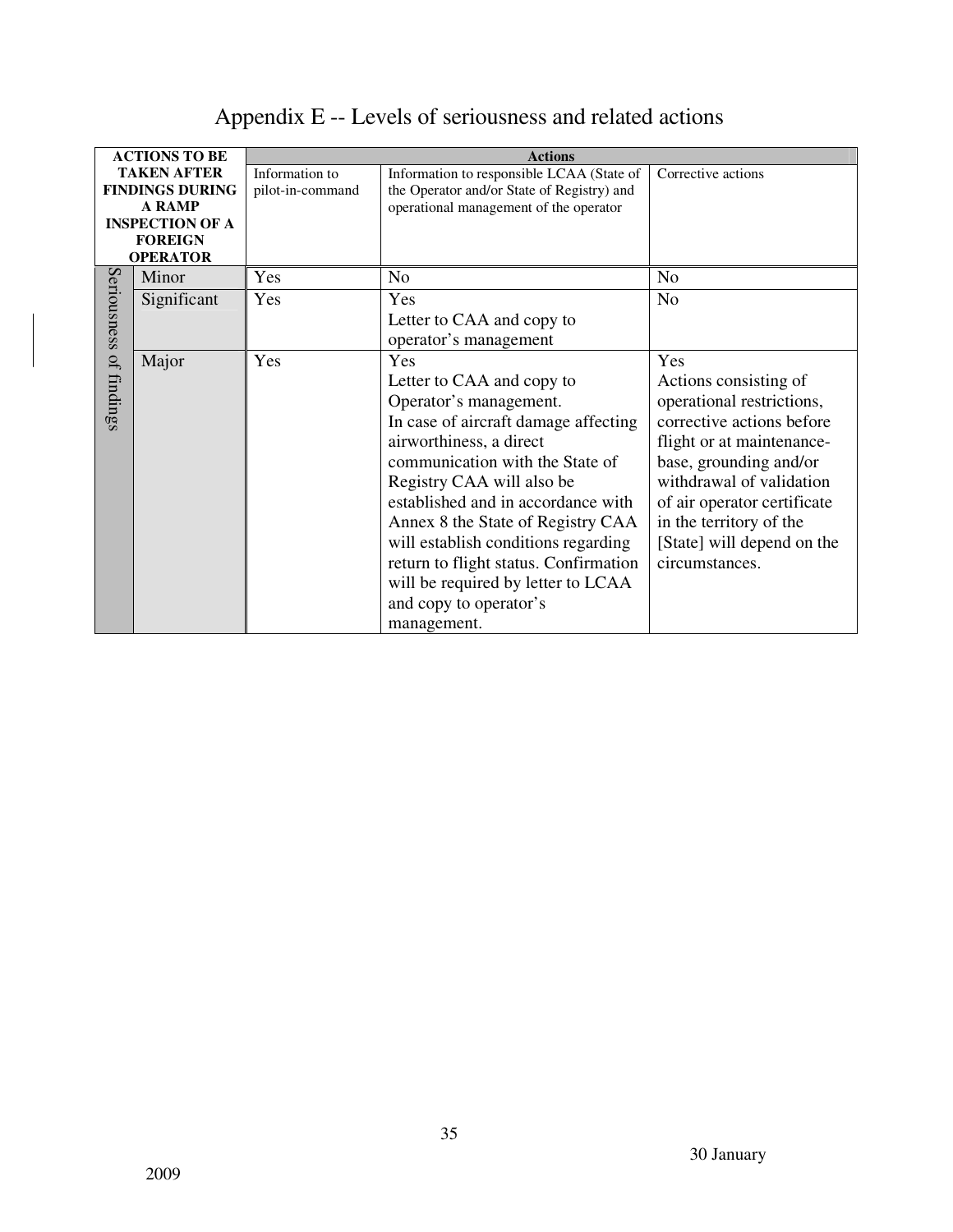|                                                                                                                              | <b>ACTIONS TO BE</b> | <b>Actions</b>                     |                                                                                                                                                                                                                                                                                                                                                                                                                                         |                                                                                                                                                                                                                                                                                     |  |  |
|------------------------------------------------------------------------------------------------------------------------------|----------------------|------------------------------------|-----------------------------------------------------------------------------------------------------------------------------------------------------------------------------------------------------------------------------------------------------------------------------------------------------------------------------------------------------------------------------------------------------------------------------------------|-------------------------------------------------------------------------------------------------------------------------------------------------------------------------------------------------------------------------------------------------------------------------------------|--|--|
| <b>TAKEN AFTER</b><br><b>FINDINGS DURING</b><br><b>A RAMP</b><br><b>INSPECTION OF A</b><br><b>FOREIGN</b><br><b>OPERATOR</b> |                      | Information to<br>pilot-in-command | Information to responsible LCAA (State of<br>the Operator and/or State of Registry) and<br>operational management of the operator                                                                                                                                                                                                                                                                                                       | Corrective actions                                                                                                                                                                                                                                                                  |  |  |
|                                                                                                                              | Minor                | Yes                                | No                                                                                                                                                                                                                                                                                                                                                                                                                                      | N <sub>0</sub>                                                                                                                                                                                                                                                                      |  |  |
| Seriousness                                                                                                                  | Significant          | Yes                                | Yes<br>Letter to CAA and copy to<br>operator's management                                                                                                                                                                                                                                                                                                                                                                               | N <sub>o</sub>                                                                                                                                                                                                                                                                      |  |  |
| of findings                                                                                                                  | Major                | Yes                                | Yes<br>Letter to CAA and copy to<br>Operator's management.<br>In case of aircraft damage affecting<br>airworthiness, a direct<br>communication with the State of<br>Registry CAA will also be<br>established and in accordance with<br>Annex 8 the State of Registry CAA<br>will establish conditions regarding<br>return to flight status. Confirmation<br>will be required by letter to LCAA<br>and copy to operator's<br>management. | Yes<br>Actions consisting of<br>operational restrictions,<br>corrective actions before<br>flight or at maintenance-<br>base, grounding and/or<br>withdrawal of validation<br>of air operator certificate<br>in the territory of the<br>[State] will depend on the<br>circumstances. |  |  |

# Appendix E -- Levels of seriousness and related actions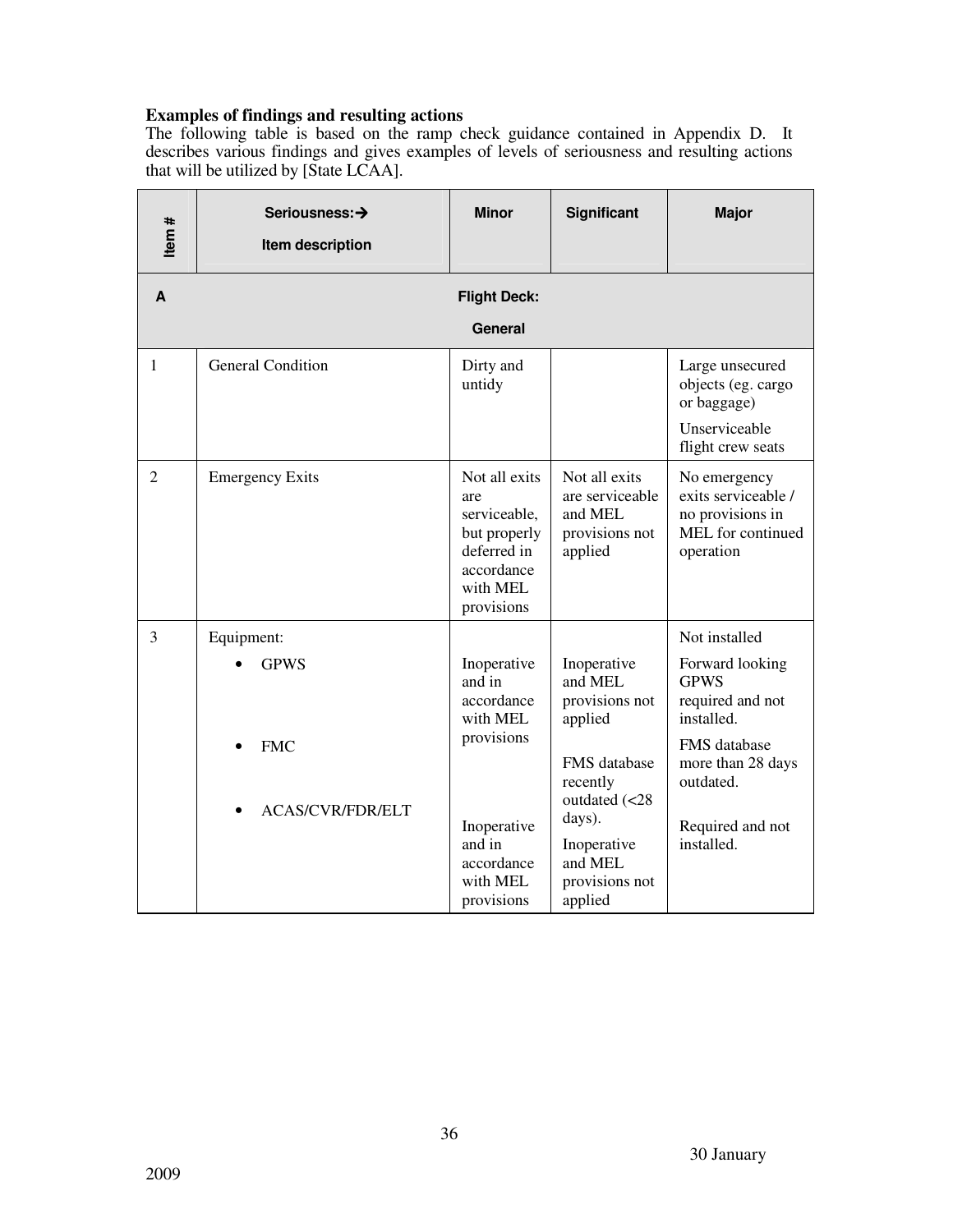# **Examples of findings and resulting actions**

The following table is based on the ramp check guidance contained in Appendix D. It describes various findings and gives examples of levels of seriousness and resulting actions that will be utilized by [State LCAA].

| Item#          | Seriousness: ><br>Item description                                 | <b>Minor</b>                                                                                                                   | Significant                                                                                                                                                              | <b>Major</b>                                                                                                                                                                 |
|----------------|--------------------------------------------------------------------|--------------------------------------------------------------------------------------------------------------------------------|--------------------------------------------------------------------------------------------------------------------------------------------------------------------------|------------------------------------------------------------------------------------------------------------------------------------------------------------------------------|
| A              |                                                                    | <b>Flight Deck:</b><br><b>General</b>                                                                                          |                                                                                                                                                                          |                                                                                                                                                                              |
| $\mathbf{1}$   | <b>General Condition</b>                                           | Dirty and<br>untidy                                                                                                            |                                                                                                                                                                          | Large unsecured<br>objects (eg. cargo<br>or baggage)<br>Unserviceable<br>flight crew seats                                                                                   |
| $\overline{c}$ | <b>Emergency Exits</b>                                             | Not all exits<br>are<br>serviceable,<br>but properly<br>deferred in<br>accordance<br>with MEL<br>provisions                    | Not all exits<br>are serviceable<br>and MEL<br>provisions not<br>applied                                                                                                 | No emergency<br>exits serviceable /<br>no provisions in<br>MEL for continued<br>operation                                                                                    |
| 3              | Equipment:<br><b>GPWS</b><br><b>FMC</b><br><b>ACAS/CVR/FDR/ELT</b> | Inoperative<br>and in<br>accordance<br>with MEL<br>provisions<br>Inoperative<br>and in<br>accordance<br>with MEL<br>provisions | Inoperative<br>and MEL<br>provisions not<br>applied<br><b>FMS</b> database<br>recently<br>outdated (<28<br>days).<br>Inoperative<br>and MEL<br>provisions not<br>applied | Not installed<br>Forward looking<br><b>GPWS</b><br>required and not<br>installed.<br><b>FMS</b> database<br>more than 28 days<br>outdated.<br>Required and not<br>installed. |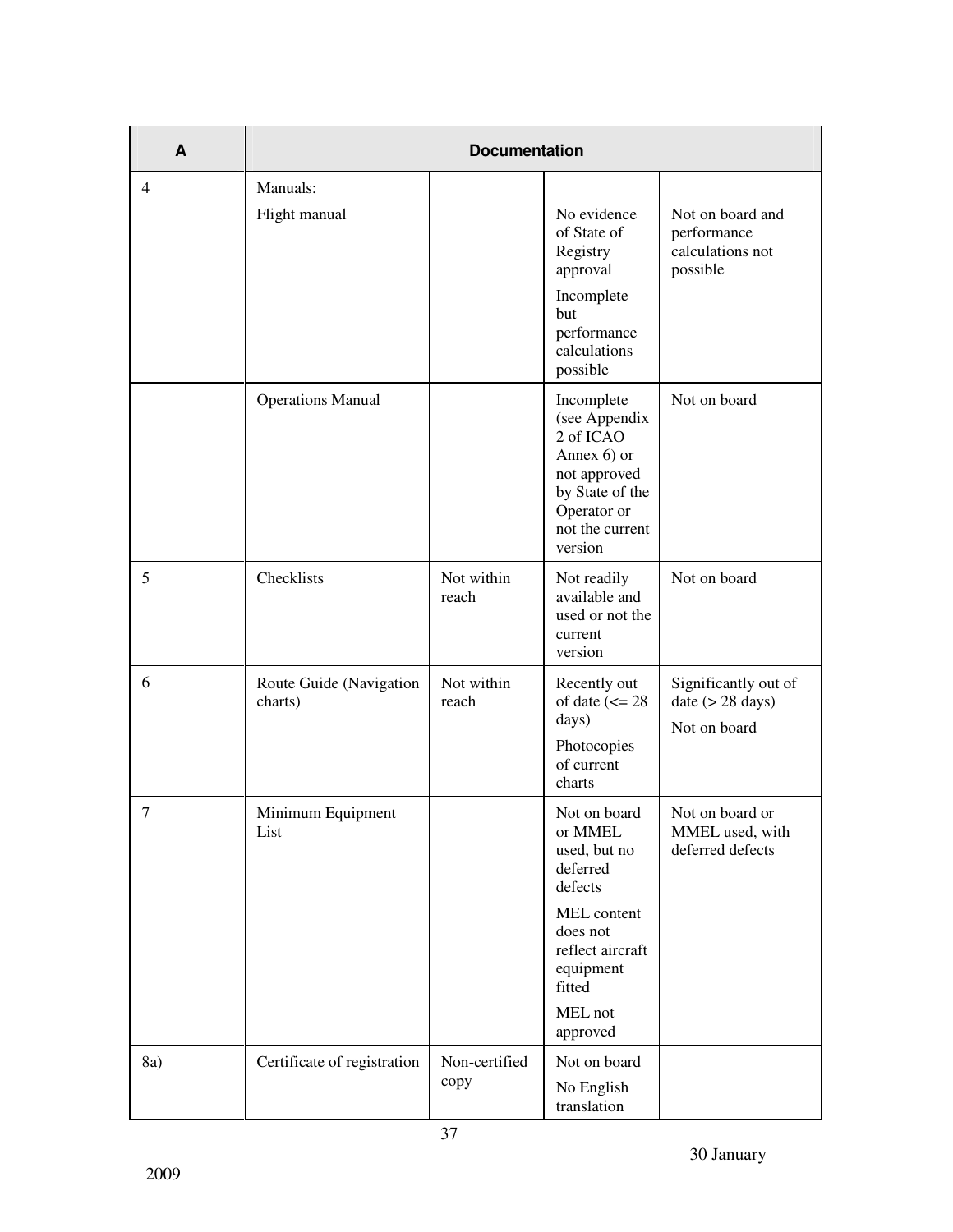| A              | <b>Documentation</b>               |                       |                                                                                                                                                             |                                                                 |
|----------------|------------------------------------|-----------------------|-------------------------------------------------------------------------------------------------------------------------------------------------------------|-----------------------------------------------------------------|
| $\overline{4}$ | Manuals:<br>Flight manual          |                       | No evidence<br>of State of<br>Registry<br>approval<br>Incomplete<br>but<br>performance<br>calculations<br>possible                                          | Not on board and<br>performance<br>calculations not<br>possible |
|                | <b>Operations Manual</b>           |                       | Incomplete<br>(see Appendix<br>2 of ICAO<br>Annex $6$ ) or<br>not approved<br>by State of the<br>Operator or<br>not the current<br>version                  | Not on board                                                    |
| 5              | Checklists                         | Not within<br>reach   | Not readily<br>available and<br>used or not the<br>current<br>version                                                                                       | Not on board                                                    |
| 6              | Route Guide (Navigation<br>charts) | Not within<br>reach   | Recently out<br>of date $\left(\leq 28\right)$<br>days)<br>Photocopies<br>of current<br>charts                                                              | Significantly out of<br>date (>28 days)<br>Not on board         |
| $\overline{7}$ | Minimum Equipment<br>List          |                       | Not on board<br>or MMEL<br>used, but no<br>deferred<br>defects<br>MEL content<br>does not<br>reflect aircraft<br>equipment<br>fitted<br>MEL not<br>approved | Not on board or<br>MMEL used, with<br>deferred defects          |
| 8a)            | Certificate of registration        | Non-certified<br>copy | Not on board<br>No English<br>translation                                                                                                                   |                                                                 |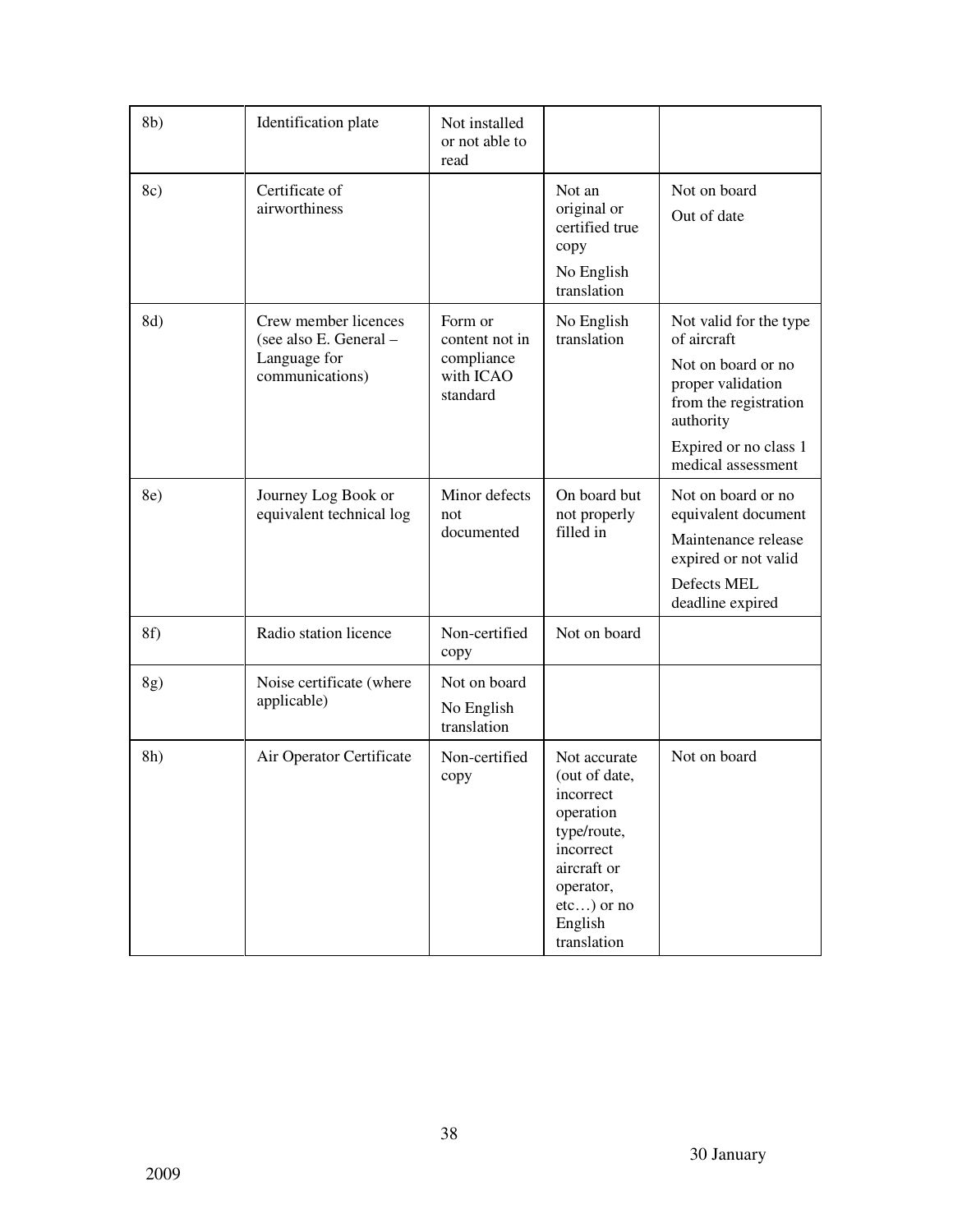| 8b) | Identification plate                                                              | Not installed<br>or not able to<br>read              |                                                                                                                                                            |                                                             |
|-----|-----------------------------------------------------------------------------------|------------------------------------------------------|------------------------------------------------------------------------------------------------------------------------------------------------------------|-------------------------------------------------------------|
| 8c) | Certificate of<br>airworthiness                                                   |                                                      | Not an<br>original or<br>certified true<br>copy<br>No English<br>translation                                                                               | Not on board<br>Out of date                                 |
| 8d) | Crew member licences<br>(see also E. General -<br>Language for<br>communications) | Form or<br>content not in<br>compliance<br>with ICAO | No English<br>translation                                                                                                                                  | Not valid for the type<br>of aircraft<br>Not on board or no |
|     |                                                                                   | standard                                             |                                                                                                                                                            | proper validation<br>from the registration<br>authority     |
|     |                                                                                   |                                                      |                                                                                                                                                            | Expired or no class 1<br>medical assessment                 |
| 8e) | Journey Log Book or<br>equivalent technical log                                   | Minor defects<br>not<br>documented                   | On board but<br>not properly<br>filled in                                                                                                                  | Not on board or no<br>equivalent document                   |
|     |                                                                                   |                                                      |                                                                                                                                                            | Maintenance release<br>expired or not valid                 |
|     |                                                                                   |                                                      |                                                                                                                                                            | Defects MEL<br>deadline expired                             |
| 8f) | Radio station licence                                                             | Non-certified<br>copy                                | Not on board                                                                                                                                               |                                                             |
| 8g) | Noise certificate (where<br>applicable)                                           | Not on board<br>No English<br>translation            |                                                                                                                                                            |                                                             |
| 8h) | Air Operator Certificate                                                          | Non-certified<br>copy                                | Not accurate<br>(out of date,<br>incorrect<br>operation<br>type/route,<br>incorrect<br>aircraft or<br>operator,<br>$etc$ ) or no<br>English<br>translation | Not on board                                                |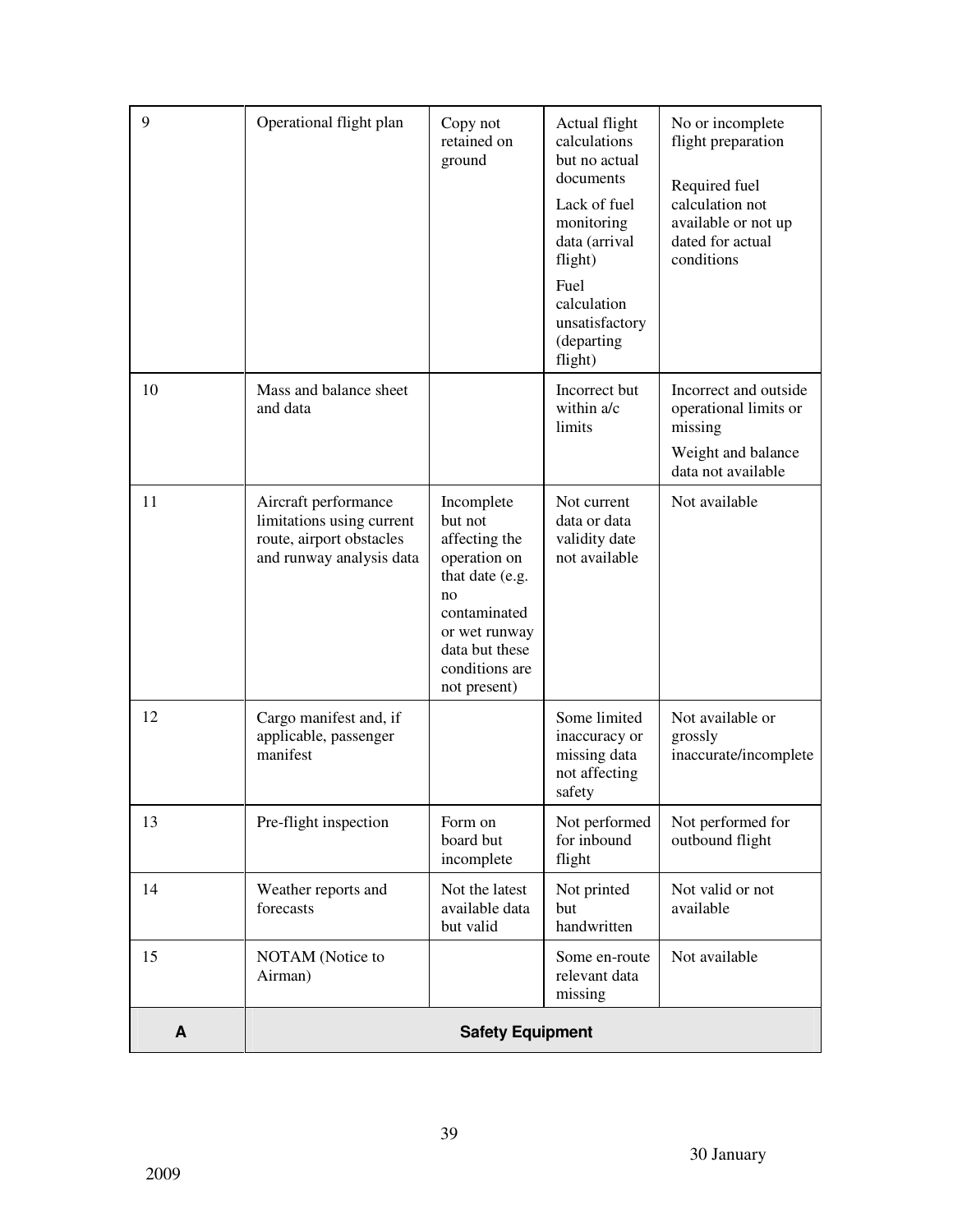| 9  | Operational flight plan                                                                                   | Copy not<br>retained on<br>ground                                                                                                                                    | Actual flight<br>calculations<br>but no actual<br>documents<br>Lack of fuel<br>monitoring<br>data (arrival<br>flight)<br>Fuel<br>calculation<br>unsatisfactory<br>(departing<br>flight) | No or incomplete<br>flight preparation<br>Required fuel<br>calculation not<br>available or not up<br>dated for actual<br>conditions |
|----|-----------------------------------------------------------------------------------------------------------|----------------------------------------------------------------------------------------------------------------------------------------------------------------------|-----------------------------------------------------------------------------------------------------------------------------------------------------------------------------------------|-------------------------------------------------------------------------------------------------------------------------------------|
| 10 | Mass and balance sheet<br>and data                                                                        |                                                                                                                                                                      | Incorrect but<br>within a/c<br>limits                                                                                                                                                   | Incorrect and outside<br>operational limits or<br>missing<br>Weight and balance<br>data not available                               |
| 11 | Aircraft performance<br>limitations using current<br>route, airport obstacles<br>and runway analysis data | Incomplete<br>but not<br>affecting the<br>operation on<br>that date (e.g.<br>no<br>contaminated<br>or wet runway<br>data but these<br>conditions are<br>not present) | Not current<br>data or data<br>validity date<br>not available                                                                                                                           | Not available                                                                                                                       |
| 12 | Cargo manifest and, if<br>applicable, passenger<br>manifest                                               |                                                                                                                                                                      | Some limited<br>inaccuracy or<br>missing data<br>not affecting<br>safety                                                                                                                | Not available or<br>grossly<br>inaccurate/incomplete                                                                                |
| 13 | Pre-flight inspection                                                                                     | Form on<br>board but<br>incomplete                                                                                                                                   | Not performed<br>for inbound<br>flight                                                                                                                                                  | Not performed for<br>outbound flight                                                                                                |
| 14 | Weather reports and<br>forecasts                                                                          | Not the latest<br>available data<br>but valid                                                                                                                        | Not printed<br>but<br>handwritten                                                                                                                                                       | Not valid or not<br>available                                                                                                       |
| 15 | NOTAM (Notice to<br>Airman)                                                                               |                                                                                                                                                                      | Some en-route<br>relevant data<br>missing                                                                                                                                               | Not available                                                                                                                       |
| A  | <b>Safety Equipment</b>                                                                                   |                                                                                                                                                                      |                                                                                                                                                                                         |                                                                                                                                     |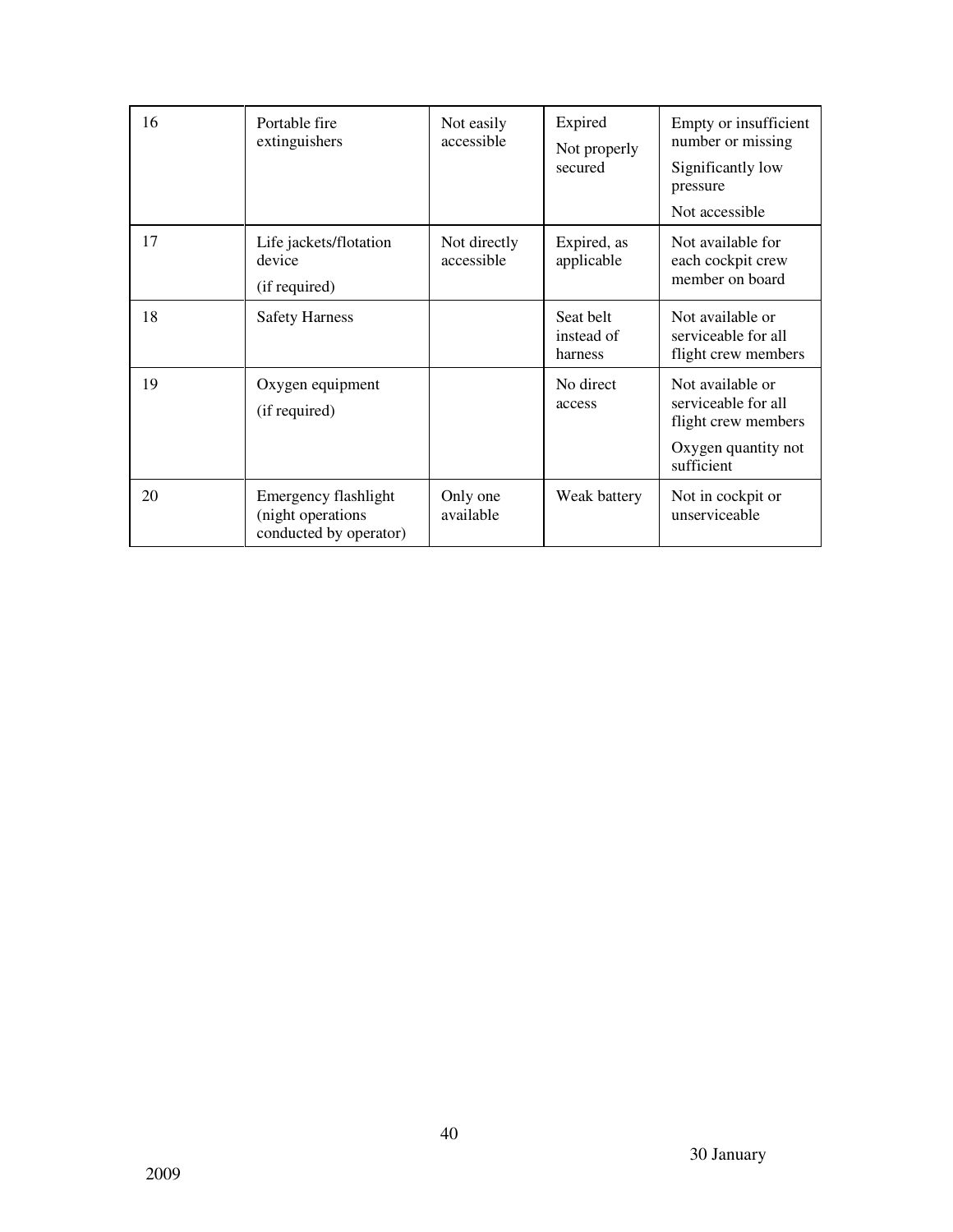| 16 | Portable fire<br>extinguishers                                       | Not easily<br>accessible   | Expired<br>Not properly<br>secured | Empty or insufficient<br>number or missing<br>Significantly low<br>pressure<br>Not accessible       |
|----|----------------------------------------------------------------------|----------------------------|------------------------------------|-----------------------------------------------------------------------------------------------------|
| 17 | Life jackets/flotation<br>device<br>(if required)                    | Not directly<br>accessible | Expired, as<br>applicable          | Not available for<br>each cockpit crew<br>member on board                                           |
| 18 | <b>Safety Harness</b>                                                |                            | Seat belt<br>instead of<br>harness | Not available or<br>serviceable for all<br>flight crew members                                      |
| 19 | Oxygen equipment<br>(if required)                                    |                            | No direct<br>access                | Not available or<br>serviceable for all<br>flight crew members<br>Oxygen quantity not<br>sufficient |
| 20 | Emergency flashlight<br>(night operations)<br>conducted by operator) | Only one<br>available      | Weak battery                       | Not in cockpit or<br>unserviceable                                                                  |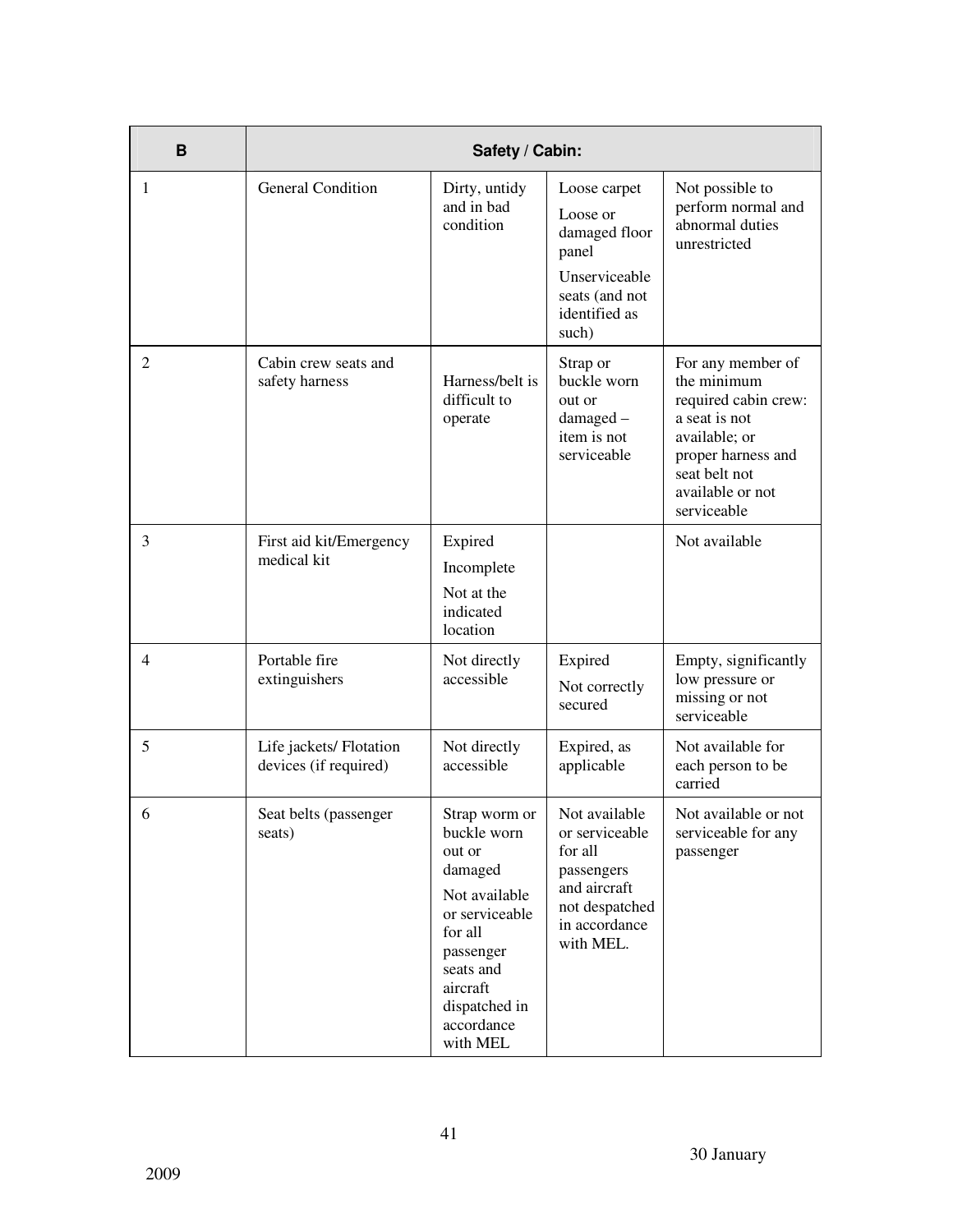| B              |                                                  | Safety / Cabin:                                                                                                                                                                  |                                                                                                                          |                                                                                                                                                                      |
|----------------|--------------------------------------------------|----------------------------------------------------------------------------------------------------------------------------------------------------------------------------------|--------------------------------------------------------------------------------------------------------------------------|----------------------------------------------------------------------------------------------------------------------------------------------------------------------|
| 1              | <b>General Condition</b>                         | Dirty, untidy<br>and in bad<br>condition                                                                                                                                         | Loose carpet<br>Loose or<br>damaged floor<br>panel<br>Unserviceable<br>seats (and not<br>identified as<br>such)          | Not possible to<br>perform normal and<br>abnormal duties<br>unrestricted                                                                                             |
| $\overline{2}$ | Cabin crew seats and<br>safety harness           | Harness/belt is<br>difficult to<br>operate                                                                                                                                       | Strap or<br>buckle worn<br>out or<br>damaged-<br>item is not<br>serviceable                                              | For any member of<br>the minimum<br>required cabin crew:<br>a seat is not<br>available; or<br>proper harness and<br>seat belt not<br>available or not<br>serviceable |
| 3              | First aid kit/Emergency<br>medical kit           | Expired<br>Incomplete<br>Not at the<br>indicated<br>location                                                                                                                     |                                                                                                                          | Not available                                                                                                                                                        |
| 4              | Portable fire<br>extinguishers                   | Not directly<br>accessible                                                                                                                                                       | Expired<br>Not correctly<br>secured                                                                                      | Empty, significantly<br>low pressure or<br>missing or not<br>serviceable                                                                                             |
| 5              | Life jackets/ Flotation<br>devices (if required) | Not directly<br>accessible                                                                                                                                                       | Expired, as<br>applicable                                                                                                | Not available for<br>each person to be<br>carried                                                                                                                    |
| 6              | Seat belts (passenger<br>seats)                  | Strap worm or<br>buckle worn<br>out or<br>damaged<br>Not available<br>or serviceable<br>for all<br>passenger<br>seats and<br>aircraft<br>dispatched in<br>accordance<br>with MEL | Not available<br>or serviceable<br>for all<br>passengers<br>and aircraft<br>not despatched<br>in accordance<br>with MEL. | Not available or not<br>serviceable for any<br>passenger                                                                                                             |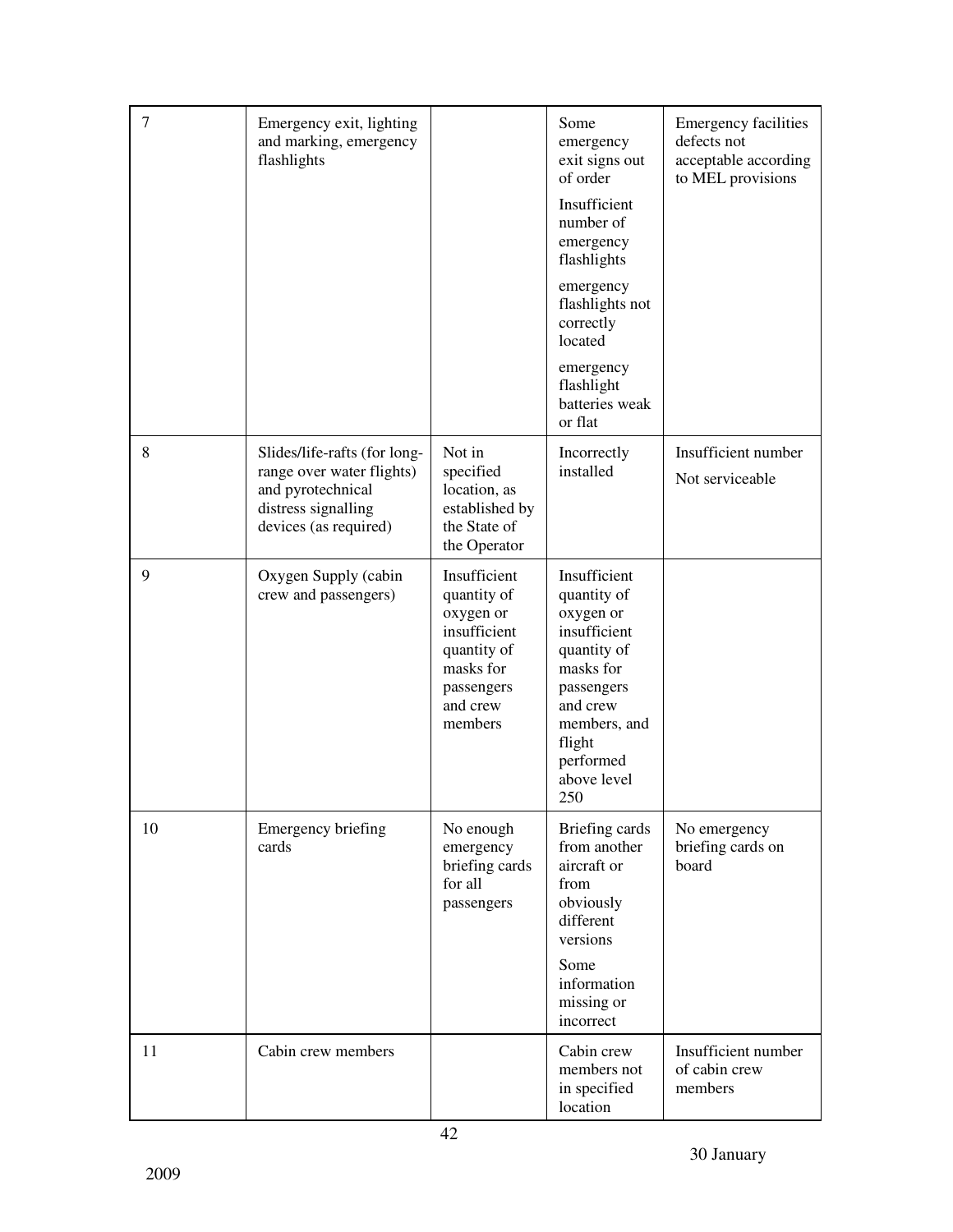| $\overline{7}$ | Emergency exit, lighting<br>and marking, emergency<br>flashlights                                                              |                                                                                                                           | Some<br>emergency<br>exit signs out<br>of order<br>Insufficient<br>number of<br>emergency<br>flashlights<br>emergency<br>flashlights not<br>correctly<br>located<br>emergency<br>flashlight<br>batteries weak<br>or flat | <b>Emergency facilities</b><br>defects not<br>acceptable according<br>to MEL provisions |
|----------------|--------------------------------------------------------------------------------------------------------------------------------|---------------------------------------------------------------------------------------------------------------------------|--------------------------------------------------------------------------------------------------------------------------------------------------------------------------------------------------------------------------|-----------------------------------------------------------------------------------------|
| 8              | Slides/life-rafts (for long-<br>range over water flights)<br>and pyrotechnical<br>distress signalling<br>devices (as required) | Not in<br>specified<br>location, as<br>established by<br>the State of<br>the Operator                                     | Incorrectly<br>installed                                                                                                                                                                                                 | Insufficient number<br>Not serviceable                                                  |
| 9              | Oxygen Supply (cabin<br>crew and passengers)                                                                                   | Insufficient<br>quantity of<br>oxygen or<br>insufficient<br>quantity of<br>masks for<br>passengers<br>and crew<br>members | Insufficient<br>quantity of<br>oxygen or<br>insufficient<br>quantity of<br>masks for<br>passengers<br>and crew<br>members, and<br>flight<br>performed<br>above level<br>250                                              |                                                                                         |
| 10             | Emergency briefing<br>cards                                                                                                    | No enough<br>emergency<br>briefing cards<br>for all<br>passengers                                                         | Briefing cards<br>from another<br>aircraft or<br>from<br>obviously<br>different<br>versions<br>Some<br>information<br>missing or<br>incorrect                                                                            | No emergency<br>briefing cards on<br>board                                              |
| 11             | Cabin crew members                                                                                                             |                                                                                                                           | Cabin crew<br>members not<br>in specified<br>location                                                                                                                                                                    | Insufficient number<br>of cabin crew<br>members                                         |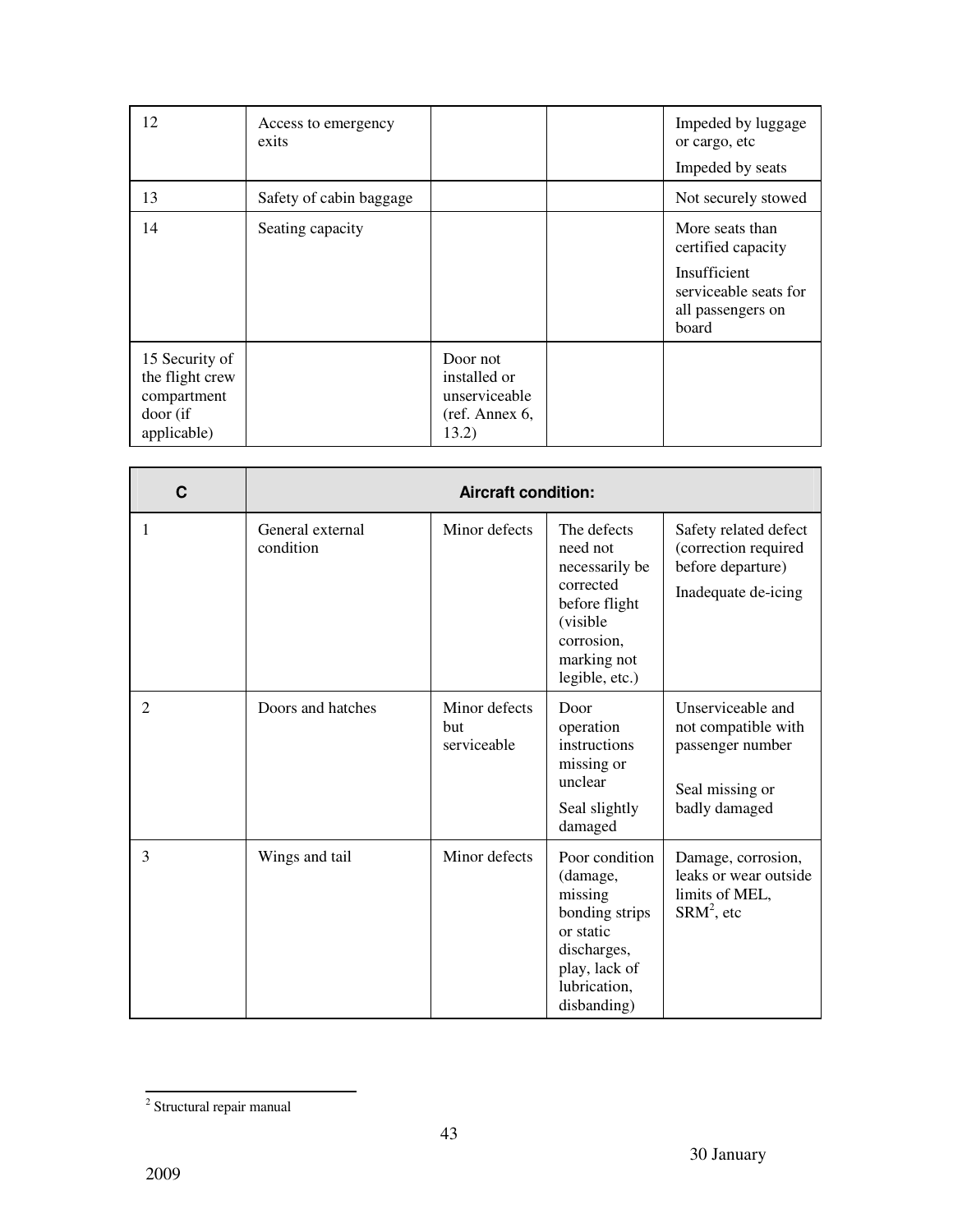| 12                                                                          | Access to emergency<br>exits |                                                                          | Impeded by luggage<br>or cargo, etc<br>Impeded by seats                                                      |
|-----------------------------------------------------------------------------|------------------------------|--------------------------------------------------------------------------|--------------------------------------------------------------------------------------------------------------|
| 13                                                                          | Safety of cabin baggage      |                                                                          | Not securely stowed                                                                                          |
| 14                                                                          | Seating capacity             |                                                                          | More seats than<br>certified capacity<br>Insufficient<br>serviceable seats for<br>all passengers on<br>board |
| 15 Security of<br>the flight crew<br>compartment<br>door (if<br>applicable) |                              | Door not<br>installed or<br>unserviceable<br>$ref.$ Annex $6$ ,<br>13.2) |                                                                                                              |

| C              |                               | <b>Aircraft condition:</b>          |                                                                                                                                     |                                                                                                  |
|----------------|-------------------------------|-------------------------------------|-------------------------------------------------------------------------------------------------------------------------------------|--------------------------------------------------------------------------------------------------|
| 1              | General external<br>condition | Minor defects                       | The defects<br>need not<br>necessarily be<br>corrected<br>before flight<br>(visible<br>corrosion,<br>marking not<br>legible, etc.)  | Safety related defect<br>(correction required<br>before departure)<br>Inadequate de-icing        |
| $\overline{2}$ | Doors and hatches             | Minor defects<br>but<br>serviceable | Door<br>operation<br>instructions<br>missing or<br>unclear<br>Seal slightly<br>damaged                                              | Unserviceable and<br>not compatible with<br>passenger number<br>Seal missing or<br>badly damaged |
| 3              | Wings and tail                | Minor defects                       | Poor condition<br>(damage,<br>missing<br>bonding strips<br>or static<br>discharges,<br>play, lack of<br>lubrication,<br>disbanding) | Damage, corrosion,<br>leaks or wear outside<br>limits of MEL,<br>$SRM2$ , etc                    |

 2 Structural repair manual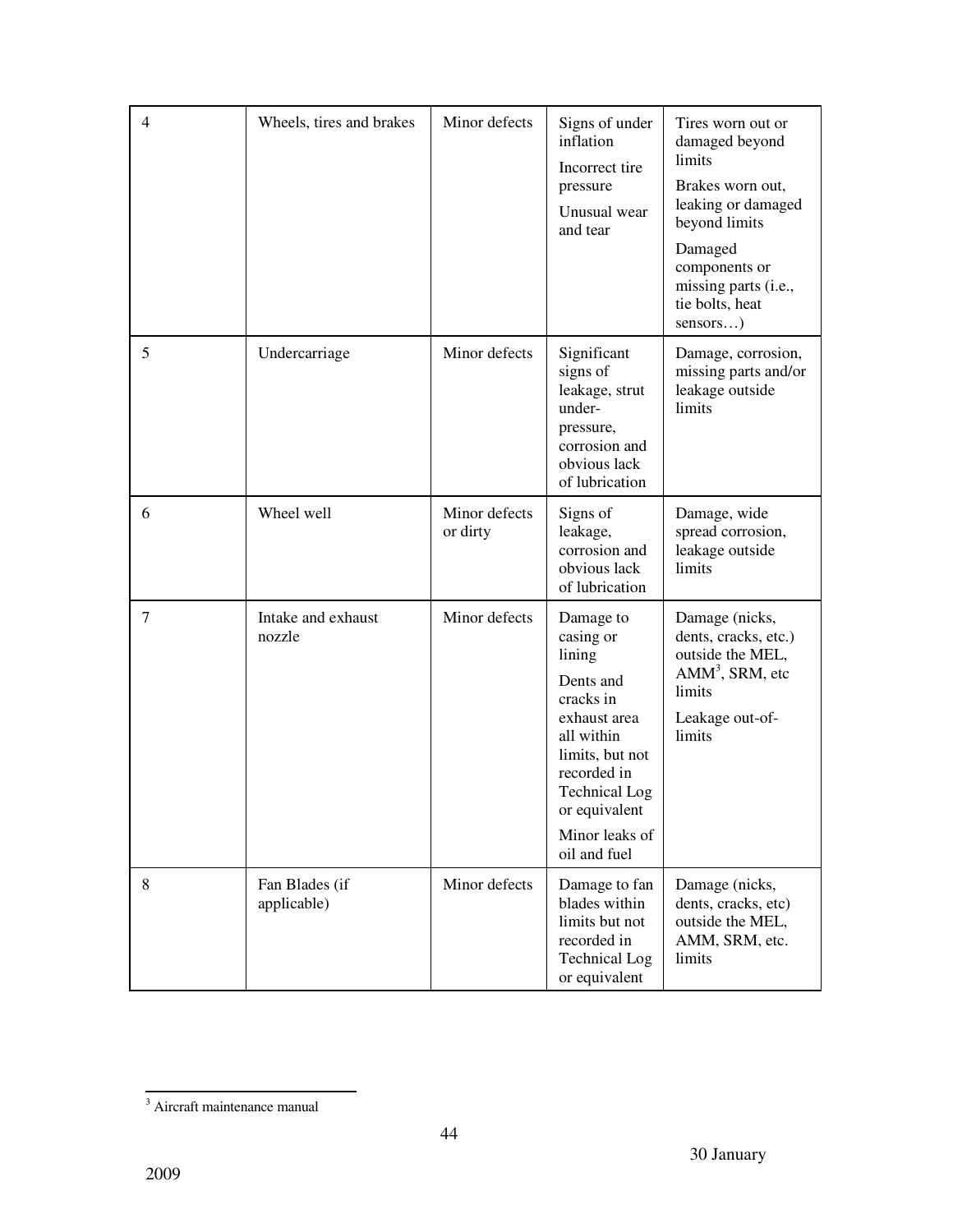| $\overline{4}$ | Wheels, tires and brakes      | Minor defects             | Signs of under<br>inflation<br>Incorrect tire<br>pressure<br>Unusual wear<br>and tear                                                                                                                 | Tires worn out or<br>damaged beyond<br>limits<br>Brakes worn out,<br>leaking or damaged<br>beyond limits<br>Damaged<br>components or<br>missing parts (i.e.,<br>tie bolts, heat<br>sensors) |
|----------------|-------------------------------|---------------------------|-------------------------------------------------------------------------------------------------------------------------------------------------------------------------------------------------------|---------------------------------------------------------------------------------------------------------------------------------------------------------------------------------------------|
| 5              | Undercarriage                 | Minor defects             | Significant<br>signs of<br>leakage, strut<br>under-<br>pressure,<br>corrosion and<br>obvious lack<br>of lubrication                                                                                   | Damage, corrosion,<br>missing parts and/or<br>leakage outside<br>limits                                                                                                                     |
| 6              | Wheel well                    | Minor defects<br>or dirty | Signs of<br>leakage,<br>corrosion and<br>obvious lack<br>of lubrication                                                                                                                               | Damage, wide<br>spread corrosion,<br>leakage outside<br>limits                                                                                                                              |
| 7              | Intake and exhaust<br>nozzle  | Minor defects             | Damage to<br>casing or<br>lining<br>Dents and<br>cracks in<br>exhaust area<br>all within<br>limits, but not<br>recorded in<br><b>Technical Log</b><br>or equivalent<br>Minor leaks of<br>oil and fuel | Damage (nicks,<br>dents, cracks, etc.)<br>outside the MEL,<br>$AMM3$ , SRM, etc<br>limits<br>Leakage out-of-<br>limits                                                                      |
| 8              | Fan Blades (if<br>applicable) | Minor defects             | Damage to fan<br>blades within<br>limits but not<br>recorded in<br><b>Technical Log</b><br>or equivalent                                                                                              | Damage (nicks,<br>dents, cracks, etc)<br>outside the MEL,<br>AMM, SRM, etc.<br>limits                                                                                                       |

 3 Aircraft maintenance manual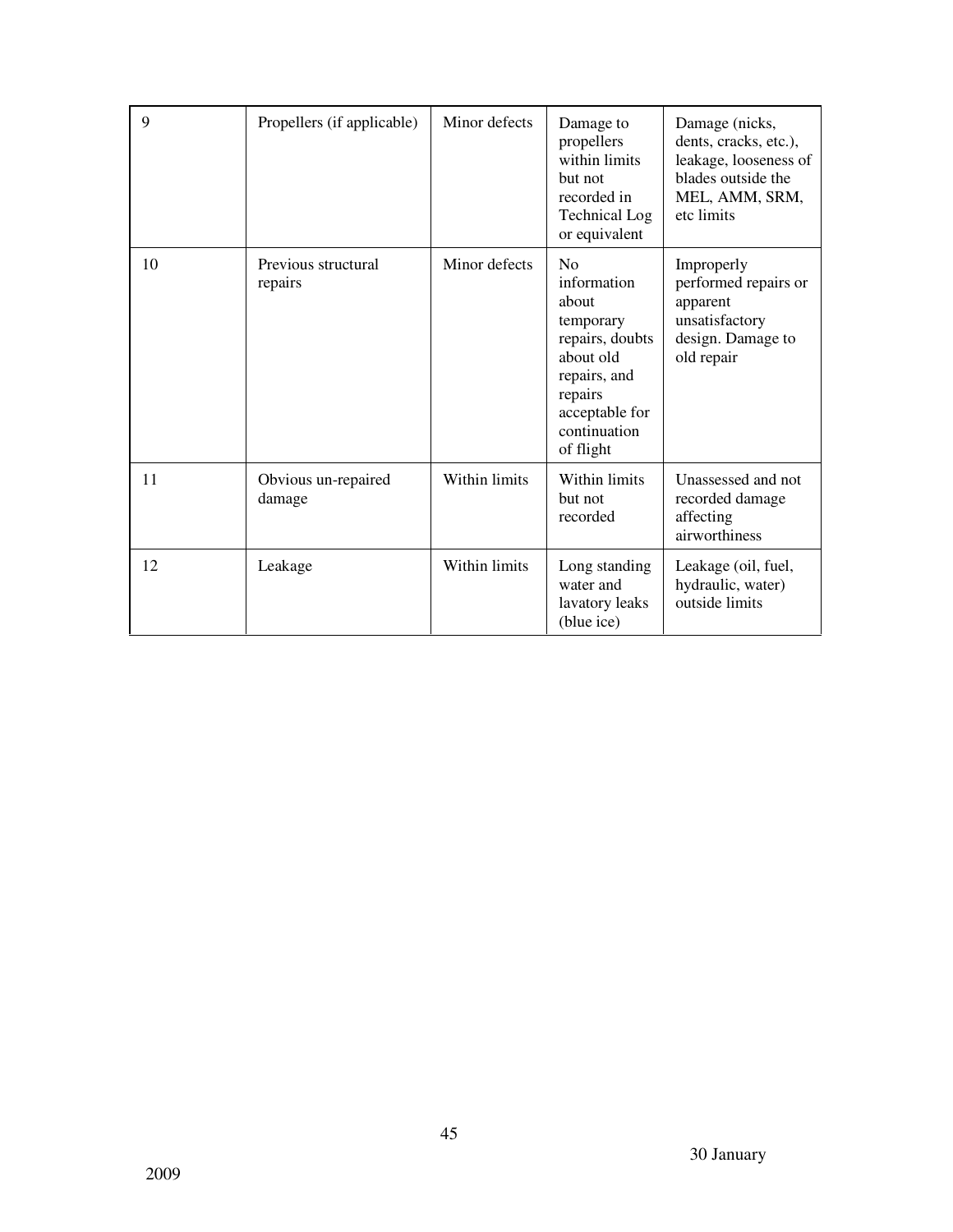| 9  | Propellers (if applicable)     | Minor defects | Damage to<br>propellers<br>within limits<br>but not<br>recorded in<br><b>Technical Log</b><br>or equivalent                                                   | Damage (nicks,<br>dents, cracks, etc.),<br>leakage, looseness of<br>blades outside the<br>MEL, AMM, SRM,<br>etc limits |
|----|--------------------------------|---------------|---------------------------------------------------------------------------------------------------------------------------------------------------------------|------------------------------------------------------------------------------------------------------------------------|
| 10 | Previous structural<br>repairs | Minor defects | N <sub>0</sub><br>information<br>about<br>temporary<br>repairs, doubts<br>about old<br>repairs, and<br>repairs<br>acceptable for<br>continuation<br>of flight | Improperly<br>performed repairs or<br>apparent<br>unsatisfactory<br>design. Damage to<br>old repair                    |
| 11 | Obvious un-repaired<br>damage  | Within limits | Within limits<br>but not<br>recorded                                                                                                                          | Unassessed and not<br>recorded damage<br>affecting<br>airworthiness                                                    |
| 12 | Leakage                        | Within limits | Long standing<br>water and<br>lavatory leaks<br>(blue ice)                                                                                                    | Leakage (oil, fuel,<br>hydraulic, water)<br>outside limits                                                             |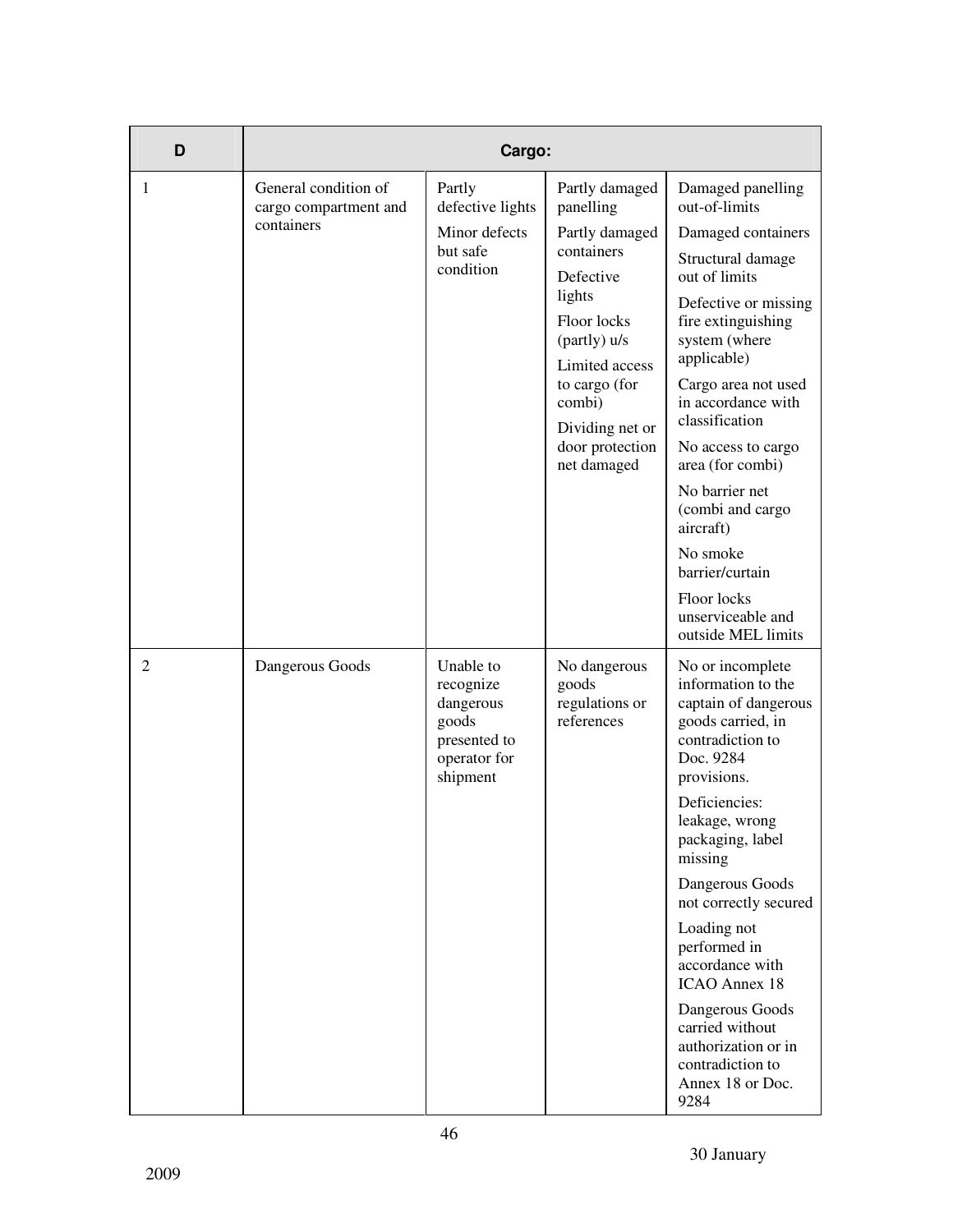| D              |                                                             | Cargo:                                                                                   |                                                                                                                                                                                                                     |                                                                                                                                                                                                                                                                                                                                                                                                                                   |
|----------------|-------------------------------------------------------------|------------------------------------------------------------------------------------------|---------------------------------------------------------------------------------------------------------------------------------------------------------------------------------------------------------------------|-----------------------------------------------------------------------------------------------------------------------------------------------------------------------------------------------------------------------------------------------------------------------------------------------------------------------------------------------------------------------------------------------------------------------------------|
| 1              | General condition of<br>cargo compartment and<br>containers | Partly<br>defective lights<br>Minor defects<br>but safe<br>condition                     | Partly damaged<br>panelling<br>Partly damaged<br>containers<br>Defective<br>lights<br>Floor locks<br>(partly) u/s<br>Limited access<br>to cargo (for<br>combi)<br>Dividing net or<br>door protection<br>net damaged | Damaged panelling<br>out-of-limits<br>Damaged containers<br>Structural damage<br>out of limits<br>Defective or missing<br>fire extinguishing<br>system (where<br>applicable)<br>Cargo area not used<br>in accordance with<br>classification<br>No access to cargo<br>area (for combi)<br>No barrier net<br>(combi and cargo<br>aircraft)<br>No smoke<br>barrier/curtain<br>Floor locks<br>unserviceable and<br>outside MEL limits |
| $\overline{2}$ | Dangerous Goods                                             | Unable to<br>recognize<br>dangerous<br>goods<br>presented to<br>operator for<br>shipment | No dangerous<br>goods<br>regulations or<br>references                                                                                                                                                               | No or incomplete<br>information to the<br>captain of dangerous<br>goods carried, in<br>contradiction to<br>Doc. 9284<br>provisions.<br>Deficiencies:<br>leakage, wrong<br>packaging, label<br>missing<br>Dangerous Goods<br>not correctly secured<br>Loading not<br>performed in<br>accordance with<br>ICAO Annex 18<br>Dangerous Goods<br>carried without<br>authorization or in<br>contradiction to<br>Annex 18 or Doc.<br>9284 |

46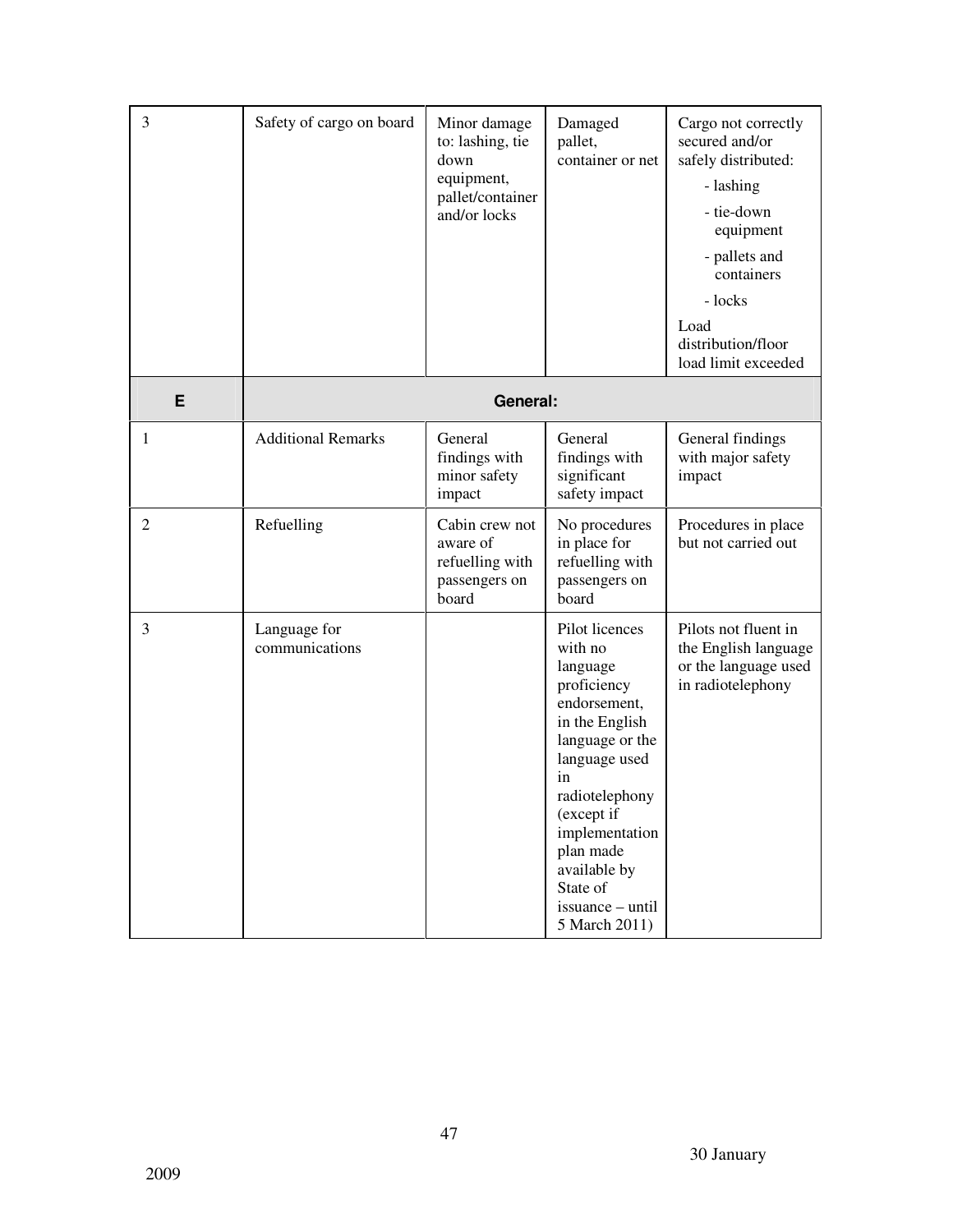| 3              | Safety of cargo on board       | Minor damage<br>to: lashing, tie<br>down<br>equipment,<br>pallet/container<br>and/or locks | Damaged<br>pallet,<br>container or net                                                                                                                                                                                                                           | Cargo not correctly<br>secured and/or<br>safely distributed:<br>- lashing<br>- tie-down<br>equipment<br>- pallets and<br>containers<br>- locks<br>Load<br>distribution/floor<br>load limit exceeded |
|----------------|--------------------------------|--------------------------------------------------------------------------------------------|------------------------------------------------------------------------------------------------------------------------------------------------------------------------------------------------------------------------------------------------------------------|-----------------------------------------------------------------------------------------------------------------------------------------------------------------------------------------------------|
| E              |                                | General:                                                                                   |                                                                                                                                                                                                                                                                  |                                                                                                                                                                                                     |
| 1              | <b>Additional Remarks</b>      | General<br>findings with<br>minor safety<br>impact                                         | General<br>findings with<br>significant<br>safety impact                                                                                                                                                                                                         | General findings<br>with major safety<br>impact                                                                                                                                                     |
| $\overline{c}$ | Refuelling                     | Cabin crew not<br>aware of<br>refuelling with<br>passengers on<br>board                    | No procedures<br>in place for<br>refuelling with<br>passengers on<br>board                                                                                                                                                                                       | Procedures in place<br>but not carried out                                                                                                                                                          |
| 3              | Language for<br>communications |                                                                                            | Pilot licences<br>with no<br>language<br>proficiency<br>endorsement,<br>in the English<br>language or the<br>language used<br>in<br>radiotelephony<br>(except if<br>implementation<br>plan made<br>available by<br>State of<br>issuance – until<br>5 March 2011) | Pilots not fluent in<br>the English language<br>or the language used<br>in radiotelephony                                                                                                           |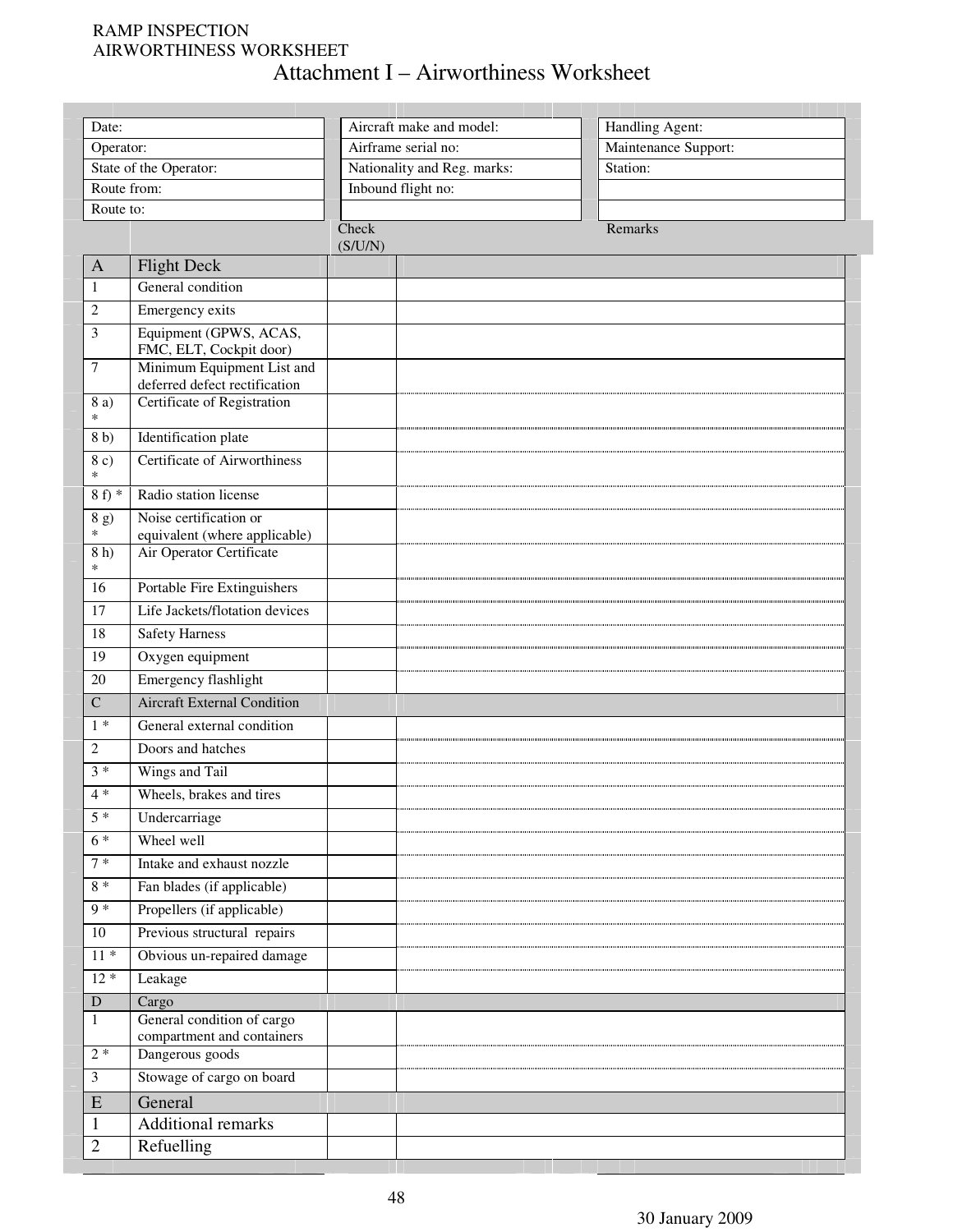# RAMP INSPECTION AIRWORTHINESS WORKSHEET Attachment I – Airworthiness Worksheet

| Date:            |                                                             |                     | Aircraft make and model:    | Handling Agent:      |
|------------------|-------------------------------------------------------------|---------------------|-----------------------------|----------------------|
| Operator:        |                                                             | Airframe serial no: |                             | Maintenance Support: |
|                  | State of the Operator:                                      |                     | Nationality and Reg. marks: | Station:             |
| Route from:      |                                                             | Inbound flight no:  |                             |                      |
| Route to:        |                                                             |                     |                             |                      |
|                  |                                                             | Check<br>(S/UN)     |                             | Remarks              |
| $\mathbf{A}$     | <b>Flight Deck</b>                                          |                     |                             |                      |
| 1                | General condition                                           |                     |                             |                      |
| 2                | Emergency exits                                             |                     |                             |                      |
| 3                | Equipment (GPWS, ACAS,<br>FMC, ELT, Cockpit door)           |                     |                             |                      |
| $\overline{7}$   | Minimum Equipment List and<br>deferred defect rectification |                     |                             |                      |
| 8 a)<br>$\ast$   | Certificate of Registration                                 |                     |                             |                      |
| 8 b)             | Identification plate                                        |                     |                             |                      |
| 8 c)<br>$\ast$   | <b>Certificate of Airworthiness</b>                         |                     |                             |                      |
| $8f$ *           | Radio station license                                       |                     |                             |                      |
| 8g)<br>$\ast$    | Noise certification or<br>equivalent (where applicable)     |                     |                             |                      |
| $8h$ )<br>$\ast$ | Air Operator Certificate                                    |                     |                             |                      |
| 16               | Portable Fire Extinguishers                                 |                     |                             |                      |
| 17               | Life Jackets/flotation devices                              |                     |                             |                      |
| 18               | <b>Safety Harness</b>                                       |                     |                             |                      |
| 19               | Oxygen equipment                                            |                     |                             |                      |
| 20               | <b>Emergency flashlight</b>                                 |                     |                             |                      |
| $\mathcal{C}$    | <b>Aircraft External Condition</b>                          |                     |                             |                      |
| $1*$             | General external condition                                  |                     |                             |                      |
| 2                | Doors and hatches                                           |                     |                             |                      |
| $3 *$            | Wings and Tail                                              |                     |                             |                      |
| $4 *$            | Wheels, brakes and tires                                    |                     |                             |                      |
| $5 *$            | Undercarriage                                               |                     |                             |                      |
| $6*$             | Wheel well                                                  |                     |                             |                      |
| $7 *$            | Intake and exhaust nozzle                                   |                     |                             |                      |
| $8 *$            | Fan blades (if applicable)                                  |                     |                             |                      |
| $9 *$            | Propellers (if applicable)                                  |                     |                             |                      |
| 10               | Previous structural repairs                                 |                     |                             |                      |
| $11 *$           | Obvious un-repaired damage                                  |                     |                             |                      |
| $12 *$           | Leakage                                                     |                     |                             |                      |
| D                | Cargo                                                       |                     |                             |                      |
| 1                | General condition of cargo<br>compartment and containers    |                     |                             |                      |
| $2*$             | Dangerous goods                                             |                     |                             |                      |
| 3                | Stowage of cargo on board                                   |                     |                             |                      |
| E                | General                                                     |                     |                             |                      |
| 1                | <b>Additional remarks</b>                                   |                     |                             |                      |
| $\overline{c}$   | Refuelling                                                  |                     |                             |                      |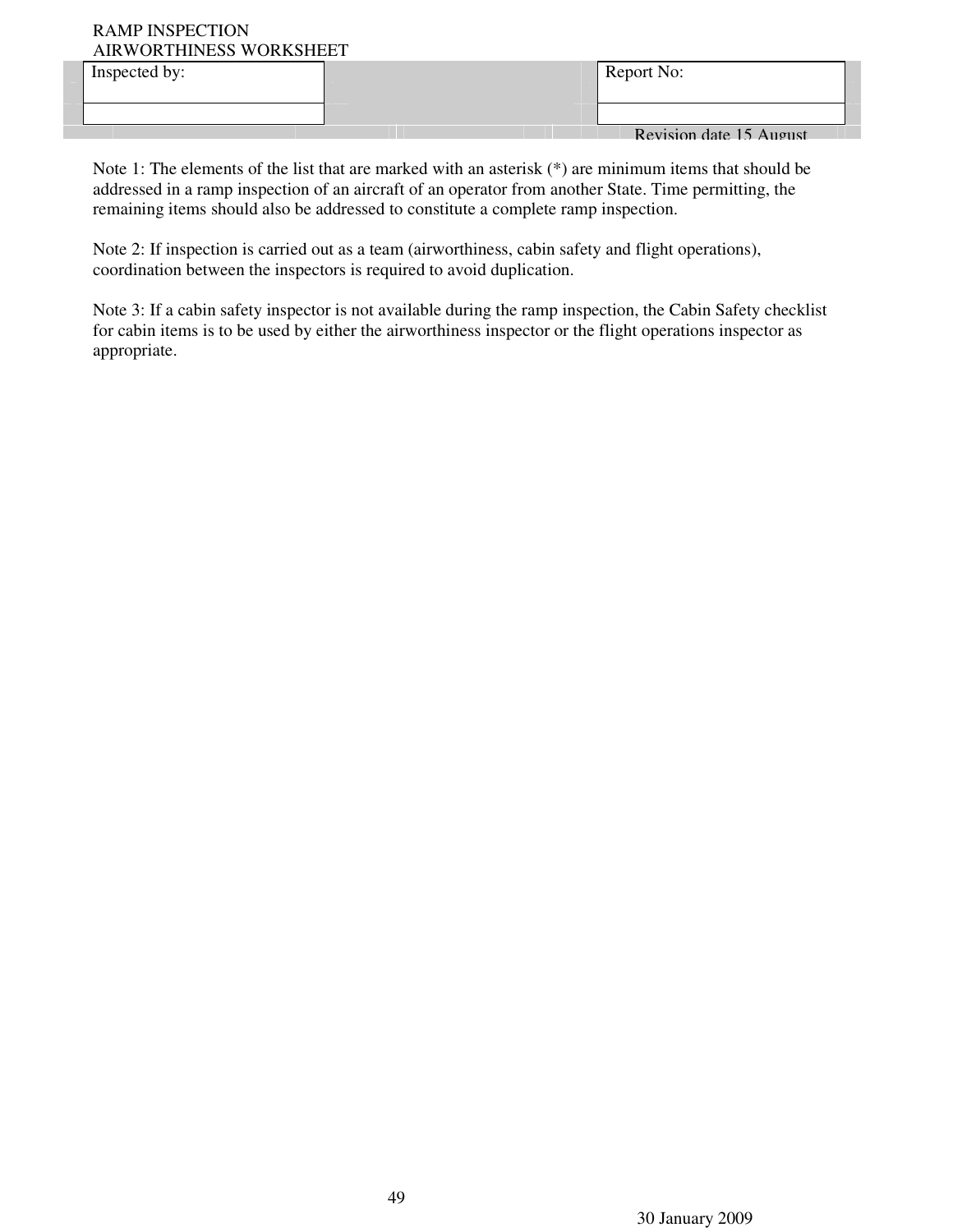#### RAMP INSPECTION AIRWORTHINESS WORKSHEET

| AIRWORTHINESS WORKSHEET |                         |
|-------------------------|-------------------------|
| Inspected by:           | Report No:              |
|                         |                         |
|                         |                         |
|                         |                         |
|                         |                         |
|                         | Revision date 15 August |
|                         |                         |

Note 1: The elements of the list that are marked with an asterisk (\*) are minimum items that should be addressed in a ramp inspection of an aircraft of an operator from another State. Time permitting, the remaining items should also be addressed to constitute a complete ramp inspection.

Note 2: If inspection is carried out as a team (airworthiness, cabin safety and flight operations), coordination between the inspectors is required to avoid duplication.

Note 3: If a cabin safety inspector is not available during the ramp inspection, the Cabin Safety checklist for cabin items is to be used by either the airworthiness inspector or the flight operations inspector as appropriate.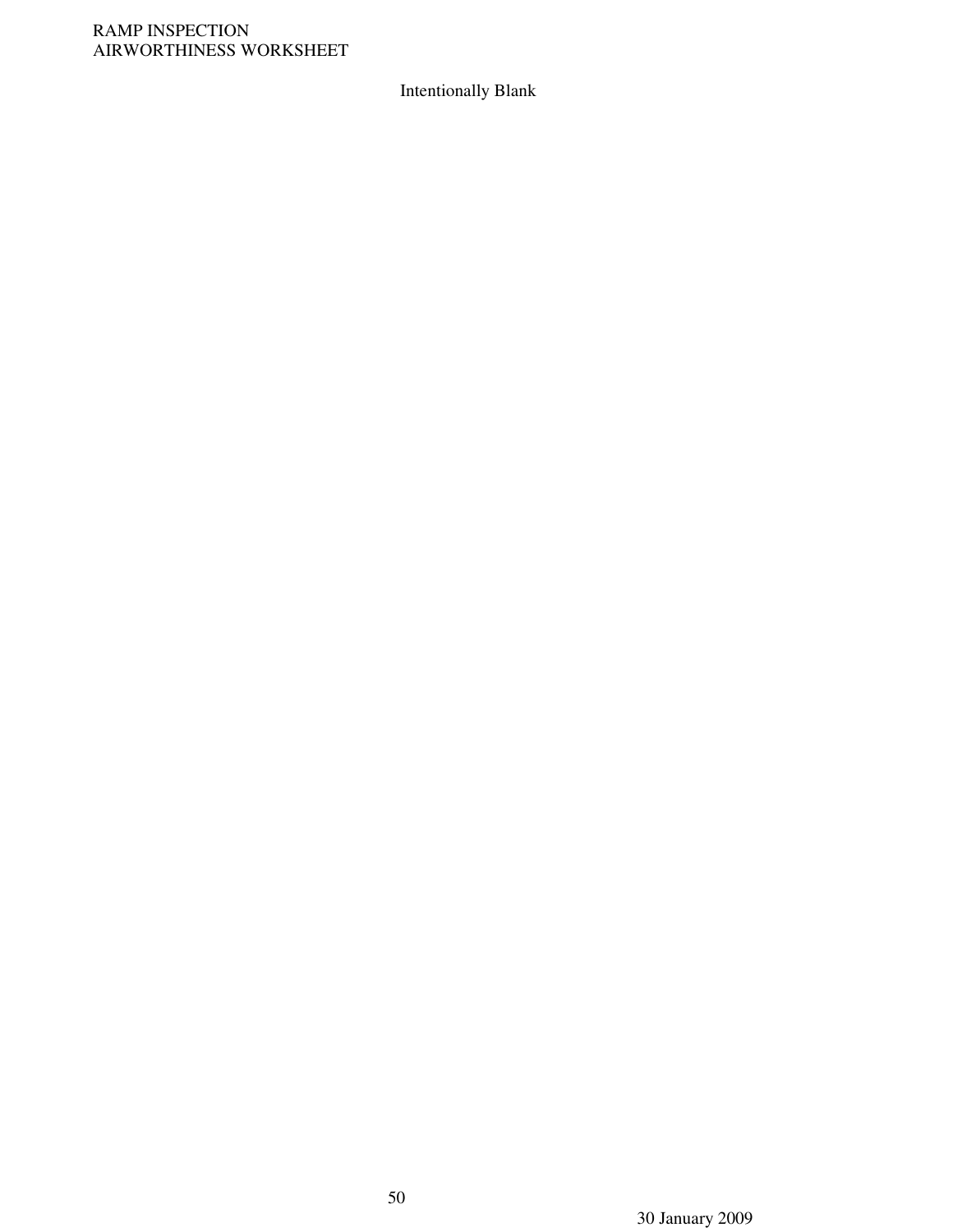# RAMP INSPECTION AIRWORTHINESS WORKSHEET

Intentionally Blank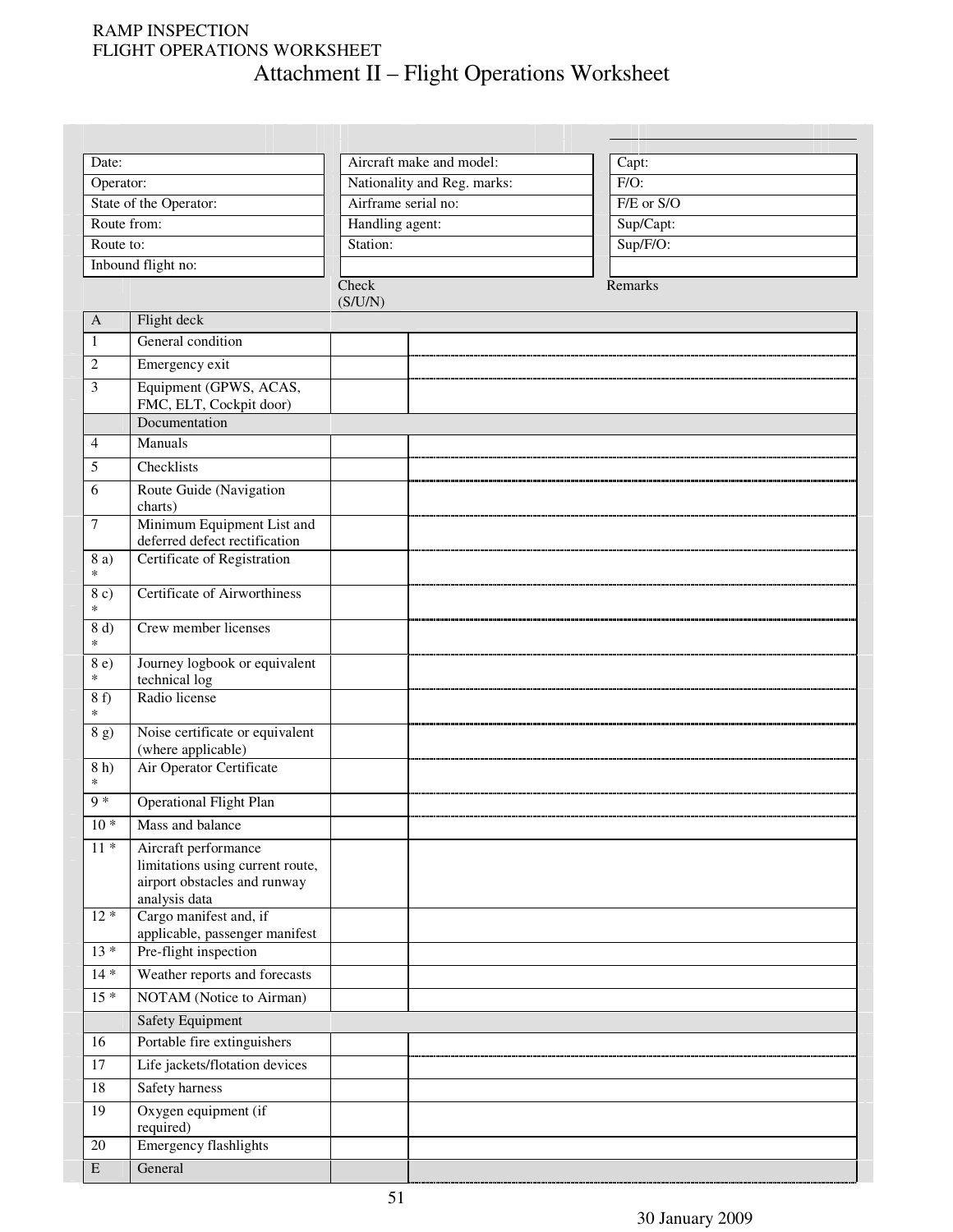# RAMP INSPECTION FLIGHT OPERATIONS WORKSHEET Attachment II – Flight Operations Worksheet

| Date:                                 |                                                                                                           |                             | Aircraft make and model: | Capt:              |
|---------------------------------------|-----------------------------------------------------------------------------------------------------------|-----------------------------|--------------------------|--------------------|
| Operator:                             |                                                                                                           | Nationality and Reg. marks: |                          | $\overline{F/O}$ : |
| State of the Operator:<br>Route from: |                                                                                                           | Airframe serial no:         |                          | $F/E$ or $S/O$     |
|                                       |                                                                                                           | Handling agent:             |                          | Sup/Capt:          |
| Route to:                             |                                                                                                           | Station:                    |                          | Sup/F/O:           |
|                                       | Inbound flight no:                                                                                        |                             |                          |                    |
|                                       |                                                                                                           | Check<br>(S/UN)             |                          | Remarks            |
| $\mathbf{A}$                          | Flight deck                                                                                               |                             |                          |                    |
| 1                                     | General condition                                                                                         |                             |                          |                    |
| 2                                     | Emergency exit                                                                                            |                             |                          |                    |
| 3                                     | Equipment (GPWS, ACAS,<br>FMC, ELT, Cockpit door)                                                         |                             |                          |                    |
|                                       | Documentation                                                                                             |                             |                          |                    |
| 4                                     | Manuals                                                                                                   |                             |                          |                    |
| 5                                     | Checklists                                                                                                |                             |                          |                    |
| 6                                     | Route Guide (Navigation<br>charts)                                                                        |                             |                          |                    |
| 7                                     | Minimum Equipment List and<br>deferred defect rectification                                               |                             |                          |                    |
| 8 a)<br>$\ast$                        | Certificate of Registration                                                                               |                             |                          |                    |
| 8 c)<br>$\ast$                        | Certificate of Airworthiness                                                                              |                             |                          |                    |
| 8 d)<br>$\ast$                        | Crew member licenses                                                                                      |                             |                          |                    |
| 8 e)<br>$\ast$                        | Journey logbook or equivalent<br>technical log                                                            |                             |                          |                    |
| 8f)<br>$\ast$                         | Radio license                                                                                             |                             |                          |                    |
| $\overline{8}$ g)                     | Noise certificate or equivalent<br>(where applicable)                                                     |                             |                          |                    |
| 8 h)<br>$\ast$                        | Air Operator Certificate                                                                                  |                             |                          |                    |
| $9 *$                                 | <b>Operational Flight Plan</b>                                                                            |                             |                          |                    |
| $10*$                                 | Mass and balance                                                                                          |                             |                          |                    |
| $11 *$                                | Aircraft performance<br>limitations using current route,<br>airport obstacles and runway<br>analysis data |                             |                          |                    |
| $12 *$                                | Cargo manifest and, if<br>applicable, passenger manifest                                                  |                             |                          |                    |
| $13 *$                                | Pre-flight inspection                                                                                     |                             |                          |                    |
| $14 *$                                | Weather reports and forecasts                                                                             |                             |                          |                    |
| $15 *$                                | NOTAM (Notice to Airman)                                                                                  |                             |                          |                    |
|                                       | <b>Safety Equipment</b>                                                                                   |                             |                          |                    |
| 16                                    | Portable fire extinguishers                                                                               |                             |                          |                    |
| 17                                    | Life jackets/flotation devices                                                                            |                             |                          |                    |
| $18\,$                                | Safety harness                                                                                            |                             |                          |                    |
| 19                                    | Oxygen equipment (if<br>required)                                                                         |                             |                          |                    |
| 20                                    | <b>Emergency flashlights</b>                                                                              |                             |                          |                    |
| ${\bf E}$                             | General                                                                                                   |                             |                          |                    |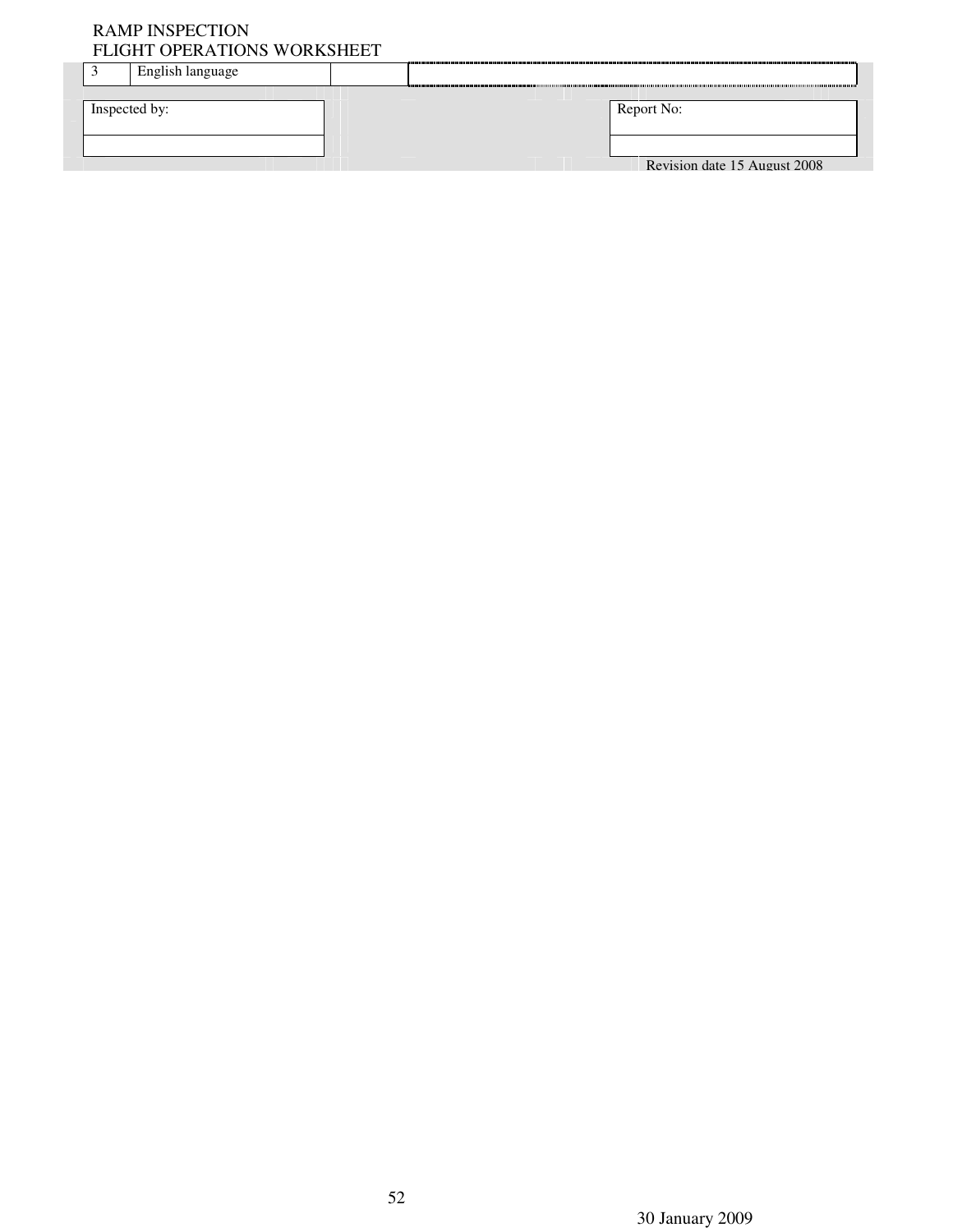# RAMP INSPECTION FLIGHT OPERATIONS WORKSHEET

| English language |  |                              |
|------------------|--|------------------------------|
| Inspected by:    |  | Report No:                   |
|                  |  | Revision date 15 August 2008 |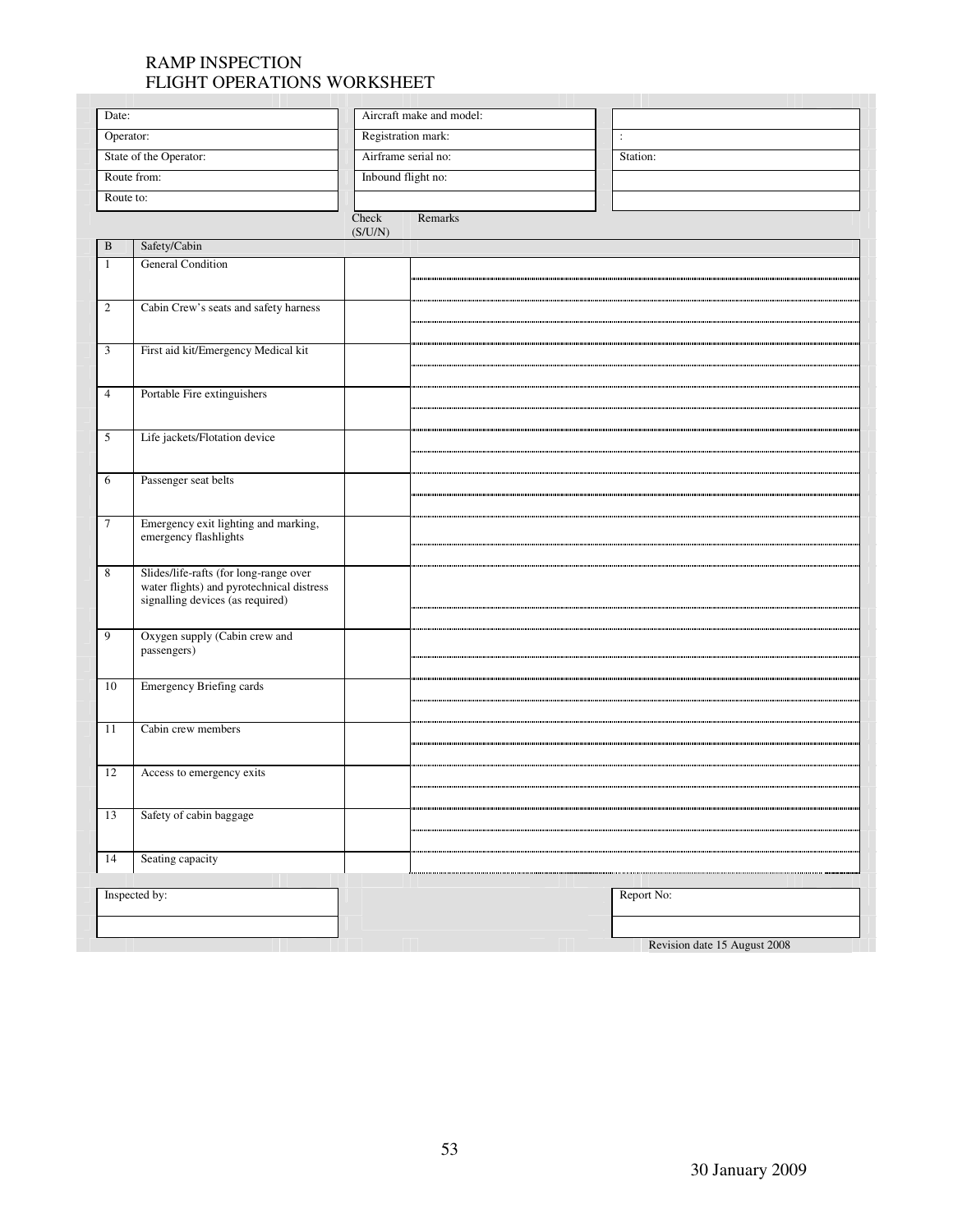# RAMP INSPECTION FLIGHT OPERATIONS WORKSHEET

| Date:                        |                                                                                                                         |        | Aircraft make and model: |  |                              |
|------------------------------|-------------------------------------------------------------------------------------------------------------------------|--------|--------------------------|--|------------------------------|
| Operator:                    |                                                                                                                         |        | Registration mark:       |  | $\ddot{\cdot}$               |
| State of the Operator:       |                                                                                                                         |        | Airframe serial no:      |  | Station:                     |
|                              | Route from:                                                                                                             |        | Inbound flight no:       |  |                              |
| Route to:                    |                                                                                                                         |        |                          |  |                              |
|                              |                                                                                                                         | Check  | Remarks                  |  |                              |
|                              |                                                                                                                         | (S/UN) |                          |  |                              |
| $\, {\bf B}$<br>$\mathbf{1}$ | Safety/Cabin<br><b>General Condition</b>                                                                                |        |                          |  |                              |
|                              |                                                                                                                         |        |                          |  |                              |
| $\overline{2}$               | Cabin Crew's seats and safety harness                                                                                   |        |                          |  |                              |
|                              |                                                                                                                         |        |                          |  |                              |
| 3                            | First aid kit/Emergency Medical kit                                                                                     |        |                          |  |                              |
| $\overline{4}$               | Portable Fire extinguishers                                                                                             |        |                          |  |                              |
| $\mathfrak{S}$               | Life jackets/Flotation device                                                                                           |        |                          |  |                              |
|                              |                                                                                                                         |        |                          |  |                              |
| 6                            | Passenger seat belts                                                                                                    |        |                          |  |                              |
| $\tau$                       | Emergency exit lighting and marking,<br>emergency flashlights                                                           |        |                          |  |                              |
|                              |                                                                                                                         |        |                          |  |                              |
| $\,8\,$                      | Slides/life-rafts (for long-range over<br>water flights) and pyrotechnical distress<br>signalling devices (as required) |        |                          |  |                              |
| 9                            | Oxygen supply (Cabin crew and<br>passengers)                                                                            |        |                          |  |                              |
|                              |                                                                                                                         |        |                          |  |                              |
| 10                           | <b>Emergency Briefing cards</b>                                                                                         |        |                          |  |                              |
| 11                           | Cabin crew members                                                                                                      |        |                          |  |                              |
| 12                           | Access to emergency exits                                                                                               |        |                          |  |                              |
| 13                           | Safety of cabin baggage                                                                                                 |        |                          |  |                              |
|                              |                                                                                                                         |        |                          |  |                              |
| 14                           | Seating capacity                                                                                                        |        |                          |  |                              |
|                              | Inspected by:                                                                                                           |        |                          |  | Report No:                   |
|                              |                                                                                                                         |        |                          |  |                              |
|                              |                                                                                                                         |        |                          |  | Revision date 15 August 2008 |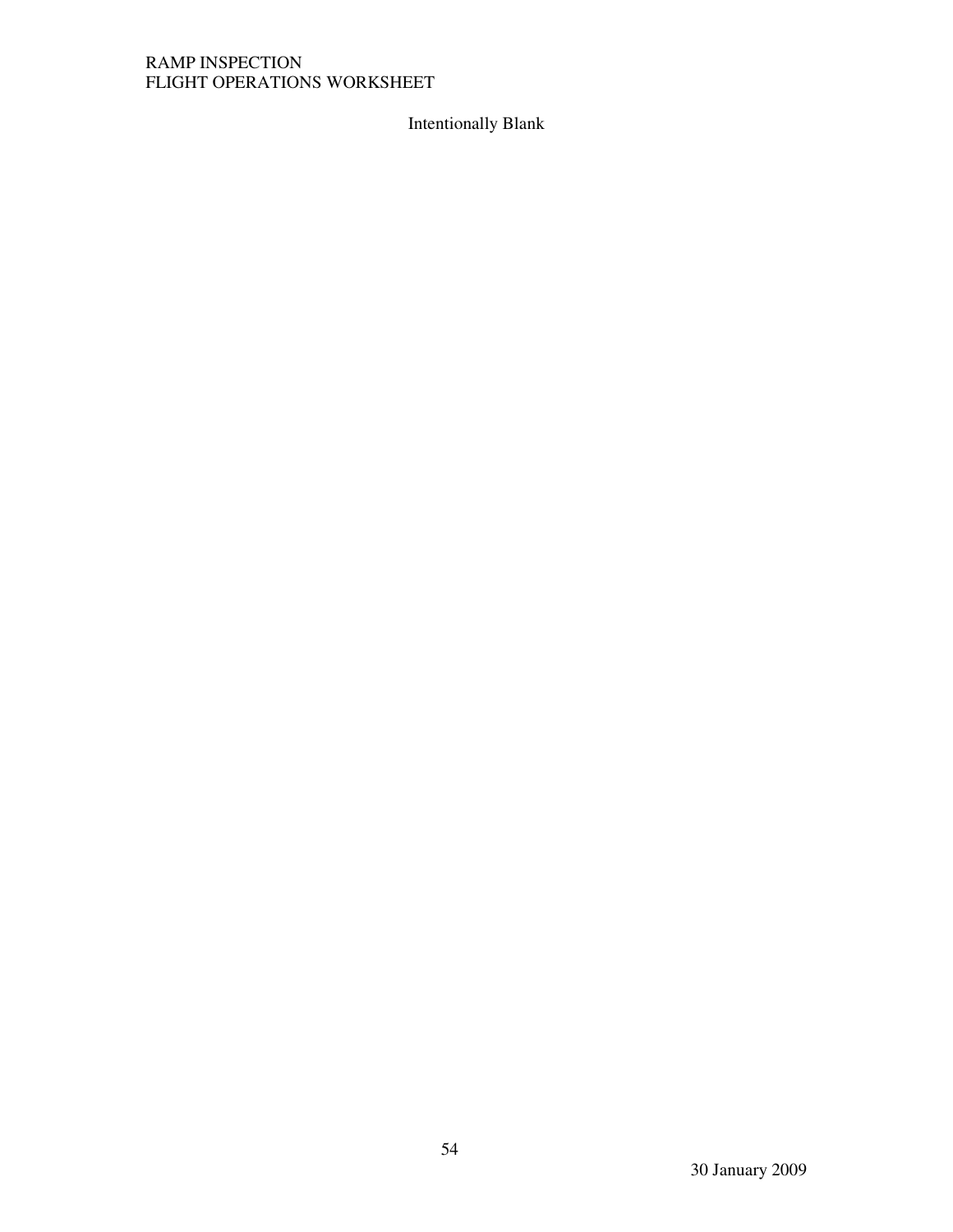# RAMP INSPECTION FLIGHT OPERATIONS WORKSHEET

Intentionally Blank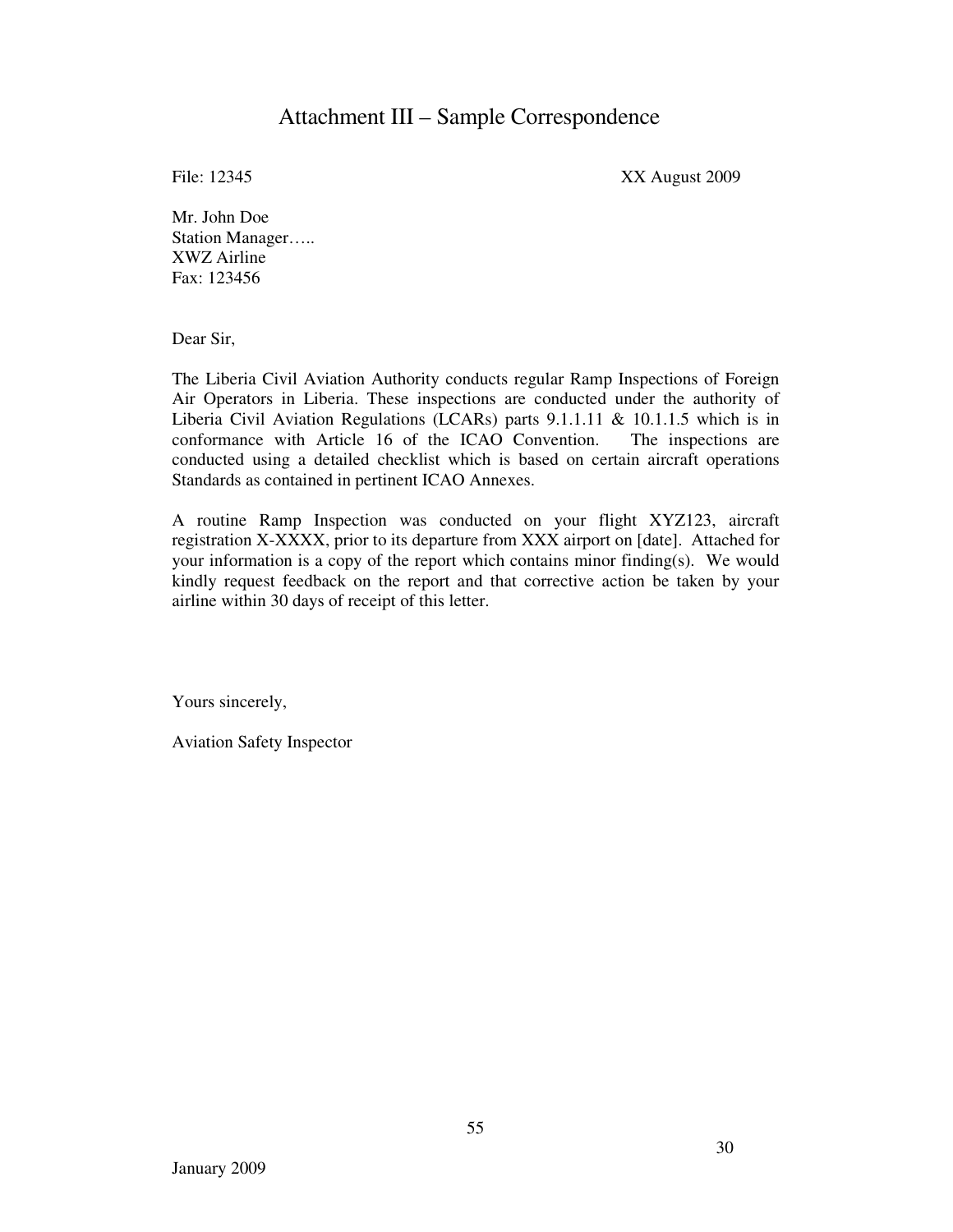# Attachment III – Sample Correspondence

File: 12345 XX August 2009

Mr. John Doe Station Manager….. XWZ Airline Fax: 123456

Dear Sir,

The Liberia Civil Aviation Authority conducts regular Ramp Inspections of Foreign Air Operators in Liberia. These inspections are conducted under the authority of Liberia Civil Aviation Regulations (LCARs) parts 9.1.1.11 & 10.1.1.5 which is in conformance with Article 16 of the ICAO Convention. The inspections are conducted using a detailed checklist which is based on certain aircraft operations Standards as contained in pertinent ICAO Annexes.

A routine Ramp Inspection was conducted on your flight XYZ123, aircraft registration X-XXXX, prior to its departure from XXX airport on [date]. Attached for your information is a copy of the report which contains minor finding(s). We would kindly request feedback on the report and that corrective action be taken by your airline within 30 days of receipt of this letter.

Yours sincerely,

Aviation Safety Inspector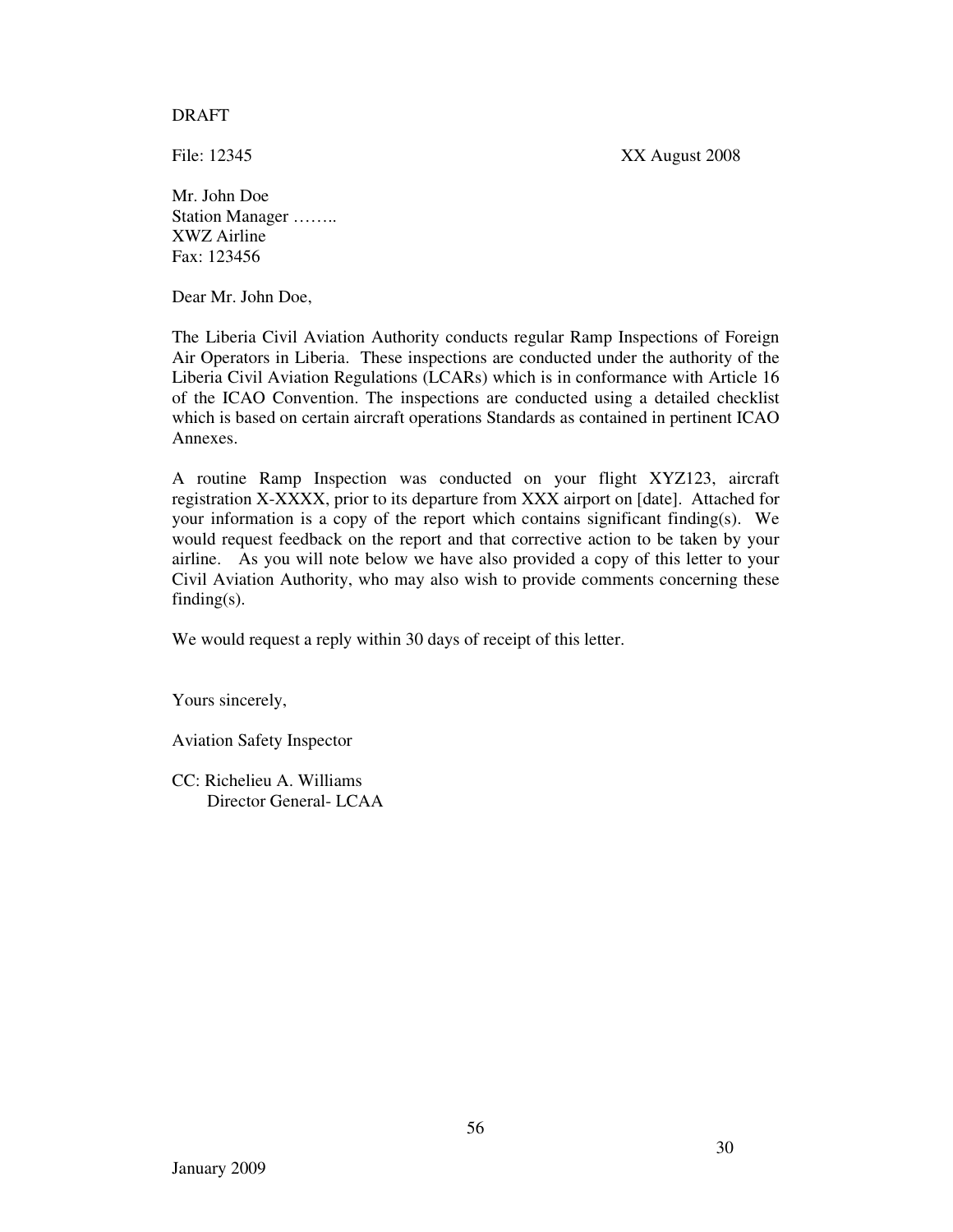DRAFT

File: 12345 XX August 2008

Mr. John Doe Station Manager …….. XWZ Airline Fax: 123456

Dear Mr. John Doe,

The Liberia Civil Aviation Authority conducts regular Ramp Inspections of Foreign Air Operators in Liberia. These inspections are conducted under the authority of the Liberia Civil Aviation Regulations (LCARs) which is in conformance with Article 16 of the ICAO Convention. The inspections are conducted using a detailed checklist which is based on certain aircraft operations Standards as contained in pertinent ICAO Annexes.

A routine Ramp Inspection was conducted on your flight XYZ123, aircraft registration X-XXXX, prior to its departure from XXX airport on [date]. Attached for your information is a copy of the report which contains significant finding(s). We would request feedback on the report and that corrective action to be taken by your airline. As you will note below we have also provided a copy of this letter to your Civil Aviation Authority, who may also wish to provide comments concerning these finding(s).

We would request a reply within 30 days of receipt of this letter.

Yours sincerely,

Aviation Safety Inspector

CC: Richelieu A. Williams Director General- LCAA